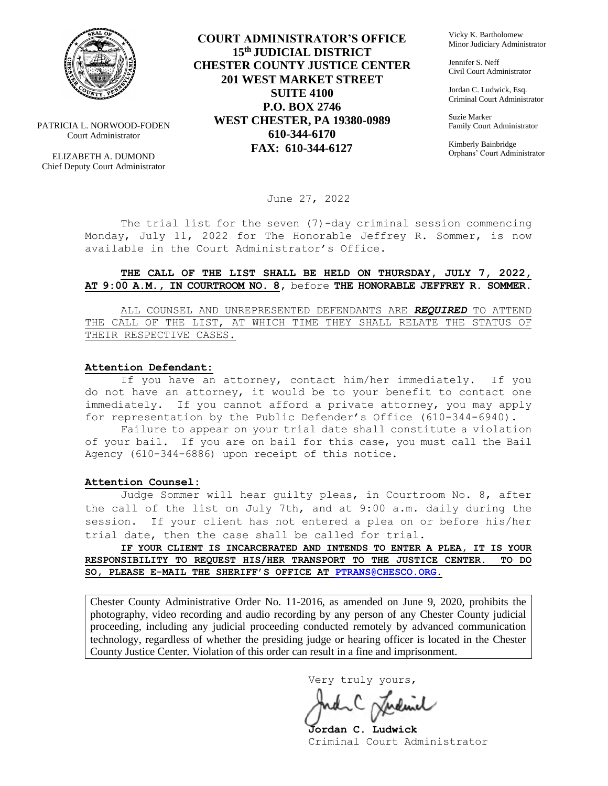

PATRICIA L. NORWOOD-FODEN Court Administrator

ELIZABETH A. DUMOND Chief Deputy Court Administrator

**COURT ADMINISTRATOR'S OFFICE 15th JUDICIAL DISTRICT CHESTER COUNTY JUSTICE CENTER 201 WEST MARKET STREET SUITE 4100 P.O. BOX 2746 WEST CHESTER, PA 19380-0989 610-344-6170 FAX: 610-344-6127**

Vicky K. Bartholomew Minor Judiciary Administrator

Jennifer S. Neff Civil Court Administrator

Jordan C. Ludwick, Esq. Criminal Court Administrator

Suzie Marker Family Court Administrator

Kimberly Bainbridge Orphans' Court Administrator

June 27, 2022

The trial list for the seven (7)-day criminal session commencing Monday, July 11, 2022 for The Honorable Jeffrey R. Sommer, is now available in the Court Administrator's Office.

### **THE CALL OF THE LIST SHALL BE HELD ON THURSDAY, JULY 7, 2022, AT 9:00 A.M., IN COURTROOM NO. 8,** before **THE HONORABLE JEFFREY R. SOMMER.**

ALL COUNSEL AND UNREPRESENTED DEFENDANTS ARE *REQUIRED* TO ATTEND THE CALL OF THE LIST, AT WHICH TIME THEY SHALL RELATE THE STATUS OF THEIR RESPECTIVE CASES.

### **Attention Defendant:**

If you have an attorney, contact him/her immediately. If you do not have an attorney, it would be to your benefit to contact one immediately. If you cannot afford a private attorney, you may apply for representation by the Public Defender's Office (610-344-6940).

Failure to appear on your trial date shall constitute a violation of your bail. If you are on bail for this case, you must call the Bail Agency (610-344-6886) upon receipt of this notice.

#### **Attention Counsel:**

Judge Sommer will hear guilty pleas, in Courtroom No. 8, after the call of the list on July 7th, and at 9:00 a.m. daily during the session. If your client has not entered a plea on or before his/her trial date, then the case shall be called for trial.

**IF YOUR CLIENT IS INCARCERATED AND INTENDS TO ENTER A PLEA, IT IS YOUR RESPONSIBILITY TO REQUEST HIS/HER TRANSPORT TO THE JUSTICE CENTER. TO DO SO, PLEASE E-MAIL THE SHERIFF'S OFFICE AT [PTRANS@CHESCO.ORG.](mailto:PTRANS@CHESCO.ORG)**

Chester County Administrative Order No. 11-2016, as amended on June 9, 2020, prohibits the photography, video recording and audio recording by any person of any Chester County judicial proceeding, including any judicial proceeding conducted remotely by advanced communication technology, regardless of whether the presiding judge or hearing officer is located in the Chester County Justice Center. Violation of this order can result in a fine and imprisonment.

Very truly yours,

**Jordan C. Ludwick** Criminal Court Administrator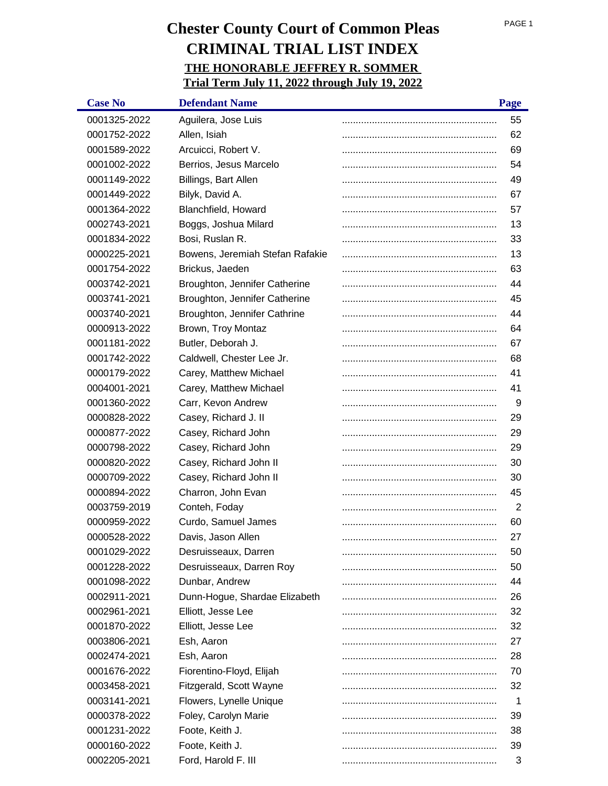| <b>Case No</b> | <b>Defendant Name</b>           | Page |
|----------------|---------------------------------|------|
| 0001325-2022   | Aguilera, Jose Luis             | 55   |
| 0001752-2022   | Allen, Isiah                    | 62   |
| 0001589-2022   | Arcuicci, Robert V.             | 69   |
| 0001002-2022   | Berrios, Jesus Marcelo          | 54   |
| 0001149-2022   | Billings, Bart Allen            | 49   |
| 0001449-2022   | Bilyk, David A.                 | 67   |
| 0001364-2022   | Blanchfield, Howard             | 57   |
| 0002743-2021   | Boggs, Joshua Milard            | 13   |
| 0001834-2022   | Bosi, Ruslan R.                 | 33   |
| 0000225-2021   | Bowens, Jeremiah Stefan Rafakie | 13   |
| 0001754-2022   | Brickus, Jaeden                 | 63   |
| 0003742-2021   | Broughton, Jennifer Catherine   | 44   |
| 0003741-2021   | Broughton, Jennifer Catherine   | 45   |
| 0003740-2021   | Broughton, Jennifer Cathrine    | 44   |
| 0000913-2022   | Brown, Troy Montaz              | 64   |
| 0001181-2022   | Butler, Deborah J.              | 67   |
| 0001742-2022   | Caldwell, Chester Lee Jr.       | 68   |
| 0000179-2022   | Carey, Matthew Michael          | 41   |
| 0004001-2021   | Carey, Matthew Michael          | 41   |
| 0001360-2022   | Carr, Kevon Andrew              | 9    |
| 0000828-2022   | Casey, Richard J. II            | 29   |
| 0000877-2022   | Casey, Richard John             | 29   |
| 0000798-2022   | Casey, Richard John             | 29   |
| 0000820-2022   | Casey, Richard John II          | 30   |
| 0000709-2022   | Casey, Richard John II          | 30   |
| 0000894-2022   | Charron, John Evan              | 45   |
| 0003759-2019   | Conteh, Foday                   | 2    |
| 0000959-2022   | Curdo, Samuel James             | 60   |
| 0000528-2022   | Davis, Jason Allen              | 27   |
| 0001029-2022   | Desruisseaux, Darren            | 50   |
| 0001228-2022   | Desruisseaux, Darren Roy        | 50   |
| 0001098-2022   | Dunbar, Andrew                  | 44   |
| 0002911-2021   | Dunn-Hogue, Shardae Elizabeth   | 26   |
| 0002961-2021   | Elliott, Jesse Lee              | 32   |
| 0001870-2022   | Elliott, Jesse Lee              | 32   |
| 0003806-2021   | Esh, Aaron                      | 27   |
| 0002474-2021   | Esh, Aaron                      | 28   |
| 0001676-2022   | Fiorentino-Floyd, Elijah        | 70   |
| 0003458-2021   | Fitzgerald, Scott Wayne         | 32   |
| 0003141-2021   | Flowers, Lynelle Unique         | 1    |
| 0000378-2022   | Foley, Carolyn Marie            | 39   |
| 0001231-2022   | Foote, Keith J.                 | 38   |
| 0000160-2022   | Foote, Keith J.                 | 39   |
| 0002205-2021   | Ford, Harold F. III             | 3    |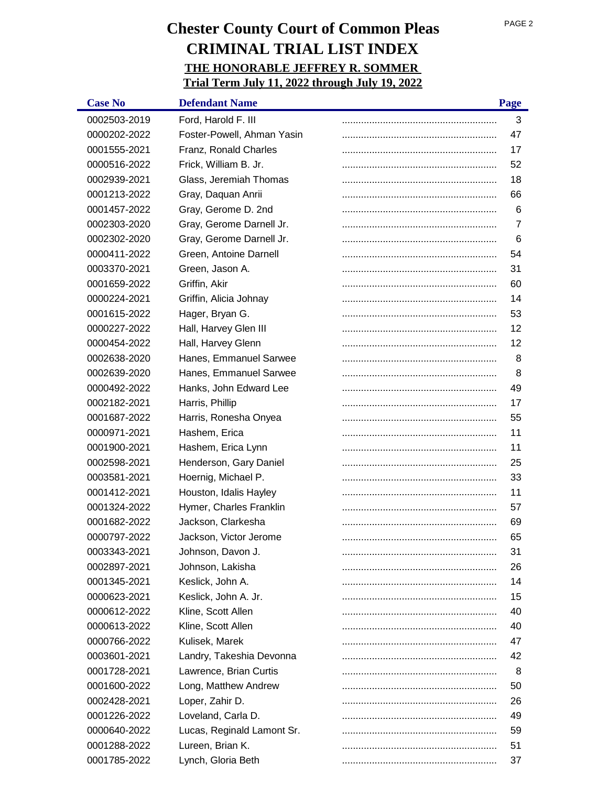| <b>Case No</b> | <b>Defendant Name</b>      | Page           |
|----------------|----------------------------|----------------|
| 0002503-2019   | Ford, Harold F. III        | 3              |
| 0000202-2022   | Foster-Powell, Ahman Yasin | 47             |
| 0001555-2021   | Franz, Ronald Charles      | 17             |
| 0000516-2022   | Frick, William B. Jr.      | 52             |
| 0002939-2021   | Glass, Jeremiah Thomas     | 18             |
| 0001213-2022   | Gray, Daquan Anrii         | 66             |
| 0001457-2022   | Gray, Gerome D. 2nd        | 6              |
| 0002303-2020   | Gray, Gerome Darnell Jr.   | $\overline{7}$ |
| 0002302-2020   | Gray, Gerome Darnell Jr.   | 6              |
| 0000411-2022   | Green, Antoine Darnell     | 54             |
| 0003370-2021   | Green, Jason A.            | 31             |
| 0001659-2022   | Griffin, Akir              | 60             |
| 0000224-2021   | Griffin, Alicia Johnay     | 14             |
| 0001615-2022   | Hager, Bryan G.            | 53             |
| 0000227-2022   | Hall, Harvey Glen III      | 12             |
| 0000454-2022   | Hall, Harvey Glenn         | 12             |
| 0002638-2020   | Hanes, Emmanuel Sarwee     | 8              |
| 0002639-2020   | Hanes, Emmanuel Sarwee     | 8              |
| 0000492-2022   | Hanks, John Edward Lee     | 49             |
| 0002182-2021   | Harris, Phillip            | 17             |
| 0001687-2022   | Harris, Ronesha Onyea      | 55             |
| 0000971-2021   | Hashem, Erica              | 11             |
| 0001900-2021   | Hashem, Erica Lynn         | 11             |
| 0002598-2021   | Henderson, Gary Daniel     | 25             |
| 0003581-2021   | Hoernig, Michael P.        | 33             |
| 0001412-2021   | Houston, Idalis Hayley     | 11             |
| 0001324-2022   | Hymer, Charles Franklin    | 57             |
| 0001682-2022   | Jackson, Clarkesha         | 69             |
| 0000797-2022   | Jackson, Victor Jerome     | 65             |
| 0003343-2021   | Johnson, Davon J.          | 31             |
| 0002897-2021   | Johnson, Lakisha           | 26             |
| 0001345-2021   | Keslick, John A.           | 14             |
| 0000623-2021   | Keslick, John A. Jr.       | 15             |
| 0000612-2022   | Kline, Scott Allen         | 40             |
| 0000613-2022   | Kline, Scott Allen         | 40             |
| 0000766-2022   | Kulisek, Marek             | 47             |
| 0003601-2021   | Landry, Takeshia Devonna   | 42             |
| 0001728-2021   | Lawrence, Brian Curtis     | 8              |
| 0001600-2022   | Long, Matthew Andrew       | 50             |
| 0002428-2021   | Loper, Zahir D.            | 26             |
| 0001226-2022   | Loveland, Carla D.         | 49             |
| 0000640-2022   | Lucas, Reginald Lamont Sr. | 59             |
| 0001288-2022   | Lureen, Brian K.           | 51             |
| 0001785-2022   | Lynch, Gloria Beth         | 37             |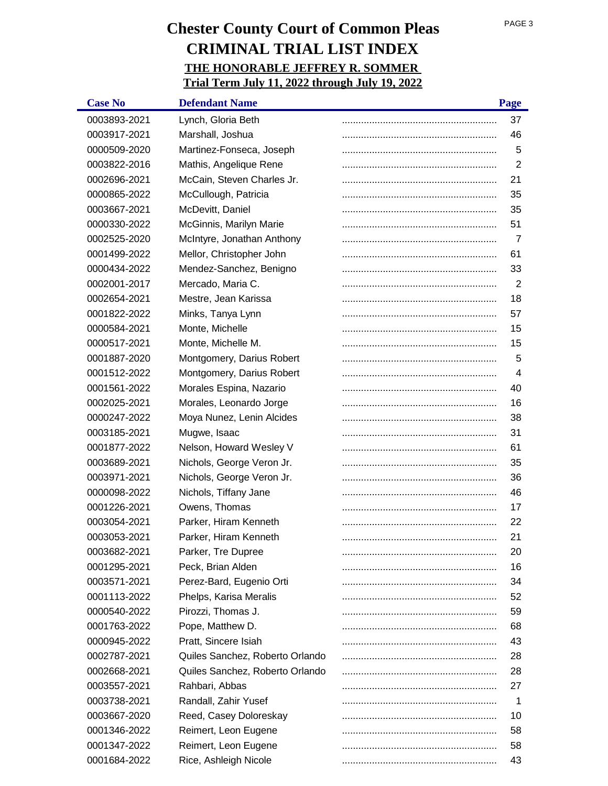| <b>Case No</b> | <b>Defendant Name</b>           | Page           |
|----------------|---------------------------------|----------------|
| 0003893-2021   | Lynch, Gloria Beth              | 37             |
| 0003917-2021   | Marshall, Joshua                | 46             |
| 0000509-2020   | Martinez-Fonseca, Joseph        | 5              |
| 0003822-2016   | Mathis, Angelique Rene          | $\overline{2}$ |
| 0002696-2021   | McCain, Steven Charles Jr.      | 21             |
| 0000865-2022   | McCullough, Patricia            | 35             |
| 0003667-2021   | McDevitt, Daniel                | 35             |
| 0000330-2022   | McGinnis, Marilyn Marie         | 51             |
| 0002525-2020   | McIntyre, Jonathan Anthony      | 7              |
| 0001499-2022   | Mellor, Christopher John        | 61             |
| 0000434-2022   | Mendez-Sanchez, Benigno         | 33             |
| 0002001-2017   | Mercado, Maria C.               | $\overline{2}$ |
| 0002654-2021   | Mestre, Jean Karissa            | 18             |
| 0001822-2022   | Minks, Tanya Lynn               | 57             |
| 0000584-2021   | Monte, Michelle                 | 15             |
| 0000517-2021   | Monte, Michelle M.              | 15             |
| 0001887-2020   | Montgomery, Darius Robert       | 5              |
| 0001512-2022   | Montgomery, Darius Robert       | $\overline{4}$ |
| 0001561-2022   | Morales Espina, Nazario         | 40             |
| 0002025-2021   | Morales, Leonardo Jorge         | 16             |
| 0000247-2022   | Moya Nunez, Lenin Alcides       | 38             |
| 0003185-2021   | Mugwe, Isaac                    | 31             |
| 0001877-2022   | Nelson, Howard Wesley V         | 61             |
| 0003689-2021   | Nichols, George Veron Jr.       | 35             |
| 0003971-2021   | Nichols, George Veron Jr.       | 36             |
| 0000098-2022   | Nichols, Tiffany Jane           | 46             |
| 0001226-2021   | Owens, Thomas                   | 17             |
| 0003054-2021   | Parker, Hiram Kenneth           | 22             |
| 0003053-2021   | Parker, Hiram Kenneth           | 21             |
| 0003682-2021   | Parker, Tre Dupree              | 20             |
| 0001295-2021   | Peck, Brian Alden               | 16             |
| 0003571-2021   | Perez-Bard, Eugenio Orti        | 34             |
| 0001113-2022   | Phelps, Karisa Meralis          | 52             |
| 0000540-2022   | Pirozzi, Thomas J.              | 59             |
| 0001763-2022   | Pope, Matthew D.                | 68             |
| 0000945-2022   | Pratt, Sincere Isiah            | 43             |
| 0002787-2021   | Quiles Sanchez, Roberto Orlando | 28             |
| 0002668-2021   | Quiles Sanchez, Roberto Orlando | 28             |
| 0003557-2021   | Rahbari, Abbas                  | 27             |
| 0003738-2021   | Randall, Zahir Yusef            | 1              |
| 0003667-2020   | Reed, Casey Doloreskay          | 10             |
| 0001346-2022   | Reimert, Leon Eugene            | 58             |
| 0001347-2022   | Reimert, Leon Eugene            | 58             |
| 0001684-2022   | Rice, Ashleigh Nicole           | 43             |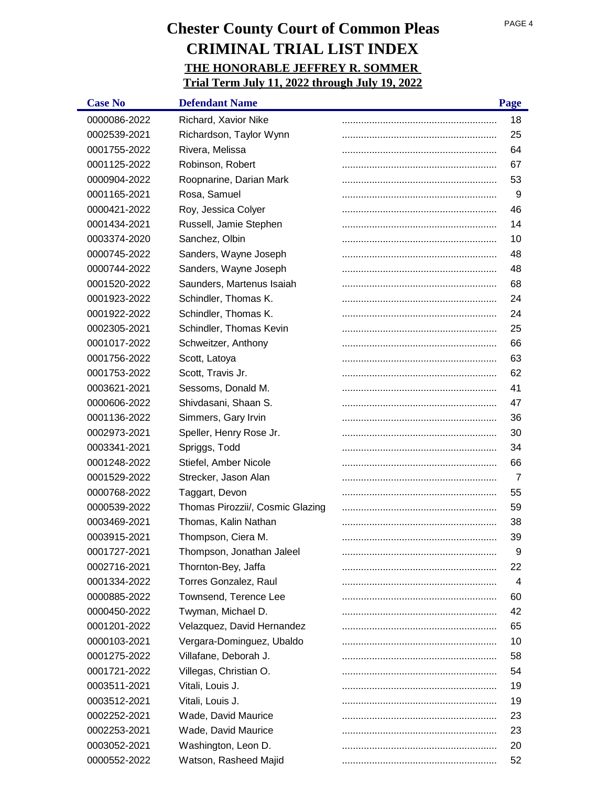| <b>Case No</b> | <b>Defendant Name</b>            | Page |
|----------------|----------------------------------|------|
| 0000086-2022   | Richard, Xavior Nike             | 18   |
| 0002539-2021   | Richardson, Taylor Wynn          | 25   |
| 0001755-2022   | Rivera, Melissa                  | 64   |
| 0001125-2022   | Robinson, Robert                 | 67   |
| 0000904-2022   | Roopnarine, Darian Mark          | 53   |
| 0001165-2021   | Rosa, Samuel                     | 9    |
| 0000421-2022   | Roy, Jessica Colyer              | 46   |
| 0001434-2021   | Russell, Jamie Stephen           | 14   |
| 0003374-2020   | Sanchez, Olbin                   | 10   |
| 0000745-2022   | Sanders, Wayne Joseph            | 48   |
| 0000744-2022   | Sanders, Wayne Joseph            | 48   |
| 0001520-2022   | Saunders, Martenus Isaiah        | 68   |
| 0001923-2022   | Schindler, Thomas K.             | 24   |
| 0001922-2022   | Schindler, Thomas K.             | 24   |
| 0002305-2021   | Schindler, Thomas Kevin          | 25   |
| 0001017-2022   | Schweitzer, Anthony              | 66   |
| 0001756-2022   | Scott, Latoya                    | 63   |
| 0001753-2022   | Scott, Travis Jr.                | 62   |
| 0003621-2021   | Sessoms, Donald M.               | 41   |
| 0000606-2022   | Shivdasani, Shaan S.             | 47   |
| 0001136-2022   | Simmers, Gary Irvin              | 36   |
| 0002973-2021   | Speller, Henry Rose Jr.          | 30   |
| 0003341-2021   | Spriggs, Todd                    | 34   |
| 0001248-2022   | Stiefel, Amber Nicole            | 66   |
| 0001529-2022   | Strecker, Jason Alan             | 7    |
| 0000768-2022   | Taggart, Devon                   | 55   |
| 0000539-2022   | Thomas Pirozzii/, Cosmic Glazing | 59   |
| 0003469-2021   | Thomas, Kalin Nathan             | 38   |
| 0003915-2021   | Thompson, Ciera M.               | 39   |
| 0001727-2021   | Thompson, Jonathan Jaleel        | 9    |
| 0002716-2021   | Thornton-Bey, Jaffa              | 22   |
| 0001334-2022   | Torres Gonzalez, Raul            | 4    |
| 0000885-2022   | Townsend, Terence Lee            | 60   |
| 0000450-2022   | Twyman, Michael D.               | 42   |
| 0001201-2022   | Velazquez, David Hernandez       | 65   |
| 0000103-2021   | Vergara-Dominguez, Ubaldo        | 10   |
| 0001275-2022   | Villafane, Deborah J.            | 58   |
| 0001721-2022   | Villegas, Christian O.           | 54   |
| 0003511-2021   | Vitali, Louis J.                 | 19   |
| 0003512-2021   | Vitali, Louis J.                 | 19   |
| 0002252-2021   | Wade, David Maurice              | 23   |
| 0002253-2021   | Wade, David Maurice              | 23   |
| 0003052-2021   | Washington, Leon D.              | 20   |
| 0000552-2022   | Watson, Rasheed Majid            | 52   |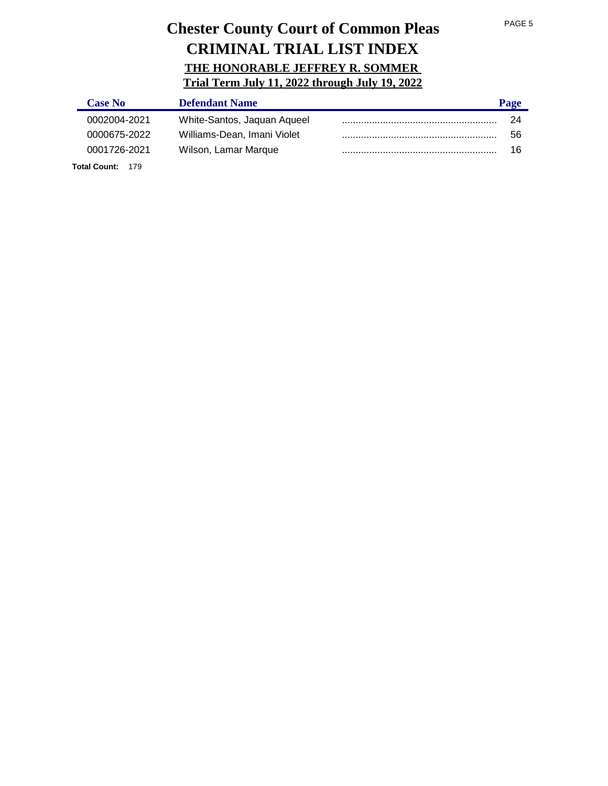| <b>Case No</b>          | <b>Defendant Name</b>       | Page |
|-------------------------|-----------------------------|------|
| 0002004-2021            | White-Santos, Jaquan Aqueel | 24   |
| 0000675-2022            | Williams-Dean, Imani Violet | 56   |
| 0001726-2021            | Wilson, Lamar Marque        | 16   |
| <b>Total Count: 179</b> |                             |      |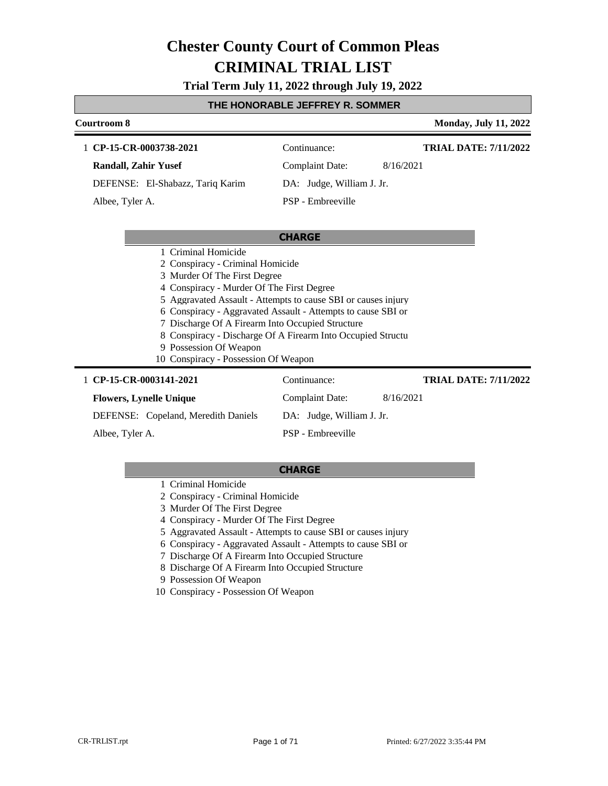### **Trial Term July 11, 2022 through July 19, 2022**

### **THE HONORABLE JEFFREY R. SOMMER**

| Courtroom 8                                                                                                                                                                                                                                                |                                                                                                                                                                                              | <b>Monday, July 11, 2022</b> |
|------------------------------------------------------------------------------------------------------------------------------------------------------------------------------------------------------------------------------------------------------------|----------------------------------------------------------------------------------------------------------------------------------------------------------------------------------------------|------------------------------|
| 1 CP-15-CR-0003738-2021                                                                                                                                                                                                                                    | Continuance:                                                                                                                                                                                 | <b>TRIAL DATE: 7/11/2022</b> |
| <b>Randall, Zahir Yusef</b>                                                                                                                                                                                                                                | <b>Complaint Date:</b><br>8/16/2021                                                                                                                                                          |                              |
| DEFENSE: El-Shabazz, Tariq Karim                                                                                                                                                                                                                           | DA: Judge, William J. Jr.                                                                                                                                                                    |                              |
| Albee, Tyler A.                                                                                                                                                                                                                                            | PSP - Embreeville                                                                                                                                                                            |                              |
|                                                                                                                                                                                                                                                            |                                                                                                                                                                                              |                              |
|                                                                                                                                                                                                                                                            | <b>CHARGE</b>                                                                                                                                                                                |                              |
| 1 Criminal Homicide<br>2 Conspiracy - Criminal Homicide<br>3 Murder Of The First Degree<br>4 Conspiracy - Murder Of The First Degree<br>7 Discharge Of A Firearm Into Occupied Structure<br>9 Possession Of Weapon<br>10 Conspiracy - Possession Of Weapon | 5 Aggravated Assault - Attempts to cause SBI or causes injury<br>6 Conspiracy - Aggravated Assault - Attempts to cause SBI or<br>8 Conspiracy - Discharge Of A Firearm Into Occupied Structu |                              |
| 1 CP-15-CR-0003141-2021                                                                                                                                                                                                                                    | Continuance:                                                                                                                                                                                 | <b>TRIAL DATE: 7/11/2022</b> |
| <b>Flowers, Lynelle Unique</b>                                                                                                                                                                                                                             | <b>Complaint Date:</b><br>8/16/2021                                                                                                                                                          |                              |
| DEFENSE: Copeland, Meredith Daniels                                                                                                                                                                                                                        | DA: Judge, William J. Jr.                                                                                                                                                                    |                              |

DEFENSE: Copeland, Meredith Daniels

Albee, Tyler A.

### **CHARGE**

PSP - Embreeville

- 1 Criminal Homicide
- 2 Conspiracy Criminal Homicide
- 3 Murder Of The First Degree
- 4 Conspiracy Murder Of The First Degree
- 5 Aggravated Assault Attempts to cause SBI or causes injury
- 6 Conspiracy Aggravated Assault Attempts to cause SBI or
- 7 Discharge Of A Firearm Into Occupied Structure
- 8 Discharge Of A Firearm Into Occupied Structure
- 9 Possession Of Weapon
- 10 Conspiracy Possession Of Weapon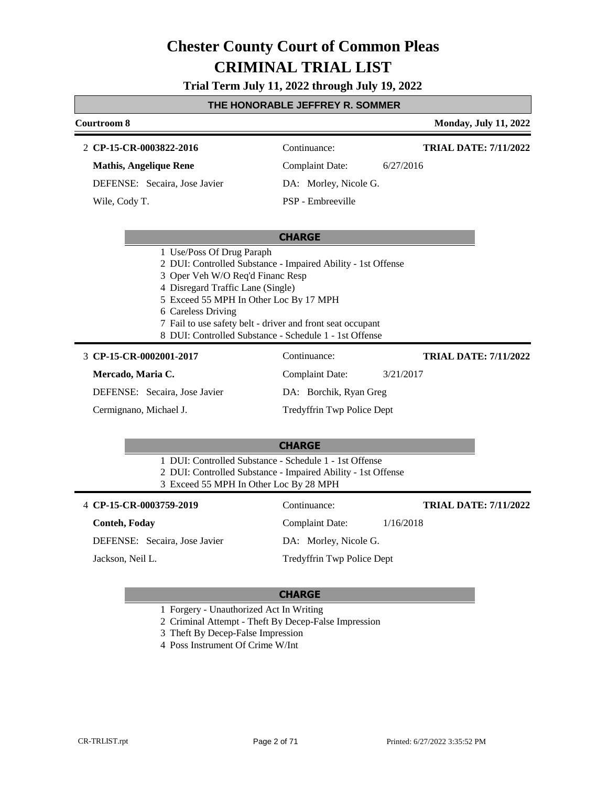**Trial Term July 11, 2022 through July 19, 2022**

### **THE HONORABLE JEFFREY R. SOMMER**

### **Courtroom 8 Monday, July 11, 2022 CHARGE CP-15-CR-0003822-2016** 2 Continuance: **Mathis, Angelique Rene** DEFENSE: Secaira, Jose Javier Complaint Date: 6/27/2016 DA: Morley, Nicole G. PSP - Embreeville **TRIAL DATE: 7/11/2022** Wile, Cody T. 1 Use/Poss Of Drug Paraph 2 DUI: Controlled Substance - Impaired Ability - 1st Offense 3 Oper Veh W/O Req'd Financ Resp 4 Disregard Traffic Lane (Single) 5 Exceed 55 MPH In Other Loc By 17 MPH 6 Careless Driving 7 Fail to use safety belt - driver and front seat occupant 8 DUI: Controlled Substance - Schedule 1 - 1st Offense

### **CP-15-CR-0002001-2017** 3 Continuance:

### **Mercado, Maria C.**

DEFENSE: Secaira, Jose Javier

Cermignano, Michael J.

DA: Borchik, Ryan Greg

Complaint Date: 3/21/2017

Tredyffrin Twp Police Dept

### **CHARGE**

1 DUI: Controlled Substance - Schedule 1 - 1st Offense

2 DUI: Controlled Substance - Impaired Ability - 1st Offense

3 Exceed 55 MPH In Other Loc By 28 MPH

| 4 CP-15-CR-0003759-2019       | Continuance:               | <b>TRIAL DATE: 7/11/2022</b> |
|-------------------------------|----------------------------|------------------------------|
| <b>Conteh, Foday</b>          | Complaint Date:            | 1/16/2018                    |
| DEFENSE: Secaira, Jose Javier | DA: Morley, Nicole G.      |                              |
| Jackson, Neil L.              | Tredyffrin Twp Police Dept |                              |

### **CHARGE**

1 Forgery - Unauthorized Act In Writing

2 Criminal Attempt - Theft By Decep-False Impression

- 3 Theft By Decep-False Impression
- 4 Poss Instrument Of Crime W/Int

**TRIAL DATE: 7/11/2022**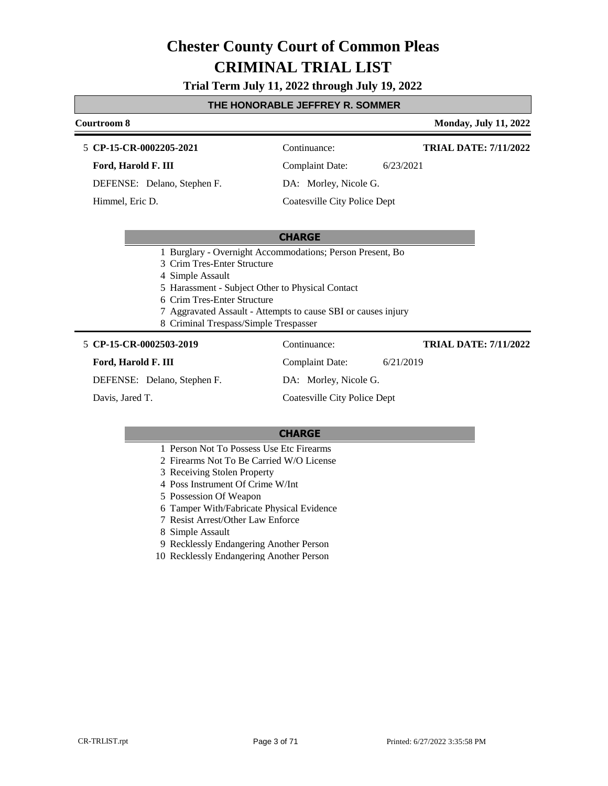**Trial Term July 11, 2022 through July 19, 2022**

### **THE HONORABLE JEFFREY R. SOMMER**

### **Courtroom 8 Monday, July 11, 2022 CP-15-CR-0002205-2021** 5 Continuance: **Ford, Harold F. III** Complaint Date: 6/23/2021 **TRIAL DATE: 7/11/2022**

DEFENSE: Delano, Stephen F.

Himmel, Eric D.

DA: Morley, Nicole G.

Coatesville City Police Dept

### **CHARGE**

- 1 Burglary Overnight Accommodations; Person Present, Bo
- 3 Crim Tres-Enter Structure
- 4 Simple Assault
- 5 Harassment Subject Other to Physical Contact
- 6 Crim Tres-Enter Structure
- 7 Aggravated Assault Attempts to cause SBI or causes injury
- 8 Criminal Trespass/Simple Trespasser

### **CP-15-CR-0002503-2019** 5 Continuance:

### **Ford, Harold F. III**

DEFENSE: Delano, Stephen F.

Davis, Jared T.

DA: Morley, Nicole G. Coatesville City Police Dept

Complaint Date: 6/21/2019

### **CHARGE**

- 1 Person Not To Possess Use Etc Firearms
- 2 Firearms Not To Be Carried W/O License
- 3 Receiving Stolen Property
- 4 Poss Instrument Of Crime W/Int
- 5 Possession Of Weapon
- 6 Tamper With/Fabricate Physical Evidence
- 7 Resist Arrest/Other Law Enforce
- 8 Simple Assault
- 9 Recklessly Endangering Another Person
- 10 Recklessly Endangering Another Person

**TRIAL DATE: 7/11/2022**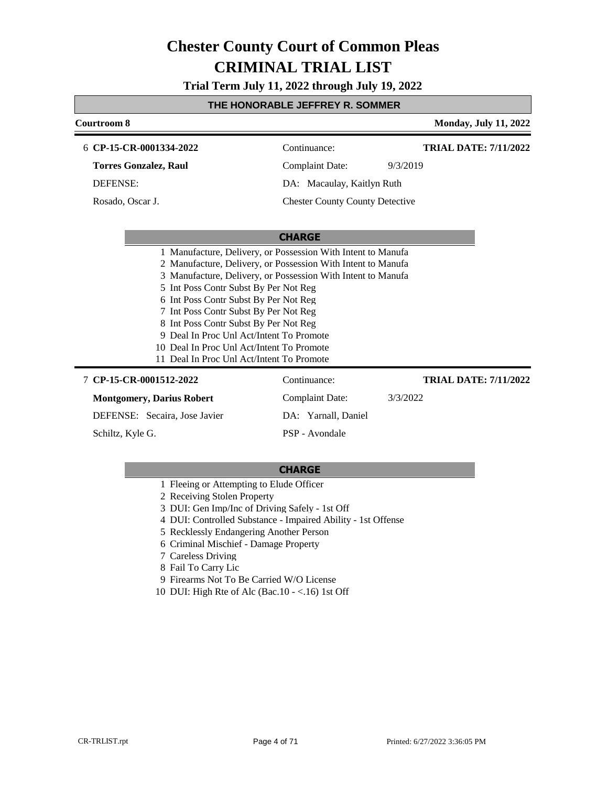**Trial Term July 11, 2022 through July 19, 2022**

### **THE HONORABLE JEFFREY R. SOMMER**

| Courtroom 8                                                                                                                                                                                                                                                                                                                                                                                                                                                                                            |                                        | <b>Monday, July 11, 2022</b> |
|--------------------------------------------------------------------------------------------------------------------------------------------------------------------------------------------------------------------------------------------------------------------------------------------------------------------------------------------------------------------------------------------------------------------------------------------------------------------------------------------------------|----------------------------------------|------------------------------|
| 6 CP-15-CR-0001334-2022                                                                                                                                                                                                                                                                                                                                                                                                                                                                                | Continuance:                           | <b>TRIAL DATE: 7/11/2022</b> |
| <b>Torres Gonzalez, Raul</b>                                                                                                                                                                                                                                                                                                                                                                                                                                                                           | <b>Complaint Date:</b>                 | 9/3/2019                     |
| <b>DEFENSE:</b>                                                                                                                                                                                                                                                                                                                                                                                                                                                                                        | DA: Macaulay, Kaitlyn Ruth             |                              |
| Rosado, Oscar J.                                                                                                                                                                                                                                                                                                                                                                                                                                                                                       | <b>Chester County County Detective</b> |                              |
|                                                                                                                                                                                                                                                                                                                                                                                                                                                                                                        |                                        |                              |
|                                                                                                                                                                                                                                                                                                                                                                                                                                                                                                        | <b>CHARGE</b>                          |                              |
| 1 Manufacture, Delivery, or Possession With Intent to Manufa<br>2 Manufacture, Delivery, or Possession With Intent to Manufa<br>3 Manufacture, Delivery, or Possession With Intent to Manufa<br>5 Int Poss Contr Subst By Per Not Reg<br>6 Int Poss Contr Subst By Per Not Reg<br>7 Int Poss Contr Subst By Per Not Reg<br>8 Int Poss Contr Subst By Per Not Reg<br>9 Deal In Proc Unl Act/Intent To Promote<br>10 Deal In Proc Unl Act/Intent To Promote<br>11 Deal In Proc Unl Act/Intent To Promote |                                        |                              |
| 7 CP-15-CR-0001512-2022                                                                                                                                                                                                                                                                                                                                                                                                                                                                                | Continuance:                           | <b>TRIAL DATE: 7/11/2022</b> |
| <b>Montgomery, Darius Robert</b>                                                                                                                                                                                                                                                                                                                                                                                                                                                                       | <b>Complaint Date:</b>                 | 3/3/2022                     |
| DEFENSE: Secaira, Jose Javier                                                                                                                                                                                                                                                                                                                                                                                                                                                                          | DA: Yarnall, Daniel                    |                              |
| Schiltz, Kyle G.                                                                                                                                                                                                                                                                                                                                                                                                                                                                                       | PSP - Avondale                         |                              |

- 1 Fleeing or Attempting to Elude Officer
- 2 Receiving Stolen Property
- 3 DUI: Gen Imp/Inc of Driving Safely 1st Off
- 4 DUI: Controlled Substance Impaired Ability 1st Offense
- 5 Recklessly Endangering Another Person
- 6 Criminal Mischief Damage Property
- 7 Careless Driving
- 8 Fail To Carry Lic
- 9 Firearms Not To Be Carried W/O License
- 10 DUI: High Rte of Alc (Bac.10 <.16) 1st Off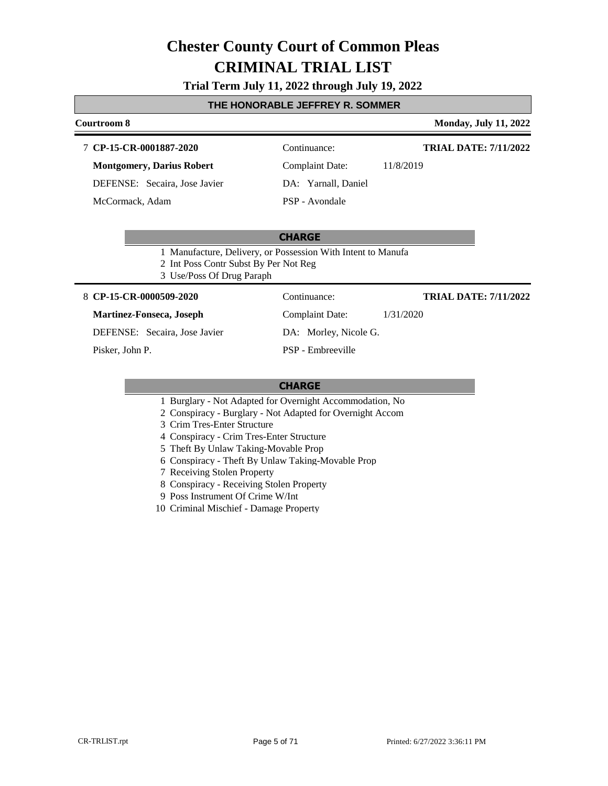### **Trial Term July 11, 2022 through July 19, 2022**

### **THE HONORABLE JEFFREY R. SOMMER**

### **Courtroom 8 Monday, July 11, 2022 CP-15-CR-0001887-2020** 7 Continuance: **Montgomery, Darius Robert** Complaint Date: 11/8/2019 **TRIAL DATE: 7/11/2022**

DEFENSE: Secaira, Jose Javier

McCormack, Adam

DA: Yarnall, Daniel PSP - Avondale

### **CHARGE**

- 1 Manufacture, Delivery, or Possession With Intent to Manufa
- 2 Int Poss Contr Subst By Per Not Reg
- 3 Use/Poss Of Drug Paraph

### **CP-15-CR-0000509-2020** 8 Continuance:

### **Martinez-Fonseca, Joseph**

DEFENSE: Secaira, Jose Javier

Pisker, John P.

**TRIAL DATE: 7/11/2022**

DA: Morley, Nicole G.

PSP - Embreeville

### **CHARGE**

- 1 Burglary Not Adapted for Overnight Accommodation, No
- 2 Conspiracy Burglary Not Adapted for Overnight Accom
- 3 Crim Tres-Enter Structure
- 4 Conspiracy Crim Tres-Enter Structure
- 5 Theft By Unlaw Taking-Movable Prop
- 6 Conspiracy Theft By Unlaw Taking-Movable Prop
- 7 Receiving Stolen Property
- 8 Conspiracy Receiving Stolen Property
- 9 Poss Instrument Of Crime W/Int
- 10 Criminal Mischief Damage Property

Complaint Date: 1/31/2020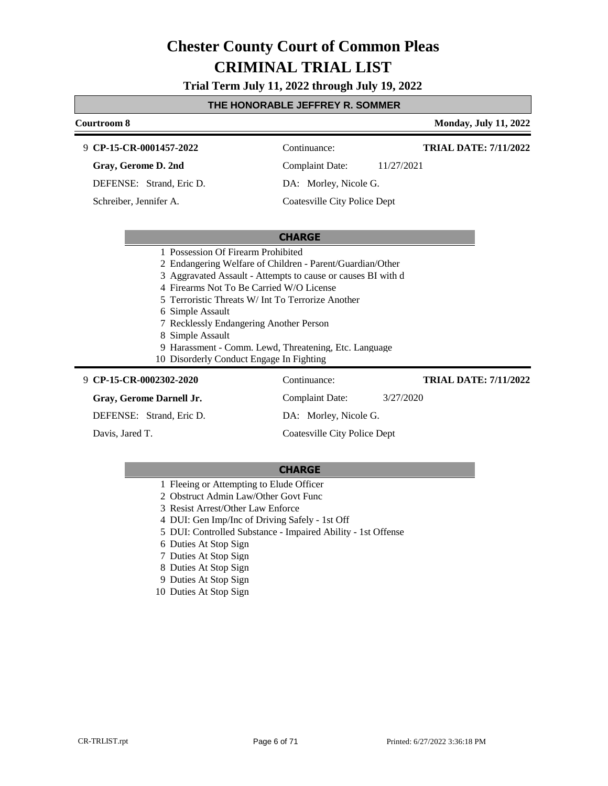**Trial Term July 11, 2022 through July 19, 2022**

### **THE HONORABLE JEFFREY R. SOMMER**

| Courtroom 8                                                                                                                                                                                                                                                                                                                                                                                                                                              |                              | <b>Monday, July 11, 2022</b> |  |
|----------------------------------------------------------------------------------------------------------------------------------------------------------------------------------------------------------------------------------------------------------------------------------------------------------------------------------------------------------------------------------------------------------------------------------------------------------|------------------------------|------------------------------|--|
| 9 CP-15-CR-0001457-2022                                                                                                                                                                                                                                                                                                                                                                                                                                  | Continuance:                 | <b>TRIAL DATE: 7/11/2022</b> |  |
| Gray, Gerome D. 2nd                                                                                                                                                                                                                                                                                                                                                                                                                                      | <b>Complaint Date:</b>       | 11/27/2021                   |  |
| DEFENSE: Strand, Eric D.                                                                                                                                                                                                                                                                                                                                                                                                                                 | DA: Morley, Nicole G.        |                              |  |
| Schreiber, Jennifer A.                                                                                                                                                                                                                                                                                                                                                                                                                                   | Coatesville City Police Dept |                              |  |
|                                                                                                                                                                                                                                                                                                                                                                                                                                                          |                              |                              |  |
|                                                                                                                                                                                                                                                                                                                                                                                                                                                          | <b>CHARGE</b>                |                              |  |
| 1 Possession Of Firearm Prohibited<br>2 Endangering Welfare of Children - Parent/Guardian/Other<br>3 Aggravated Assault - Attempts to cause or causes BI with d<br>4 Firearms Not To Be Carried W/O License<br>5 Terroristic Threats W/ Int To Terrorize Another<br>6 Simple Assault<br>7 Recklessly Endangering Another Person<br>8 Simple Assault<br>9 Harassment - Comm. Lewd, Threatening, Etc. Language<br>10 Disorderly Conduct Engage In Fighting |                              |                              |  |
| 9 CP-15-CR-0002302-2020                                                                                                                                                                                                                                                                                                                                                                                                                                  | Continuance:                 | <b>TRIAL DATE: 7/11/2022</b> |  |
| Gray, Gerome Darnell Jr.                                                                                                                                                                                                                                                                                                                                                                                                                                 | <b>Complaint Date:</b>       | 3/27/2020                    |  |
| DEFENSE: Strand, Eric D.                                                                                                                                                                                                                                                                                                                                                                                                                                 | DA: Morley, Nicole G.        |                              |  |

Davis, Jared T.

### **CHARGE**

Coatesville City Police Dept

- 1 Fleeing or Attempting to Elude Officer
- 2 Obstruct Admin Law/Other Govt Func
- 3 Resist Arrest/Other Law Enforce
- 4 DUI: Gen Imp/Inc of Driving Safely 1st Off
- 5 DUI: Controlled Substance Impaired Ability 1st Offense
- 6 Duties At Stop Sign
- 7 Duties At Stop Sign
- 8 Duties At Stop Sign
- 9 Duties At Stop Sign
- 10 Duties At Stop Sign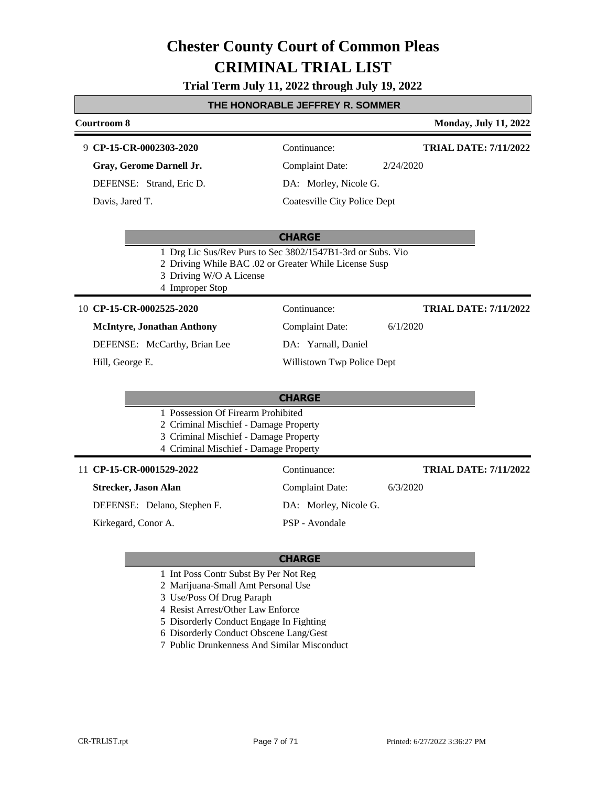### **Trial Term July 11, 2022 through July 19, 2022**

### **THE HONORABLE JEFFREY R. SOMMER**

#### **Courtroom 8 Monday, July 11, 2022 CP-15-CR-0002303-2020** 9 Continuance: **Gray, Gerome Darnell Jr.** DEFENSE: Strand, Eric D. Complaint Date: 2/24/2020 DA: Morley, Nicole G. **TRIAL DATE: 7/11/2022**

**CHARGE**

- 1 Drg Lic Sus/Rev Purs to Sec 3802/1547B1-3rd or Subs. Vio
- 2 Driving While BAC .02 or Greater While License Susp
- 3 Driving W/O A License
- 4 Improper Stop

#### **CP-15-CR-0002525-2020** 10 Continuance:

### **McIntyre, Jonathan Anthony**

DEFENSE: McCarthy, Brian Lee

Hill, George E.

Davis, Jared T.

### Complaint Date: 6/1/2020

DA: Yarnall, Daniel

Coatesville City Police Dept

# Willistown Twp Police Dept

| <b>CHARGE</b> |                                       |                       |          |                              |
|---------------|---------------------------------------|-----------------------|----------|------------------------------|
|               | 1 Possession Of Firearm Prohibited    |                       |          |                              |
|               | 2 Criminal Mischief - Damage Property |                       |          |                              |
|               | 3 Criminal Mischief - Damage Property |                       |          |                              |
|               | 4 Criminal Mischief - Damage Property |                       |          |                              |
|               | 11 CP-15-CR-0001529-2022              | Continuance:          |          | <b>TRIAL DATE: 7/11/2022</b> |
|               | Strecker, Jason Alan                  | Complaint Date:       | 6/3/2020 |                              |
|               | DEFENSE: Delano, Stephen F.           | DA: Morley, Nicole G. |          |                              |
|               | Kirkegard, Conor A.                   | PSP - Avondale        |          |                              |

### **CHARGE**

- 1 Int Poss Contr Subst By Per Not Reg
- 2 Marijuana-Small Amt Personal Use
- 3 Use/Poss Of Drug Paraph
- 4 Resist Arrest/Other Law Enforce
- 5 Disorderly Conduct Engage In Fighting
- 6 Disorderly Conduct Obscene Lang/Gest
- 7 Public Drunkenness And Similar Misconduct

**TRIAL DATE: 7/11/2022**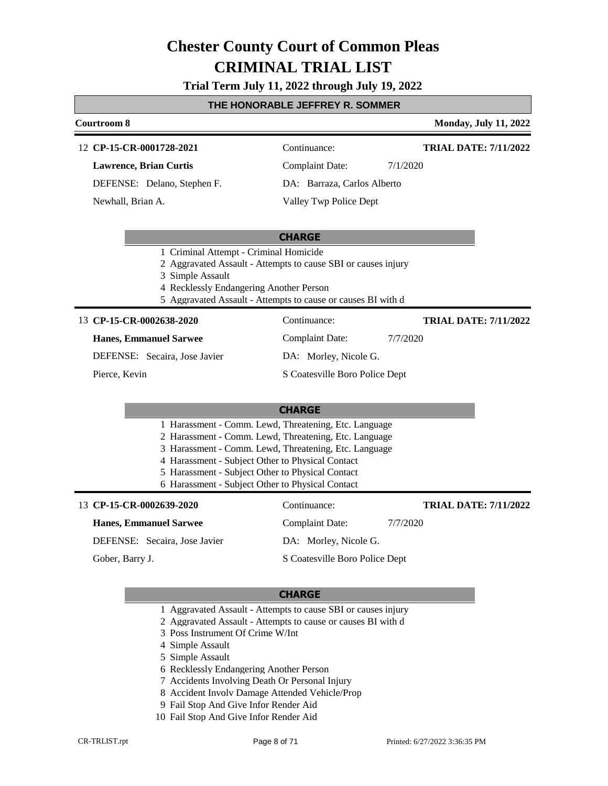### **Trial Term July 11, 2022 through July 19, 2022**

### **THE HONORABLE JEFFREY R. SOMMER**

### **Courtroom 8 Monday, July 11, 2022 CP-15-CR-0001728-2021** 12 Continuance: **Lawrence, Brian Curtis** Complaint Date: 7/1/2020 **TRIAL DATE: 7/11/2022**

DEFENSE: Delano, Stephen F.

Newhall, Brian A.

Valley Twp Police Dept

DA: Barraza, Carlos Alberto

### **CHARGE**

- 1 Criminal Attempt Criminal Homicide
- 2 Aggravated Assault Attempts to cause SBI or causes injury
- 3 Simple Assault
- 4 Recklessly Endangering Another Person
- 5 Aggravated Assault Attempts to cause or causes BI with d

### 13 **CP-15-CR-0002638-2020** Continuance:

### **Hanes, Emmanuel Sarwee**

DEFENSE: Secaira, Jose Javier

Pierce, Kevin

DA: Morley, Nicole G.

S Coatesville Boro Police Dept

### **CHARGE**

|  | 1 Harassment - Comm. Lewd, Threatening, Etc. Language         |  |  |  |
|--|---------------------------------------------------------------|--|--|--|
|  | 2 Harassment - Comm. Lewd, Threatening, Etc. Language         |  |  |  |
|  | <sup>2</sup> Harassmant, Comm. Loyd Throatoning Etc. Language |  |  |  |

- 3 Harassment Comm. Lewd, Threatening, Etc. Language 4 Harassment - Subject Other to Physical Contact
- 5 Harassment Subject Other to Physical Contact
- 6 Harassment Subject Other to Physical Contact

| 13 CP-15-CR-0002639-2020      | Continuance:                   | <b>TRIAL DATE: 7/11/2022</b> |
|-------------------------------|--------------------------------|------------------------------|
| <b>Hanes, Emmanuel Sarwee</b> | Complaint Date:                | 7/7/2020                     |
| DEFENSE: Secaira, Jose Javier | DA: Morley, Nicole G.          |                              |
| Gober, Barry J.               | S Coatesville Boro Police Dept |                              |

### **CHARGE**

- 1 Aggravated Assault Attempts to cause SBI or causes injury
- 2 Aggravated Assault Attempts to cause or causes BI with d
- 3 Poss Instrument Of Crime W/Int
- 4 Simple Assault
- 5 Simple Assault
- 6 Recklessly Endangering Another Person
- 7 Accidents Involving Death Or Personal Injury
- 8 Accident Involv Damage Attended Vehicle/Prop
- 9 Fail Stop And Give Infor Render Aid
- 10 Fail Stop And Give Infor Render Aid

Complaint Date: 7/7/2020

**TRIAL DATE: 7/11/2022**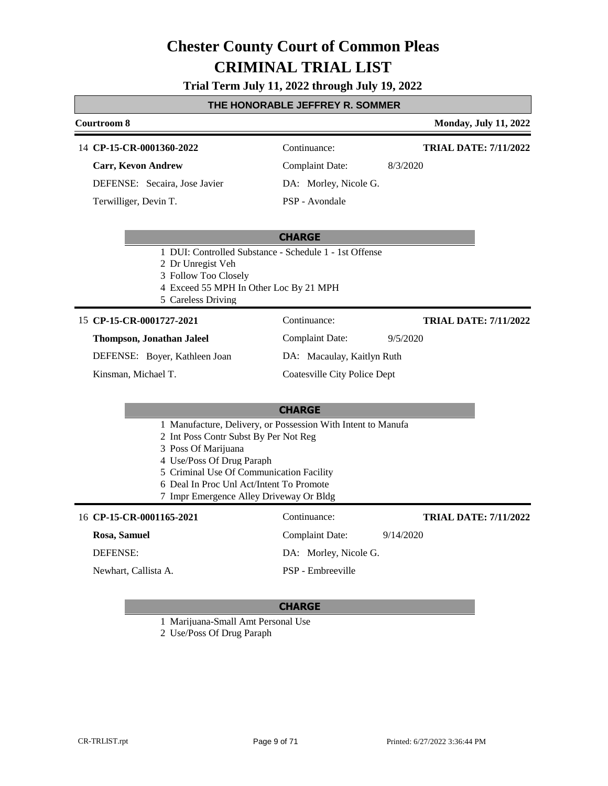### **Trial Term July 11, 2022 through July 19, 2022**

### **THE HONORABLE JEFFREY R. SOMMER**

### **Courtroom 8 Monday, July 11, 2022** 14 **CP-15-CR-0001360-2022** Continuance: **Carr, Kevon Andrew** Complaint Date: 8/3/2020 **TRIAL DATE: 7/11/2022**

DEFENSE: Secaira, Jose Javier Terwilliger, Devin T.

DA: Morley, Nicole G. PSP - Avondale

Complaint Date: 9/5/2020

DA: Macaulay, Kaitlyn Ruth Coatesville City Police Dept

### **CHARGE**

- 1 DUI: Controlled Substance Schedule 1 1st Offense
- 2 Dr Unregist Veh
- 3 Follow Too Closely
- 4 Exceed 55 MPH In Other Loc By 21 MPH
- 5 Careless Driving

### 15 **CP-15-CR-0001727-2021** Continuance:

### **Thompson, Jonathan Jaleel**

DEFENSE: Boyer, Kathleen Joan

Kinsman, Michael T.

### **CHARGE**

- 1 Manufacture, Delivery, or Possession With Intent to Manufa
- 2 Int Poss Contr Subst By Per Not Reg
- 3 Poss Of Marijuana
- 4 Use/Poss Of Drug Paraph
- 5 Criminal Use Of Communication Facility
- 6 Deal In Proc Unl Act/Intent To Promote
- 7 Impr Emergence Alley Driveway Or Bldg

### 16 **CP-15-CR-0001165-2021** Continuance:

Newhart, Callista A.

### **Rosa, Samuel**

DEFENSE:

Complaint Date: 9/14/2020 DA: Morley, Nicole G. PSP - Embreeville **TRIAL DATE: 7/11/2022**

**TRIAL DATE: 7/11/2022**

### **CHARGE**

1 Marijuana-Small Amt Personal Use

2 Use/Poss Of Drug Paraph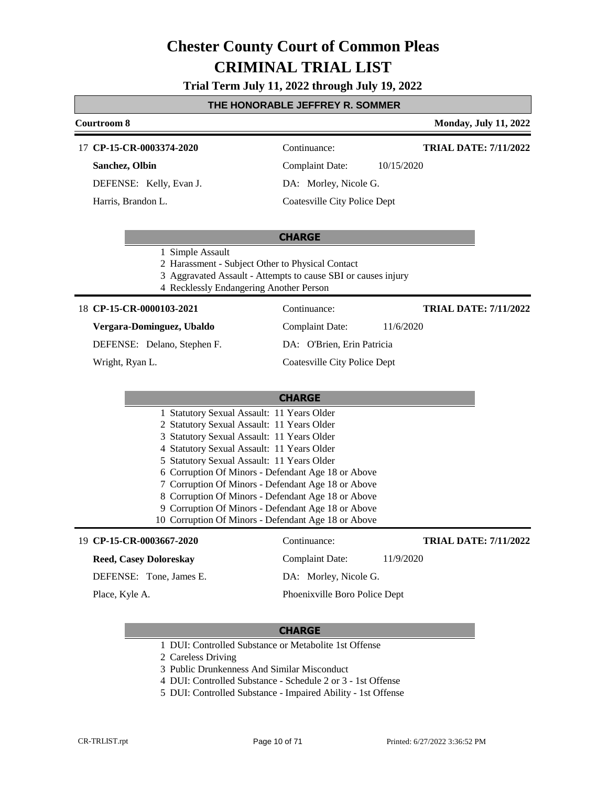### **Trial Term July 11, 2022 through July 19, 2022**

### **THE HONORABLE JEFFREY R. SOMMER**

### **Courtroom 8 Monday, July 11, 2022** 17 **CP-15-CR-0003374-2020** Continuance: **TRIAL DATE: 7/11/2022**

**Sanchez, Olbin**

DEFENSE: Kelly, Evan J.

Harris, Brandon L.

Complaint Date: 10/15/2020

DA: Morley, Nicole G.

Coatesville City Police Dept

### **CHARGE**

- 1 Simple Assault
- 2 Harassment Subject Other to Physical Contact
- 3 Aggravated Assault Attempts to cause SBI or causes injury
- 4 Recklessly Endangering Another Person

### **CP-15-CR-0000103-2021** 18 Continuance:

### **Vergara-Dominguez, Ubaldo**

DEFENSE: Delano, Stephen F.

Wright, Ryan L.

Complaint Date: 11/6/2020 DA: O'Brien, Erin Patricia

### Coatesville City Police Dept

|                          | <b>CHARGE</b>                                       |                             |
|--------------------------|-----------------------------------------------------|-----------------------------|
|                          | 1 Statutory Sexual Assault: 11 Years Older          |                             |
|                          | 2 Statutory Sexual Assault: 11 Years Older          |                             |
|                          | 3 Statutory Sexual Assault: 11 Years Older          |                             |
|                          | 4 Statutory Sexual Assault: 11 Years Older          |                             |
|                          | 5 Statutory Sexual Assault: 11 Years Older          |                             |
|                          | 6 Corruption Of Minors - Defendant Age 18 or Above  |                             |
|                          | 7 Corruption Of Minors - Defendant Age 18 or Above  |                             |
|                          | 8 Corruption Of Minors - Defendant Age 18 or Above  |                             |
|                          | 9 Corruption Of Minors - Defendant Age 18 or Above  |                             |
|                          | 10 Corruption Of Minors - Defendant Age 18 or Above |                             |
| 19 CP-15-CR-0003667-2020 | `ontinuance:                                        | <b>TRIAL DATE: 7/11/202</b> |

### **Reed, Casey Doloreskay**

DEFENSE: Tone, James E.

Place, Kyle A.

**TRIAL DATE: 7/11/2022**

Complaint Date: 11/9/2020

### DA: Morley, Nicole G.

Phoenixville Boro Police Dept

- 1 DUI: Controlled Substance or Metabolite 1st Offense
- 2 Careless Driving
- 3 Public Drunkenness And Similar Misconduct
- 4 DUI: Controlled Substance Schedule 2 or 3 1st Offense
- 5 DUI: Controlled Substance Impaired Ability 1st Offense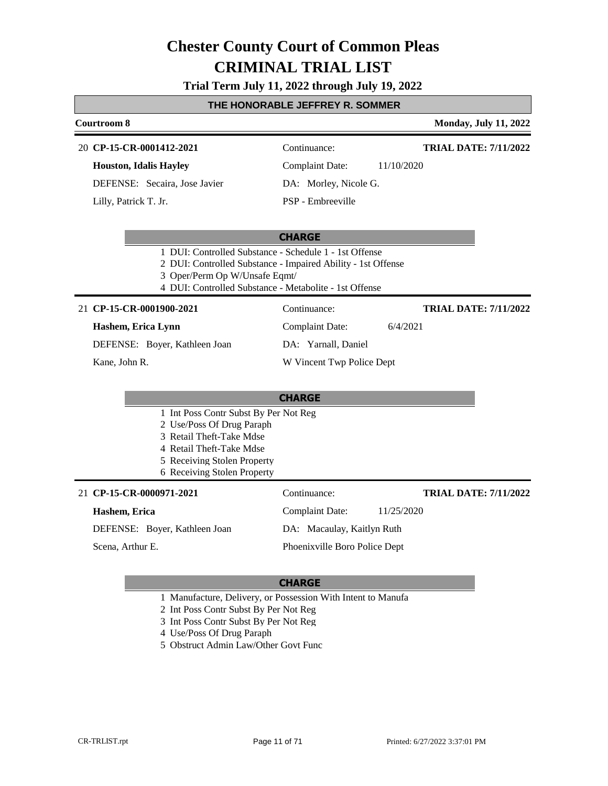### **Trial Term July 11, 2022 through July 19, 2022**

### **THE HONORABLE JEFFREY R. SOMMER**

#### **Courtroom 8 Monday, July 11, 2022**

#### **CP-15-CR-0001412-2021** 20 Continuance:

**Houston, Idalis Hayley**

DEFENSE: Secaira, Jose Javier

Lilly, Patrick T. Jr.

Complaint Date: 11/10/2020

DA: Morley, Nicole G.

**TRIAL DATE: 7/11/2022**

**TRIAL DATE: 7/11/2022**

**TRIAL DATE: 7/11/2022**

PSP - Embreeville

#### **CHARGE**

- 1 DUI: Controlled Substance Schedule 1 1st Offense
- 2 DUI: Controlled Substance Impaired Ability 1st Offense
- 3 Oper/Perm Op W/Unsafe Eqmt/
- 4 DUI: Controlled Substance Metabolite 1st Offense

**CP-15-CR-0001900-2021** 21 Continuance:

### **Hashem, Erica Lynn**

DEFENSE: Boyer, Kathleen Joan

Kane, John R.

### DA: Yarnall, Daniel

W Vincent Twp Police Dept

Complaint Date: 6/4/2021

### **CHARGE**

- 1 Int Poss Contr Subst By Per Not Reg
- 2 Use/Poss Of Drug Paraph
- 3 Retail Theft-Take Mdse
- 4 Retail Theft-Take Mdse
- 5 Receiving Stolen Property
- 6 Receiving Stolen Property

### **CP-15-CR-0000971-2021** 21 Continuance:

#### **Hashem, Erica**

DEFENSE: Boyer, Kathleen Joan

Scena, Arthur E.

Complaint Date: 11/25/2020 DA: Macaulay, Kaitlyn Ruth Phoenixville Boro Police Dept

### **CHARGE**

1 Manufacture, Delivery, or Possession With Intent to Manufa

2 Int Poss Contr Subst By Per Not Reg

3 Int Poss Contr Subst By Per Not Reg

4 Use/Poss Of Drug Paraph

5 Obstruct Admin Law/Other Govt Func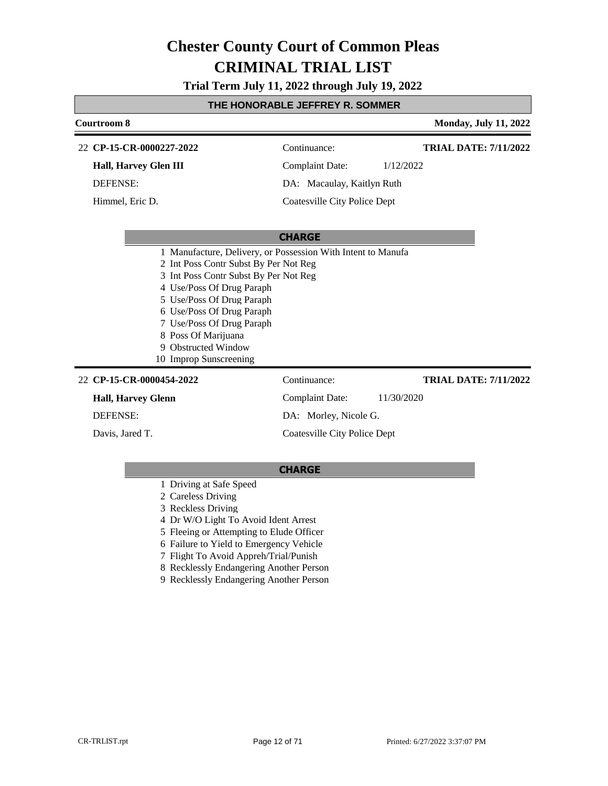**Trial Term July 11, 2022 through July 19, 2022**

### **THE HONORABLE JEFFREY R. SOMMER**

| Courtroom 8                                                                                                                                                                                                                                                                                                                                |                              |            | <b>Monday, July 11, 2022</b> |
|--------------------------------------------------------------------------------------------------------------------------------------------------------------------------------------------------------------------------------------------------------------------------------------------------------------------------------------------|------------------------------|------------|------------------------------|
| 22 CP-15-CR-0000227-2022                                                                                                                                                                                                                                                                                                                   | Continuance:                 |            | <b>TRIAL DATE: 7/11/2022</b> |
| <b>Hall, Harvey Glen III</b>                                                                                                                                                                                                                                                                                                               | Complaint Date:              | 1/12/2022  |                              |
| DEFENSE:                                                                                                                                                                                                                                                                                                                                   | DA: Macaulay, Kaitlyn Ruth   |            |                              |
| Himmel, Eric D.                                                                                                                                                                                                                                                                                                                            | Coatesville City Police Dept |            |                              |
|                                                                                                                                                                                                                                                                                                                                            |                              |            |                              |
|                                                                                                                                                                                                                                                                                                                                            | <b>CHARGE</b>                |            |                              |
| 1 Manufacture, Delivery, or Possession With Intent to Manufa<br>2 Int Poss Contr Subst By Per Not Reg<br>3 Int Poss Contr Subst By Per Not Reg<br>4 Use/Poss Of Drug Paraph<br>5 Use/Poss Of Drug Paraph<br>6 Use/Poss Of Drug Paraph<br>7 Use/Poss Of Drug Paraph<br>8 Poss Of Marijuana<br>9 Obstructed Window<br>10 Improp Sunscreening |                              |            |                              |
| 22 CP-15-CR-0000454-2022                                                                                                                                                                                                                                                                                                                   | Continuance:                 |            | <b>TRIAL DATE: 7/11/2022</b> |
| <b>Hall, Harvey Glenn</b>                                                                                                                                                                                                                                                                                                                  | <b>Complaint Date:</b>       | 11/30/2020 |                              |
| <b>DEFENSE:</b>                                                                                                                                                                                                                                                                                                                            | DA: Morley, Nicole G.        |            |                              |
| Davis, Jared T.                                                                                                                                                                                                                                                                                                                            | Coatesville City Police Dept |            |                              |

- 1 Driving at Safe Speed
- 2 Careless Driving
- 3 Reckless Driving
- 4 Dr W/O Light To Avoid Ident Arrest
- 5 Fleeing or Attempting to Elude Officer
- 6 Failure to Yield to Emergency Vehicle
- 7 Flight To Avoid Appreh/Trial/Punish
- 8 Recklessly Endangering Another Person
- 9 Recklessly Endangering Another Person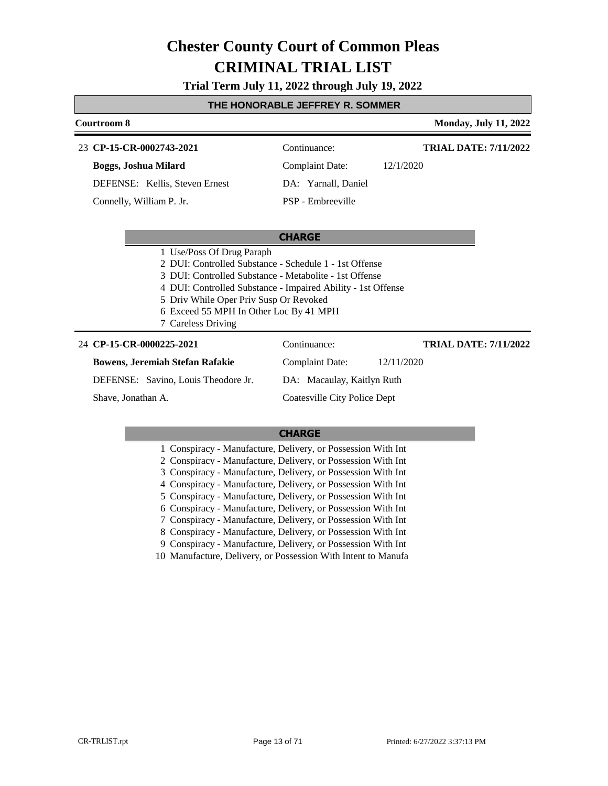### **Trial Term July 11, 2022 through July 19, 2022**

### **THE HONORABLE JEFFREY R. SOMMER**

| Courtroom 8                                                                                                                                                                                                                                             |                                                              | <b>Monday, July 11, 2022</b> |
|---------------------------------------------------------------------------------------------------------------------------------------------------------------------------------------------------------------------------------------------------------|--------------------------------------------------------------|------------------------------|
| 23 CP-15-CR-0002743-2021                                                                                                                                                                                                                                | Continuance:                                                 | <b>TRIAL DATE: 7/11/2022</b> |
| Boggs, Joshua Milard                                                                                                                                                                                                                                    | <b>Complaint Date:</b>                                       | 12/1/2020                    |
| DEFENSE: Kellis, Steven Ernest                                                                                                                                                                                                                          | DA: Yarnall, Daniel                                          |                              |
| Connelly, William P. Jr.                                                                                                                                                                                                                                | PSP - Embreeville                                            |                              |
|                                                                                                                                                                                                                                                         |                                                              |                              |
|                                                                                                                                                                                                                                                         | <b>CHARGE</b>                                                |                              |
| 1 Use/Poss Of Drug Paraph<br>2 DUI: Controlled Substance - Schedule 1 - 1st Offense<br>3 DUI: Controlled Substance - Metabolite - 1st Offense<br>5 Driv While Oper Priv Susp Or Revoked<br>6 Exceed 55 MPH In Other Loc By 41 MPH<br>7 Careless Driving | 4 DUI: Controlled Substance - Impaired Ability - 1st Offense |                              |
| 24 CP-15-CR-0000225-2021                                                                                                                                                                                                                                | Continuance:                                                 | <b>TRIAL DATE: 7/11/2022</b> |
| <b>Bowens, Jeremiah Stefan Rafakie</b>                                                                                                                                                                                                                  | <b>Complaint Date:</b>                                       | 12/11/2020                   |
| DEFENSE: Savino, Louis Theodore Jr.                                                                                                                                                                                                                     | DA: Macaulay, Kaitlyn Ruth                                   |                              |
| Shave, Jonathan A.                                                                                                                                                                                                                                      | Coatesville City Police Dept                                 |                              |
|                                                                                                                                                                                                                                                         |                                                              |                              |

| 1 Conspiracy - Manufacture, Delivery, or Possession With Int  |
|---------------------------------------------------------------|
| 2 Conspiracy - Manufacture, Delivery, or Possession With Int  |
| 3 Conspiracy - Manufacture, Delivery, or Possession With Int  |
| 4 Conspiracy - Manufacture, Delivery, or Possession With Int  |
| 5 Conspiracy - Manufacture, Delivery, or Possession With Int  |
| 6 Conspiracy - Manufacture, Delivery, or Possession With Int  |
| 7 Conspiracy - Manufacture, Delivery, or Possession With Int  |
| 8 Conspiracy - Manufacture, Delivery, or Possession With Int  |
| 9 Conspiracy - Manufacture, Delivery, or Possession With Int  |
| 10 Manufacture, Delivery, or Possession With Intent to Manufa |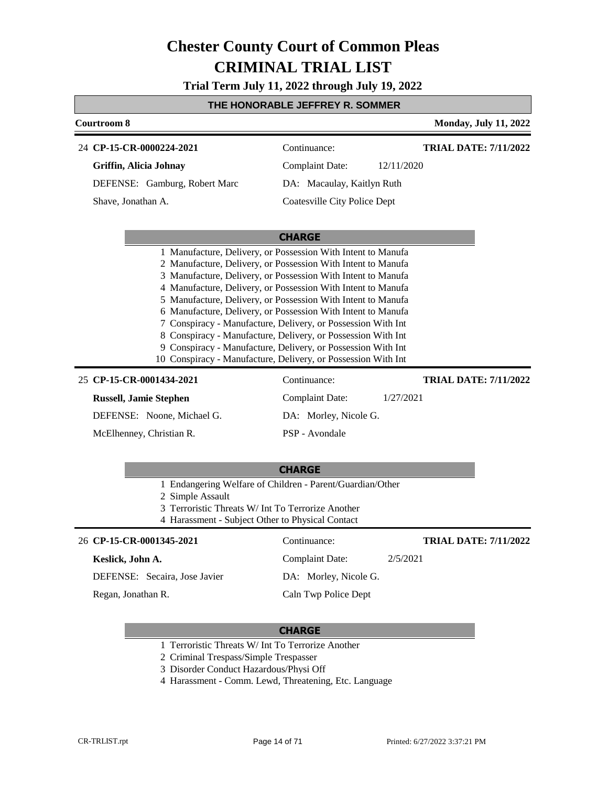**Trial Term July 11, 2022 through July 19, 2022**

### **THE HONORABLE JEFFREY R. SOMMER**

| <u>I HE HUNUKABLE JEFFKET K. SUMMEK</u>                                                                                                                                                                                                                                                                                                                                                                                                                                                                                                                                                       |                              |                              |  |  |
|-----------------------------------------------------------------------------------------------------------------------------------------------------------------------------------------------------------------------------------------------------------------------------------------------------------------------------------------------------------------------------------------------------------------------------------------------------------------------------------------------------------------------------------------------------------------------------------------------|------------------------------|------------------------------|--|--|
| Courtroom 8                                                                                                                                                                                                                                                                                                                                                                                                                                                                                                                                                                                   |                              | <b>Monday, July 11, 2022</b> |  |  |
| 24 CP-15-CR-0000224-2021                                                                                                                                                                                                                                                                                                                                                                                                                                                                                                                                                                      | Continuance:                 | <b>TRIAL DATE: 7/11/2022</b> |  |  |
| Griffin, Alicia Johnay                                                                                                                                                                                                                                                                                                                                                                                                                                                                                                                                                                        | <b>Complaint Date:</b>       | 12/11/2020                   |  |  |
| DEFENSE: Gamburg, Robert Marc                                                                                                                                                                                                                                                                                                                                                                                                                                                                                                                                                                 | DA: Macaulay, Kaitlyn Ruth   |                              |  |  |
| Shave, Jonathan A.                                                                                                                                                                                                                                                                                                                                                                                                                                                                                                                                                                            | Coatesville City Police Dept |                              |  |  |
|                                                                                                                                                                                                                                                                                                                                                                                                                                                                                                                                                                                               | <b>CHARGE</b>                |                              |  |  |
| 2 Manufacture, Delivery, or Possession With Intent to Manufa<br>3 Manufacture, Delivery, or Possession With Intent to Manufa<br>4 Manufacture, Delivery, or Possession With Intent to Manufa<br>5 Manufacture, Delivery, or Possession With Intent to Manufa<br>6 Manufacture, Delivery, or Possession With Intent to Manufa<br>7 Conspiracy - Manufacture, Delivery, or Possession With Int<br>8 Conspiracy - Manufacture, Delivery, or Possession With Int<br>9 Conspiracy - Manufacture, Delivery, or Possession With Int<br>10 Conspiracy - Manufacture, Delivery, or Possession With Int |                              |                              |  |  |
| 25 CP-15-CR-0001434-2021                                                                                                                                                                                                                                                                                                                                                                                                                                                                                                                                                                      | Continuance:                 | <b>TRIAL DATE: 7/11/2022</b> |  |  |
| <b>Russell, Jamie Stephen</b>                                                                                                                                                                                                                                                                                                                                                                                                                                                                                                                                                                 | <b>Complaint Date:</b>       | 1/27/2021                    |  |  |
| DEFENSE: Noone, Michael G.                                                                                                                                                                                                                                                                                                                                                                                                                                                                                                                                                                    | DA: Morley, Nicole G.        |                              |  |  |
| McElhenney, Christian R.                                                                                                                                                                                                                                                                                                                                                                                                                                                                                                                                                                      | PSP - Avondale               |                              |  |  |
|                                                                                                                                                                                                                                                                                                                                                                                                                                                                                                                                                                                               | <b>CHARGE</b>                |                              |  |  |
| 1 Endangering Welfare of Children - Parent/Guardian/Other<br>2 Simple Assault<br>3 Terroristic Threats W/ Int To Terrorize Another<br>4 Harassment - Subject Other to Physical Contact                                                                                                                                                                                                                                                                                                                                                                                                        |                              |                              |  |  |
| 26 CP-15-CR-0001345-2021                                                                                                                                                                                                                                                                                                                                                                                                                                                                                                                                                                      | Continuance:                 | <b>TRIAL DATE: 7/11/2022</b> |  |  |
| Keslick, John A.                                                                                                                                                                                                                                                                                                                                                                                                                                                                                                                                                                              | <b>Complaint Date:</b>       | 2/5/2021                     |  |  |
| DEFENSE: Secaira, Jose Javier                                                                                                                                                                                                                                                                                                                                                                                                                                                                                                                                                                 | DA: Morley, Nicole G.        |                              |  |  |

Regan, Jonathan R.

Г

### **CHARGE**

Caln Twp Police Dept

- 1 Terroristic Threats W/ Int To Terrorize Another
- 2 Criminal Trespass/Simple Trespasser
- 3 Disorder Conduct Hazardous/Physi Off
- 4 Harassment Comm. Lewd, Threatening, Etc. Language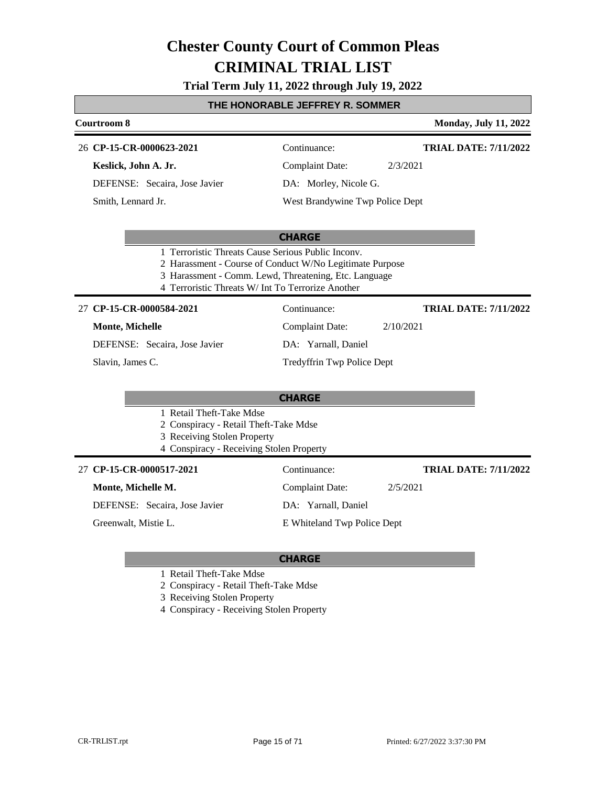**Trial Term July 11, 2022 through July 19, 2022**

### **THE HONORABLE JEFFREY R. SOMMER**

### **Courtroom 8 Monday, July 11, 2022 CP-15-CR-0000623-2021** 26 Continuance: **TRIAL DATE: 7/11/2022**

**Keslick, John A. Jr.**

DEFENSE: Secaira, Jose Javier

Smith, Lennard Jr.

Complaint Date: 2/3/2021

DA: Morley, Nicole G.

West Brandywine Twp Police Dept

### **CHARGE**

- 1 Terroristic Threats Cause Serious Public Inconv.
- 2 Harassment Course of Conduct W/No Legitimate Purpose
- 3 Harassment Comm. Lewd, Threatening, Etc. Language
- 4 Terroristic Threats W/ Int To Terrorize Another

#### **CP-15-CR-0000584-2021** 27 Continuance:

### **Monte, Michelle**

DEFENSE: Secaira, Jose Javier

Slavin, James C.

### Complaint Date: 2/10/2021

DA: Yarnall, Daniel

Tredyffrin Twp Police Dept

### **CHARGE**

- 1 Retail Theft-Take Mdse
- 2 Conspiracy Retail Theft-Take Mdse
- 3 Receiving Stolen Property
- 4 Conspiracy Receiving Stolen Property

### **CP-15-CR-0000517-2021** 27 Continuance:

### **Monte, Michelle M.**

DEFENSE: Secaira, Jose Javier

Greenwalt, Mistie L.

# DA: Yarnall, Daniel

E Whiteland Twp Police Dept

Complaint Date: 2/5/2021

### **CHARGE**

- 1 Retail Theft-Take Mdse
- 2 Conspiracy Retail Theft-Take Mdse
- 3 Receiving Stolen Property
- 4 Conspiracy Receiving Stolen Property

**TRIAL DATE: 7/11/2022**

**TRIAL DATE: 7/11/2022**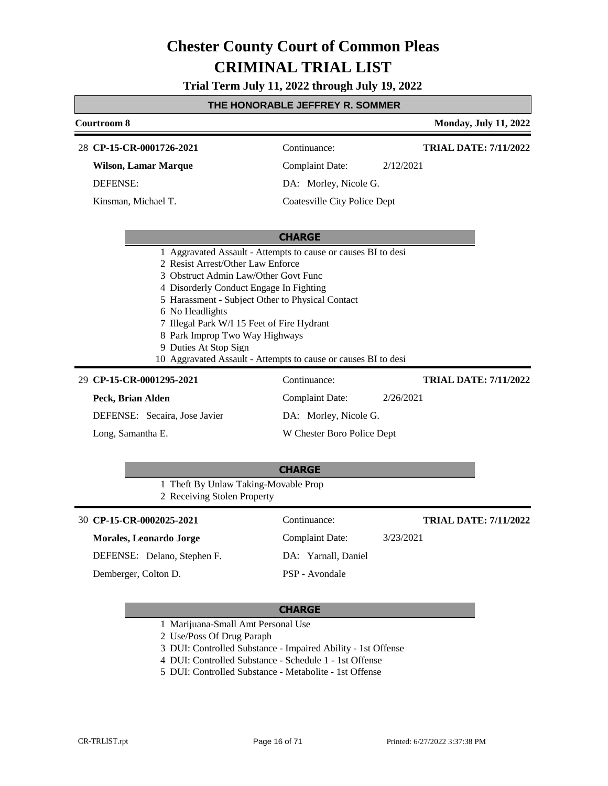**Trial Term July 11, 2022 through July 19, 2022**

### **THE HONORABLE JEFFREY R. SOMMER**

|                                                                                                                                                                                                                                                                                                                                                                        | L HUNURADLL JLI I RLT R. SUMMLR        |                                           |
|------------------------------------------------------------------------------------------------------------------------------------------------------------------------------------------------------------------------------------------------------------------------------------------------------------------------------------------------------------------------|----------------------------------------|-------------------------------------------|
| <b>Courtroom 8</b>                                                                                                                                                                                                                                                                                                                                                     |                                        | <b>Monday, July 11, 2022</b>              |
| 28 CP-15-CR-0001726-2021                                                                                                                                                                                                                                                                                                                                               | Continuance:                           | <b>TRIAL DATE: 7/11/2022</b>              |
| <b>Wilson, Lamar Marque</b>                                                                                                                                                                                                                                                                                                                                            | <b>Complaint Date:</b>                 | 2/12/2021                                 |
| <b>DEFENSE:</b>                                                                                                                                                                                                                                                                                                                                                        | DA: Morley, Nicole G.                  |                                           |
| Kinsman, Michael T.                                                                                                                                                                                                                                                                                                                                                    | <b>Coatesville City Police Dept</b>    |                                           |
|                                                                                                                                                                                                                                                                                                                                                                        |                                        |                                           |
|                                                                                                                                                                                                                                                                                                                                                                        | <b>CHARGE</b>                          |                                           |
| 2 Resist Arrest/Other Law Enforce<br>3 Obstruct Admin Law/Other Govt Func<br>4 Disorderly Conduct Engage In Fighting<br>5 Harassment - Subject Other to Physical Contact<br>6 No Headlights<br>7 Illegal Park W/I 15 Feet of Fire Hydrant<br>8 Park Improp Two Way Highways<br>9 Duties At Stop Sign<br>10 Aggravated Assault - Attempts to cause or causes BI to desi |                                        |                                           |
| 29 CP-15-CR-0001295-2021<br>Peck, Brian Alden                                                                                                                                                                                                                                                                                                                          | Continuance:<br><b>Complaint Date:</b> | <b>TRIAL DATE: 7/11/2022</b><br>2/26/2021 |
| DEFENSE: Secaira, Jose Javier                                                                                                                                                                                                                                                                                                                                          | DA: Morley, Nicole G.                  |                                           |
| Long, Samantha E.                                                                                                                                                                                                                                                                                                                                                      | W Chester Boro Police Dept             |                                           |
|                                                                                                                                                                                                                                                                                                                                                                        |                                        |                                           |
|                                                                                                                                                                                                                                                                                                                                                                        | <b>CHARGE</b>                          |                                           |
| 1 Theft By Unlaw Taking-Movable Prop<br>2 Receiving Stolen Property                                                                                                                                                                                                                                                                                                    |                                        |                                           |
| 30 CP-15-CR-0002025-2021                                                                                                                                                                                                                                                                                                                                               | Continuance:                           | <b>TRIAL DATE: 7/11/2022</b>              |
| <b>Morales, Leonardo Jorge</b>                                                                                                                                                                                                                                                                                                                                         | <b>Complaint Date:</b>                 | 3/23/2021                                 |
| DEFENSE: Delano, Stephen F.                                                                                                                                                                                                                                                                                                                                            | DA: Yarnall, Daniel                    |                                           |
| Demberger, Colton D.                                                                                                                                                                                                                                                                                                                                                   | PSP - Avondale                         |                                           |
|                                                                                                                                                                                                                                                                                                                                                                        |                                        |                                           |

- 1 Marijuana-Small Amt Personal Use
- 2 Use/Poss Of Drug Paraph
- 3 DUI: Controlled Substance Impaired Ability 1st Offense
- 4 DUI: Controlled Substance Schedule 1 1st Offense
- 5 DUI: Controlled Substance Metabolite 1st Offense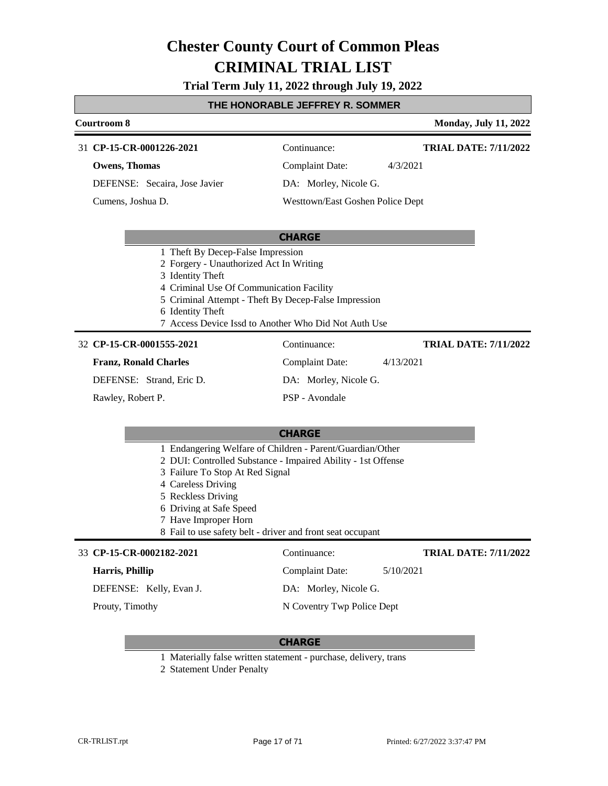**Trial Term July 11, 2022 through July 19, 2022**

### **THE HONORABLE JEFFREY R. SOMMER**

| <u>IME MUNURABLE JEFFRET R. SUMMER</u>                                                                                                                                                                                                                                                                                    |                                  |                              |  |  |
|---------------------------------------------------------------------------------------------------------------------------------------------------------------------------------------------------------------------------------------------------------------------------------------------------------------------------|----------------------------------|------------------------------|--|--|
| Courtroom 8                                                                                                                                                                                                                                                                                                               |                                  | <b>Monday, July 11, 2022</b> |  |  |
| 31 CP-15-CR-0001226-2021                                                                                                                                                                                                                                                                                                  | Continuance:                     | <b>TRIAL DATE: 7/11/2022</b> |  |  |
| <b>Owens, Thomas</b>                                                                                                                                                                                                                                                                                                      | <b>Complaint Date:</b>           | 4/3/2021                     |  |  |
| DEFENSE: Secaira, Jose Javier                                                                                                                                                                                                                                                                                             | DA: Morley, Nicole G.            |                              |  |  |
| Cumens, Joshua D.                                                                                                                                                                                                                                                                                                         | Westtown/East Goshen Police Dept |                              |  |  |
|                                                                                                                                                                                                                                                                                                                           |                                  |                              |  |  |
|                                                                                                                                                                                                                                                                                                                           | <b>CHARGE</b>                    |                              |  |  |
| 1 Theft By Decep-False Impression<br>2 Forgery - Unauthorized Act In Writing<br>3 Identity Theft<br>4 Criminal Use Of Communication Facility<br>5 Criminal Attempt - Theft By Decep-False Impression<br>6 Identity Theft<br>7 Access Device Issd to Another Who Did Not Auth Use                                          |                                  |                              |  |  |
| 32 CP-15-CR-0001555-2021                                                                                                                                                                                                                                                                                                  | Continuance:                     | <b>TRIAL DATE: 7/11/2022</b> |  |  |
| <b>Franz, Ronald Charles</b>                                                                                                                                                                                                                                                                                              | <b>Complaint Date:</b>           | 4/13/2021                    |  |  |
| DEFENSE: Strand, Eric D.                                                                                                                                                                                                                                                                                                  | DA: Morley, Nicole G.            |                              |  |  |
| Rawley, Robert P.                                                                                                                                                                                                                                                                                                         | PSP - Avondale                   |                              |  |  |
|                                                                                                                                                                                                                                                                                                                           |                                  |                              |  |  |
|                                                                                                                                                                                                                                                                                                                           | <b>CHARGE</b>                    |                              |  |  |
| 1 Endangering Welfare of Children - Parent/Guardian/Other<br>2 DUI: Controlled Substance - Impaired Ability - 1st Offense<br>3 Failure To Stop At Red Signal<br>4 Careless Driving<br>5 Reckless Driving<br>6 Driving at Safe Speed<br>7 Have Improper Horn<br>8 Fail to use safety belt - driver and front seat occupant |                                  |                              |  |  |
| 33 CP-15-CR-0002182-2021                                                                                                                                                                                                                                                                                                  | Continuance:                     | <b>TRIAL DATE: 7/11/2022</b> |  |  |
| Harris, Phillip                                                                                                                                                                                                                                                                                                           | <b>Complaint Date:</b>           | 5/10/2021                    |  |  |
| DEFENSE: Kelly, Evan J.                                                                                                                                                                                                                                                                                                   | DA: Morley, Nicole G.            |                              |  |  |

Prouty, Timothy

Г

### **CHARGE**

N Coventry Twp Police Dept

1 Materially false written statement - purchase, delivery, trans

2 Statement Under Penalty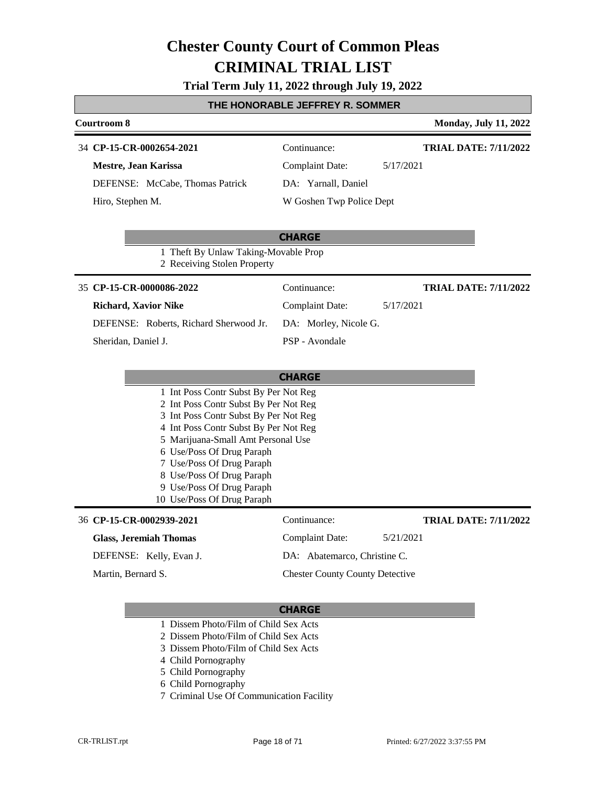### **Trial Term July 11, 2022 through July 19, 2022**

### **THE HONORABLE JEFFREY R. SOMMER**

| Courtroom 8                                                                    |                                        | <b>Monday, July 11, 2022</b> |
|--------------------------------------------------------------------------------|----------------------------------------|------------------------------|
| 34 CP-15-CR-0002654-2021                                                       | Continuance:                           | <b>TRIAL DATE: 7/11/2022</b> |
| Mestre, Jean Karissa                                                           | <b>Complaint Date:</b>                 | 5/17/2021                    |
| DEFENSE: McCabe, Thomas Patrick                                                | DA: Yarnall, Daniel                    |                              |
| Hiro, Stephen M.                                                               | W Goshen Twp Police Dept               |                              |
|                                                                                | <b>CHARGE</b>                          |                              |
| 1 Theft By Unlaw Taking-Movable Prop<br>2 Receiving Stolen Property            |                                        |                              |
| 35 CP-15-CR-0000086-2022                                                       | Continuance:                           | <b>TRIAL DATE: 7/11/2022</b> |
| <b>Richard, Xavior Nike</b>                                                    | <b>Complaint Date:</b>                 | 5/17/2021                    |
| DEFENSE: Roberts, Richard Sherwood Jr.                                         | DA: Morley, Nicole G.                  |                              |
| Sheridan, Daniel J.                                                            | PSP - Avondale                         |                              |
|                                                                                |                                        |                              |
|                                                                                | <b>CHARGE</b>                          |                              |
| 1 Int Poss Contr Subst By Per Not Reg                                          |                                        |                              |
| 2 Int Poss Contr Subst By Per Not Reg<br>3 Int Poss Contr Subst By Per Not Reg |                                        |                              |
| 4 Int Poss Contr Subst By Per Not Reg                                          |                                        |                              |
| 5 Marijuana-Small Amt Personal Use                                             |                                        |                              |
| 6 Use/Poss Of Drug Paraph<br>7 Use/Poss Of Drug Paraph                         |                                        |                              |
| 8 Use/Poss Of Drug Paraph                                                      |                                        |                              |
| 9 Use/Poss Of Drug Paraph                                                      |                                        |                              |
| 10 Use/Poss Of Drug Paraph                                                     |                                        |                              |
| 36 CP-15-CR-0002939-2021                                                       | Continuance:                           | <b>TRIAL DATE: 7/11/2022</b> |
| <b>Glass, Jeremiah Thomas</b>                                                  | <b>Complaint Date:</b>                 | 5/21/2021                    |
| DEFENSE: Kelly, Evan J.                                                        | DA: Abatemarco, Christine C.           |                              |
| Martin, Bernard S.                                                             | <b>Chester County County Detective</b> |                              |

- 1 Dissem Photo/Film of Child Sex Acts
- 2 Dissem Photo/Film of Child Sex Acts
- 3 Dissem Photo/Film of Child Sex Acts
- 4 Child Pornography
- 5 Child Pornography
- 6 Child Pornography
- 7 Criminal Use Of Communication Facility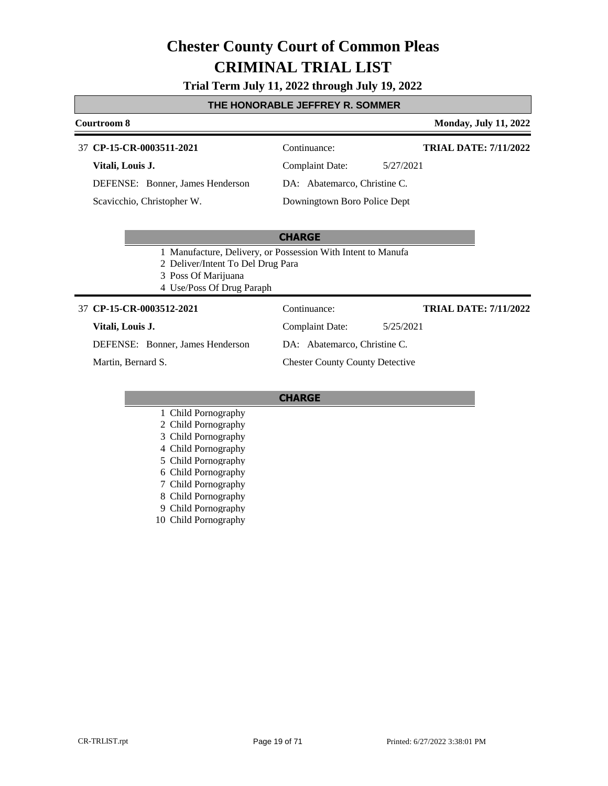### **Trial Term July 11, 2022 through July 19, 2022**

### **THE HONORABLE JEFFREY R. SOMMER**

### **Courtroom 8 Monday, July 11, 2022 CHARGE CP-15-CR-0003511-2021** 37 Continuance: **Vitali, Louis J.** DEFENSE: Bonner, James Henderson Complaint Date: 5/27/2021 DA: Abatemarco, Christine C. Downingtown Boro Police Dept **TRIAL DATE: 7/11/2022** Scavicchio, Christopher W. 1 Manufacture, Delivery, or Possession With Intent to Manufa 2 Deliver/Intent To Del Drug Para 3 Poss Of Marijuana 4 Use/Poss Of Drug Paraph **CP-15-CR-0003512-2021** 37 Continuance: **Vitali, Louis J.** Complaint Date: 5/25/2021 **TRIAL DATE: 7/11/2022**

### DEFENSE: Bonner, James Henderson

Martin, Bernard S.

DA: Abatemarco, Christine C. Chester County County Detective

- 1 Child Pornography
- 2 Child Pornography
- 3 Child Pornography
- 4 Child Pornography
- 5 Child Pornography
- 6 Child Pornography
- 7 Child Pornography
- 8 Child Pornography
- 9 Child Pornography
- 10 Child Pornography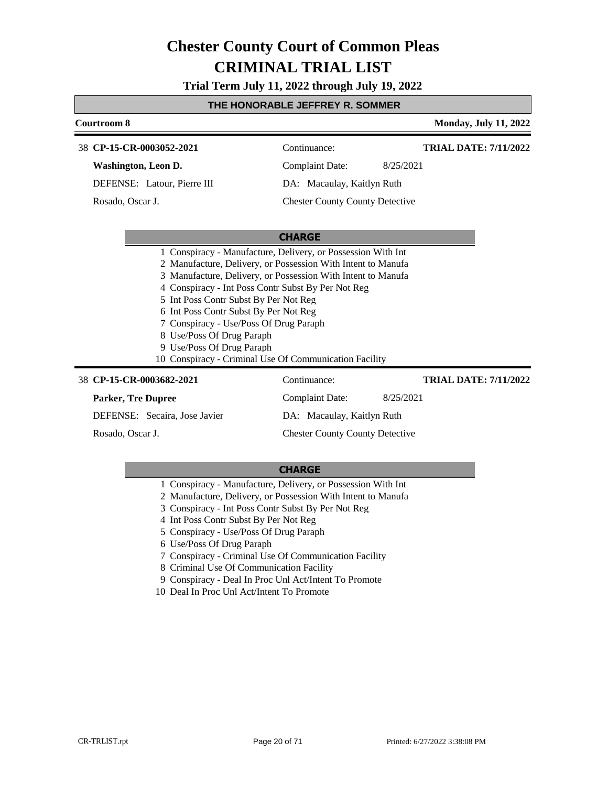**Trial Term July 11, 2022 through July 19, 2022**

### **THE HONORABLE JEFFREY R. SOMMER**

| Courtroom 8                                                                                                                                                                                                                                                                                                                                                                                                                                                                                        |                                        | <b>Monday, July 11, 2022</b> |
|----------------------------------------------------------------------------------------------------------------------------------------------------------------------------------------------------------------------------------------------------------------------------------------------------------------------------------------------------------------------------------------------------------------------------------------------------------------------------------------------------|----------------------------------------|------------------------------|
| 38 CP-15-CR-0003052-2021                                                                                                                                                                                                                                                                                                                                                                                                                                                                           | Continuance:                           | <b>TRIAL DATE: 7/11/2022</b> |
| <b>Washington, Leon D.</b>                                                                                                                                                                                                                                                                                                                                                                                                                                                                         | <b>Complaint Date:</b>                 | 8/25/2021                    |
| DEFENSE: Latour, Pierre III                                                                                                                                                                                                                                                                                                                                                                                                                                                                        | DA: Macaulay, Kaitlyn Ruth             |                              |
| Rosado, Oscar J.                                                                                                                                                                                                                                                                                                                                                                                                                                                                                   | <b>Chester County County Detective</b> |                              |
|                                                                                                                                                                                                                                                                                                                                                                                                                                                                                                    | <b>CHARGE</b>                          |                              |
| 1 Conspiracy - Manufacture, Delivery, or Possession With Int<br>2 Manufacture, Delivery, or Possession With Intent to Manufa<br>3 Manufacture, Delivery, or Possession With Intent to Manufa<br>4 Conspiracy - Int Poss Contr Subst By Per Not Reg<br>5 Int Poss Contr Subst By Per Not Reg<br>6 Int Poss Contr Subst By Per Not Reg<br>7 Conspiracy - Use/Poss Of Drug Paraph<br>8 Use/Poss Of Drug Paraph<br>9 Use/Poss Of Drug Paraph<br>10 Conspiracy - Criminal Use Of Communication Facility |                                        |                              |
| 38 CP-15-CR-0003682-2021                                                                                                                                                                                                                                                                                                                                                                                                                                                                           | Continuance:                           | <b>TRIAL DATE: 7/11/2022</b> |
| <b>Parker, Tre Dupree</b>                                                                                                                                                                                                                                                                                                                                                                                                                                                                          | <b>Complaint Date:</b>                 | 8/25/2021                    |
| DEFENSE: Secaira, Jose Javier                                                                                                                                                                                                                                                                                                                                                                                                                                                                      | DA: Macaulay, Kaitlyn Ruth             |                              |

Rosado, Oscar J.

### **CHARGE**

Chester County County Detective

- 1 Conspiracy Manufacture, Delivery, or Possession With Int
- 2 Manufacture, Delivery, or Possession With Intent to Manufa
- 3 Conspiracy Int Poss Contr Subst By Per Not Reg
- 4 Int Poss Contr Subst By Per Not Reg
- 5 Conspiracy Use/Poss Of Drug Paraph
- 6 Use/Poss Of Drug Paraph
- 7 Conspiracy Criminal Use Of Communication Facility
- 8 Criminal Use Of Communication Facility
- 9 Conspiracy Deal In Proc Unl Act/Intent To Promote
- 10 Deal In Proc Unl Act/Intent To Promote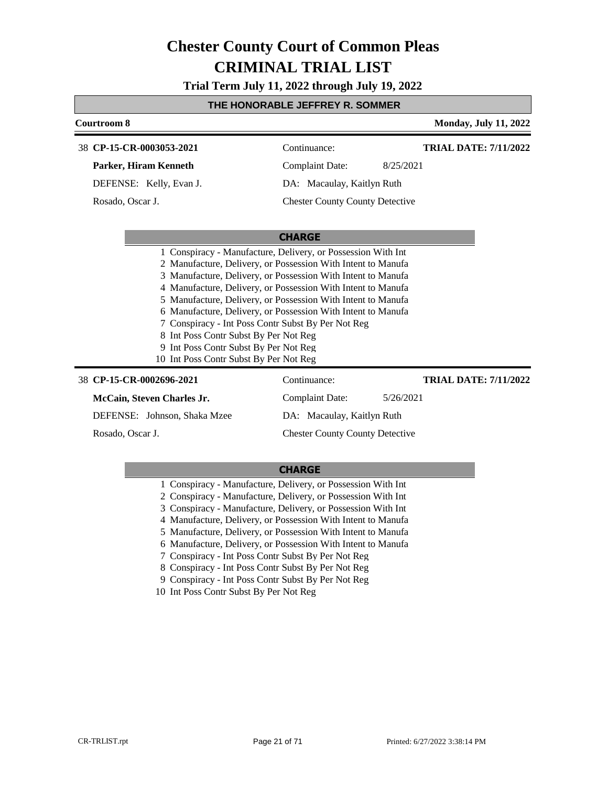**Trial Term July 11, 2022 through July 19, 2022**

### **THE HONORABLE JEFFREY R. SOMMER**

| <b>Courtroom 8</b>                                                                                                       |                                                                                                                                                                                                                                                                                                                                                                                                                                                    | <b>Monday, July 11, 2022</b> |  |
|--------------------------------------------------------------------------------------------------------------------------|----------------------------------------------------------------------------------------------------------------------------------------------------------------------------------------------------------------------------------------------------------------------------------------------------------------------------------------------------------------------------------------------------------------------------------------------------|------------------------------|--|
| 38 CP-15-CR-0003053-2021                                                                                                 | Continuance:                                                                                                                                                                                                                                                                                                                                                                                                                                       | <b>TRIAL DATE: 7/11/2022</b> |  |
| Parker, Hiram Kenneth                                                                                                    | <b>Complaint Date:</b>                                                                                                                                                                                                                                                                                                                                                                                                                             | 8/25/2021                    |  |
| DEFENSE: Kelly, Evan J.                                                                                                  | DA: Macaulay, Kaitlyn Ruth                                                                                                                                                                                                                                                                                                                                                                                                                         |                              |  |
| Rosado, Oscar J.                                                                                                         | <b>Chester County County Detective</b>                                                                                                                                                                                                                                                                                                                                                                                                             |                              |  |
|                                                                                                                          | <b>CHARGE</b>                                                                                                                                                                                                                                                                                                                                                                                                                                      |                              |  |
| 8 Int Poss Contr Subst By Per Not Reg<br>9 Int Poss Contr Subst By Per Not Reg<br>10 Int Poss Contr Subst By Per Not Reg | 1 Conspiracy - Manufacture, Delivery, or Possession With Int<br>2 Manufacture, Delivery, or Possession With Intent to Manufa<br>3 Manufacture, Delivery, or Possession With Intent to Manufa<br>4 Manufacture, Delivery, or Possession With Intent to Manufa<br>5 Manufacture, Delivery, or Possession With Intent to Manufa<br>6 Manufacture, Delivery, or Possession With Intent to Manufa<br>7 Conspiracy - Int Poss Contr Subst By Per Not Reg |                              |  |
| 38 CP-15-CR-0002696-2021                                                                                                 | Continuance:                                                                                                                                                                                                                                                                                                                                                                                                                                       | <b>TRIAL DATE: 7/11/2022</b> |  |
| McCain, Steven Charles Jr.                                                                                               | Complaint Date:                                                                                                                                                                                                                                                                                                                                                                                                                                    | 5/26/2021                    |  |
| DEFENSE: Johnson, Shaka Mzee                                                                                             | DA: Macaulay, Kaitlyn Ruth                                                                                                                                                                                                                                                                                                                                                                                                                         |                              |  |
| Rosado, Oscar J.                                                                                                         | <b>Chester County County Detective</b>                                                                                                                                                                                                                                                                                                                                                                                                             |                              |  |

|  |  | 1 Conspiracy - Manufacture, Delivery, or Possession With Int |  |  |  |  |  |
|--|--|--------------------------------------------------------------|--|--|--|--|--|
|--|--|--------------------------------------------------------------|--|--|--|--|--|

- 2 Conspiracy Manufacture, Delivery, or Possession With Int
- 3 Conspiracy Manufacture, Delivery, or Possession With Int
- 4 Manufacture, Delivery, or Possession With Intent to Manufa
- 5 Manufacture, Delivery, or Possession With Intent to Manufa
- 6 Manufacture, Delivery, or Possession With Intent to Manufa
- 7 Conspiracy Int Poss Contr Subst By Per Not Reg
- 8 Conspiracy Int Poss Contr Subst By Per Not Reg
- 9 Conspiracy Int Poss Contr Subst By Per Not Reg
- 10 Int Poss Contr Subst By Per Not Reg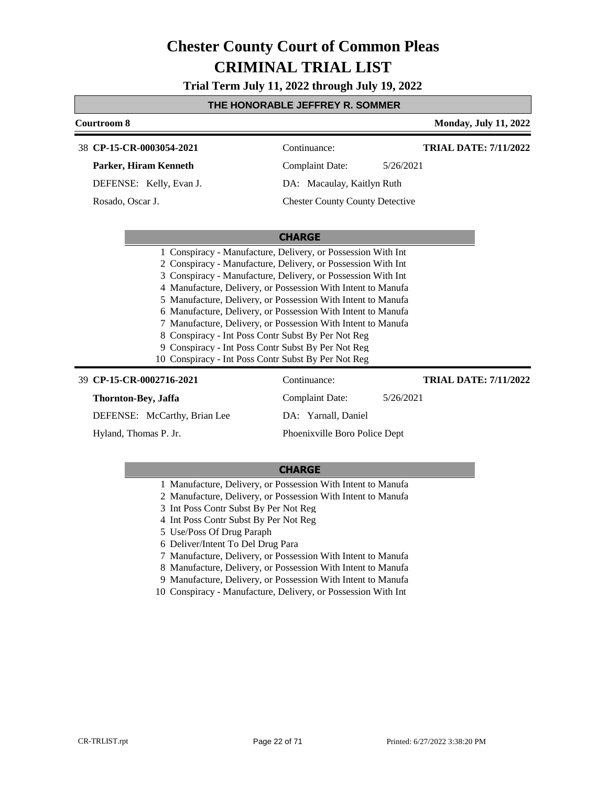**Trial Term July 11, 2022 through July 19, 2022**

### **THE HONORABLE JEFFREY R. SOMMER**

| Courtroom 8                                                                                                                                                     |                                                                                                                                                                                                                                                                                                                                                                                                                                                              | <b>Monday, July 11, 2022</b> |  |  |
|-----------------------------------------------------------------------------------------------------------------------------------------------------------------|--------------------------------------------------------------------------------------------------------------------------------------------------------------------------------------------------------------------------------------------------------------------------------------------------------------------------------------------------------------------------------------------------------------------------------------------------------------|------------------------------|--|--|
| 38 CP-15-CR-0003054-2021                                                                                                                                        | Continuance:                                                                                                                                                                                                                                                                                                                                                                                                                                                 | <b>TRIAL DATE: 7/11/2022</b> |  |  |
| Parker, Hiram Kenneth                                                                                                                                           | Complaint Date:                                                                                                                                                                                                                                                                                                                                                                                                                                              | 5/26/2021                    |  |  |
| DEFENSE: Kelly, Evan J.                                                                                                                                         | DA: Macaulay, Kaitlyn Ruth                                                                                                                                                                                                                                                                                                                                                                                                                                   |                              |  |  |
| Rosado, Oscar J.                                                                                                                                                | <b>Chester County County Detective</b>                                                                                                                                                                                                                                                                                                                                                                                                                       |                              |  |  |
|                                                                                                                                                                 |                                                                                                                                                                                                                                                                                                                                                                                                                                                              |                              |  |  |
|                                                                                                                                                                 | <b>CHARGE</b>                                                                                                                                                                                                                                                                                                                                                                                                                                                |                              |  |  |
| 8 Conspiracy - Int Poss Contr Subst By Per Not Reg<br>9 Conspiracy - Int Poss Contr Subst By Per Not Reg<br>10 Conspiracy - Int Poss Contr Subst By Per Not Reg | 1 Conspiracy - Manufacture, Delivery, or Possession With Int<br>2 Conspiracy - Manufacture, Delivery, or Possession With Int<br>3 Conspiracy - Manufacture, Delivery, or Possession With Int<br>4 Manufacture, Delivery, or Possession With Intent to Manufa<br>5 Manufacture, Delivery, or Possession With Intent to Manufa<br>6 Manufacture, Delivery, or Possession With Intent to Manufa<br>7 Manufacture, Delivery, or Possession With Intent to Manufa |                              |  |  |
| 39 CP-15-CR-0002716-2021                                                                                                                                        | Continuance:                                                                                                                                                                                                                                                                                                                                                                                                                                                 | <b>TRIAL DATE: 7/11/2022</b> |  |  |
| Thornton-Bey, Jaffa                                                                                                                                             | <b>Complaint Date:</b>                                                                                                                                                                                                                                                                                                                                                                                                                                       | 5/26/2021                    |  |  |
| DEFENSE: McCarthy, Brian Lee                                                                                                                                    | DA: Yarnall, Daniel                                                                                                                                                                                                                                                                                                                                                                                                                                          |                              |  |  |
| Hyland. Thomas P. Jr.                                                                                                                                           | Phoenixville Boro Police Dept                                                                                                                                                                                                                                                                                                                                                                                                                                |                              |  |  |

- 1 Manufacture, Delivery, or Possession With Intent to Manufa
- 2 Manufacture, Delivery, or Possession With Intent to Manufa
- 3 Int Poss Contr Subst By Per Not Reg
- 4 Int Poss Contr Subst By Per Not Reg
- 5 Use/Poss Of Drug Paraph
- 6 Deliver/Intent To Del Drug Para
- 7 Manufacture, Delivery, or Possession With Intent to Manufa
- 8 Manufacture, Delivery, or Possession With Intent to Manufa
- 9 Manufacture, Delivery, or Possession With Intent to Manufa
- 10 Conspiracy Manufacture, Delivery, or Possession With Int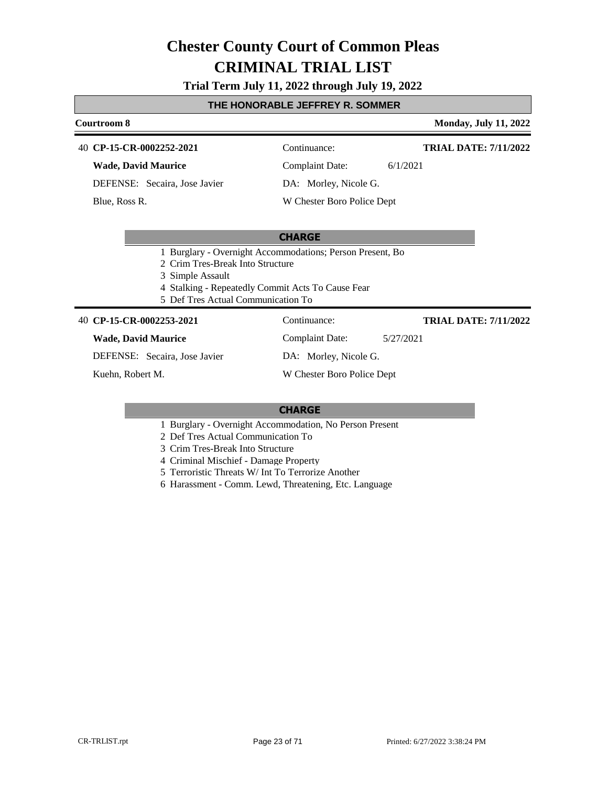### **Trial Term July 11, 2022 through July 19, 2022**

### **THE HONORABLE JEFFREY R. SOMMER**

#### **Courtroom 8 Monday, July 11, 2022**

### **CP-15-CR-0002252-2021** 40 Continuance:

**Wade, David Maurice**

DEFENSE: Secaira, Jose Javier

Blue, Ross R.

Complaint Date: 6/1/2021

DA: Morley, Nicole G.

W Chester Boro Police Dept

### **CHARGE**

- 1 Burglary Overnight Accommodations; Person Present, Bo
- 2 Crim Tres-Break Into Structure
- 3 Simple Assault
- 4 Stalking Repeatedly Commit Acts To Cause Fear
- 5 Def Tres Actual Communication To

#### **CP-15-CR-0002253-2021** 40 Continuance:

#### **Wade, David Maurice**

DEFENSE: Secaira, Jose Javier

Kuehn, Robert M.

Complaint Date: 5/27/2021

DA: Morley, Nicole G.

W Chester Boro Police Dept

### **CHARGE**

- 1 Burglary Overnight Accommodation, No Person Present
- 2 Def Tres Actual Communication To
- 3 Crim Tres-Break Into Structure
- 4 Criminal Mischief Damage Property
- 5 Terroristic Threats W/ Int To Terrorize Another
- 6 Harassment Comm. Lewd, Threatening, Etc. Language

**TRIAL DATE: 7/11/2022**

**TRIAL DATE: 7/11/2022**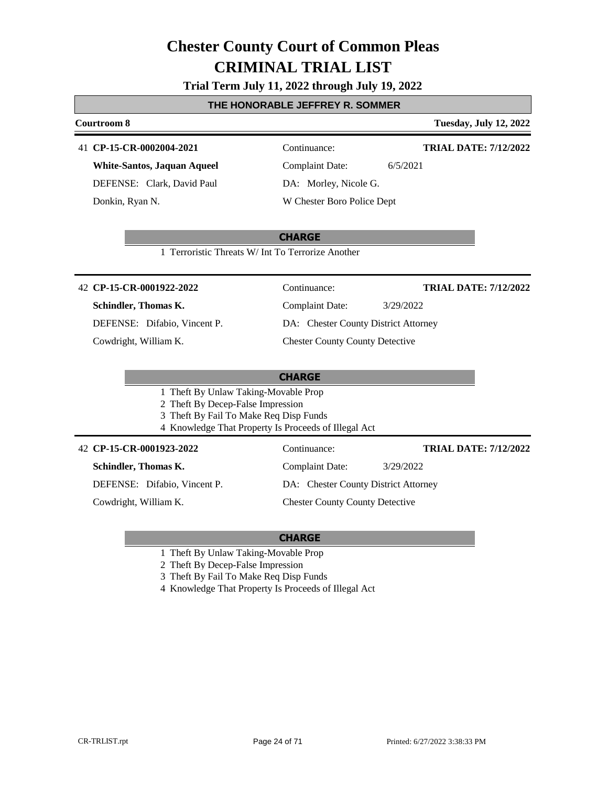### **Trial Term July 11, 2022 through July 19, 2022**

### **THE HONORABLE JEFFREY R. SOMMER**

#### **Courtroom 8 Tuesday, July 12, 2022**

### 41 **CP-15-CR-0002004-2021** Continuance:

**White-Santos, Jaquan Aqueel** DEFENSE: Clark, David Paul Donkin, Ryan N.

DA: Morley, Nicole G.

Complaint Date: 6/5/2021

**TRIAL DATE: 7/12/2022**

W Chester Boro Police Dept

### **CHARGE**

1 Terroristic Threats W/ Int To Terrorize Another

### **CP-15-CR-0001922-2022** 42 Continuance:

### **Schindler, Thomas K.**

DEFENSE: Difabio, Vincent P.

Cowdright, William K.

**TRIAL DATE: 7/12/2022**

DA: Chester County District Attorney

Complaint Date: 3/29/2022

### Chester County County Detective

### **CHARGE**

- 1 Theft By Unlaw Taking-Movable Prop
- 2 Theft By Decep-False Impression
- 3 Theft By Fail To Make Req Disp Funds
- 4 Knowledge That Property Is Proceeds of Illegal Act

### **CP-15-CR-0001923-2022** 42 Continuance:

**Schindler, Thomas K.**

DEFENSE: Difabio, Vincent P.

Cowdright, William K.

Complaint Date: 3/29/2022

DA: Chester County District Attorney

### Chester County County Detective

### **CHARGE**

- 1 Theft By Unlaw Taking-Movable Prop
- 2 Theft By Decep-False Impression
- 3 Theft By Fail To Make Req Disp Funds
- 4 Knowledge That Property Is Proceeds of Illegal Act

**TRIAL DATE: 7/12/2022**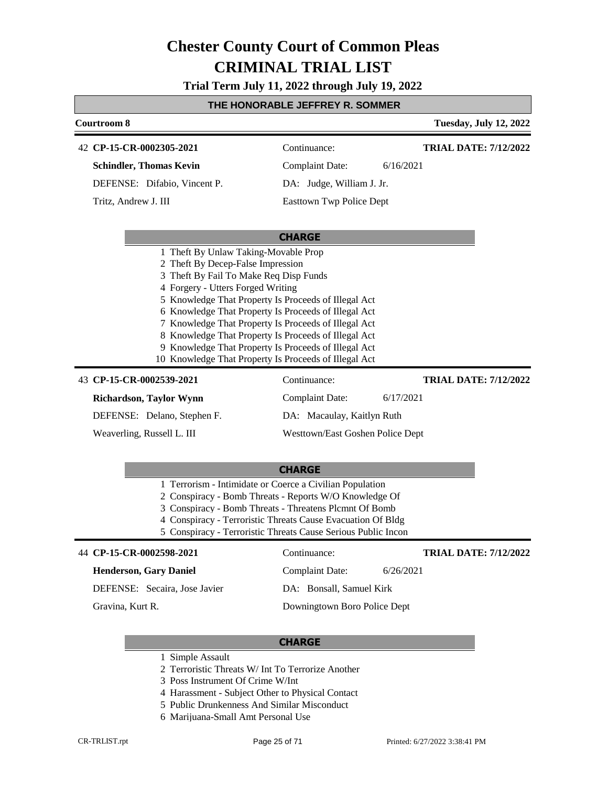**Trial Term July 11, 2022 through July 19, 2022**

### **THE HONORABLE JEFFREY R. SOMMER**

| Courtroom 8                                           |                                  | <b>Tuesday, July 12, 2022</b> |  |  |
|-------------------------------------------------------|----------------------------------|-------------------------------|--|--|
| 42 CP-15-CR-0002305-2021                              | Continuance:                     | <b>TRIAL DATE: 7/12/2022</b>  |  |  |
| <b>Schindler, Thomas Kevin</b>                        | <b>Complaint Date:</b>           | 6/16/2021                     |  |  |
| DEFENSE: Difabio, Vincent P.                          | DA: Judge, William J. Jr.        |                               |  |  |
| Tritz, Andrew J. III                                  | <b>Easttown Twp Police Dept</b>  |                               |  |  |
|                                                       |                                  |                               |  |  |
|                                                       | <b>CHARGE</b>                    |                               |  |  |
| 1 Theft By Unlaw Taking-Movable Prop                  |                                  |                               |  |  |
| 2 Theft By Decep-False Impression                     |                                  |                               |  |  |
| Theft By Fail To Make Req Disp Funds                  |                                  |                               |  |  |
| 4 Forgery - Utters Forged Writing                     |                                  |                               |  |  |
| 5 Knowledge That Property Is Proceeds of Illegal Act  |                                  |                               |  |  |
| 6 Knowledge That Property Is Proceeds of Illegal Act  |                                  |                               |  |  |
| 7 Knowledge That Property Is Proceeds of Illegal Act  |                                  |                               |  |  |
| 8 Knowledge That Property Is Proceeds of Illegal Act  |                                  |                               |  |  |
| 9 Knowledge That Property Is Proceeds of Illegal Act  |                                  |                               |  |  |
| 10 Knowledge That Property Is Proceeds of Illegal Act |                                  |                               |  |  |
| 43 CP-15-CR-0002539-2021                              | Continuance:                     | <b>TRIAL DATE: 7/12/2022</b>  |  |  |
| Richardson, Taylor Wynn                               | Complaint Date:                  | 6/17/2021                     |  |  |
| DEFENSE: Delano, Stephen F.                           | DA: Macaulay, Kaitlyn Ruth       |                               |  |  |
| Weaverling, Russell L. III                            | Westtown/East Goshen Police Dept |                               |  |  |
|                                                       |                                  |                               |  |  |
|                                                       | <b>CHARGE</b>                    |                               |  |  |

- 1 Terrorism Intimidate or Coerce a Civilian Population
- 2 Conspiracy Bomb Threats Reports W/O Knowledge Of
- 3 Conspiracy Bomb Threats Threatens Plcmnt Of Bomb
- 4 Conspiracy Terroristic Threats Cause Evacuation Of Bldg
- 5 Conspiracy Terroristic Threats Cause Serious Public Incon

#### 44 **CP-15-CR-0002598-2021** Continuance:

|  | <b>Henderson, Gary Daniel</b> |  |
|--|-------------------------------|--|
|--|-------------------------------|--|

DEFENSE: Secaira, Jose Javier

Gravina, Kurt R.

### DA: Bonsall, Samuel Kirk

Downingtown Boro Police Dept

Complaint Date: 6/26/2021

### **CHARGE**

- 1 Simple Assault
- 2 Terroristic Threats W/ Int To Terrorize Another
- 3 Poss Instrument Of Crime W/Int
- 4 Harassment Subject Other to Physical Contact
- 5 Public Drunkenness And Similar Misconduct
- 6 Marijuana-Small Amt Personal Use

**TRIAL DATE: 7/12/2022**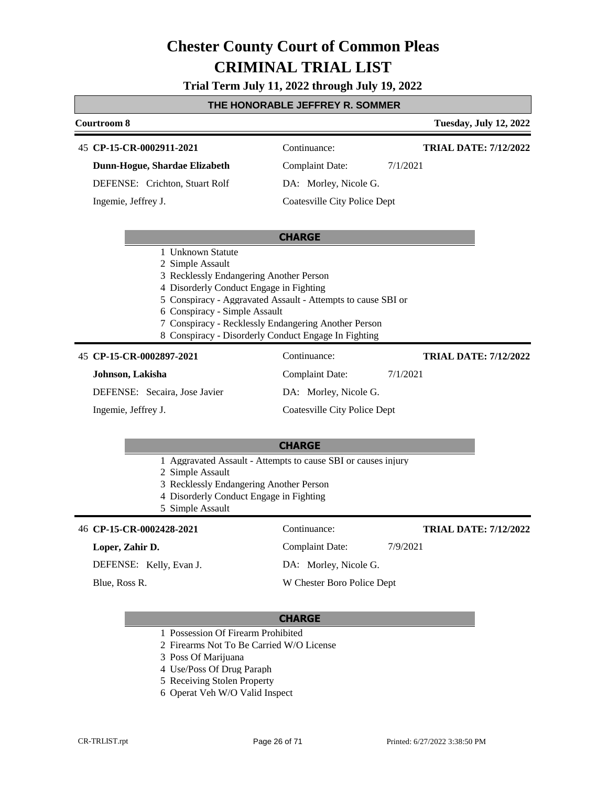### **Trial Term July 11, 2022 through July 19, 2022**

### **THE HONORABLE JEFFREY R. SOMMER**

### **Courtroom 8 Tuesday, July 12, 2022 CHARGE CP-15-CR-0002911-2021** 45 Continuance: **Dunn-Hogue, Shardae Elizabeth** DEFENSE: Crichton, Stuart Rolf Complaint Date: 7/1/2021 DA: Morley, Nicole G. Coatesville City Police Dept **TRIAL DATE: 7/12/2022** Ingemie, Jeffrey J. 1 Unknown Statute 2 Simple Assault 3 Recklessly Endangering Another Person 4 Disorderly Conduct Engage in Fighting 5 Conspiracy - Aggravated Assault - Attempts to cause SBI or 6 Conspiracy - Simple Assault 7 Conspiracy - Recklessly Endangering Another Person 8 Conspiracy - Disorderly Conduct Engage In Fighting **CP-15-CR-0002897-2021** 45 Continuance: **Johnson, Lakisha** DEFENSE: Secaira, Jose Javier Complaint Date: 7/1/2021 DA: Morley, Nicole G. Coatesville City Police Dept **TRIAL DATE: 7/12/2022** Ingemie, Jeffrey J.

### **CHARGE**

- 1 Aggravated Assault Attempts to cause SBI or causes injury
- 2 Simple Assault
- 3 Recklessly Endangering Another Person
- 4 Disorderly Conduct Engage in Fighting
- 5 Simple Assault

### 46 **CP-15-CR-0002428-2021** Continuance:

#### **Loper, Zahir D.**

DEFENSE: Kelly, Evan J.

Blue, Ross R.

### Complaint Date: 7/9/2021

**TRIAL DATE: 7/12/2022**

DA: Morley, Nicole G.

W Chester Boro Police Dept

- 1 Possession Of Firearm Prohibited
- 2 Firearms Not To Be Carried W/O License
- 3 Poss Of Marijuana
- 4 Use/Poss Of Drug Paraph
- 5 Receiving Stolen Property
- 6 Operat Veh W/O Valid Inspect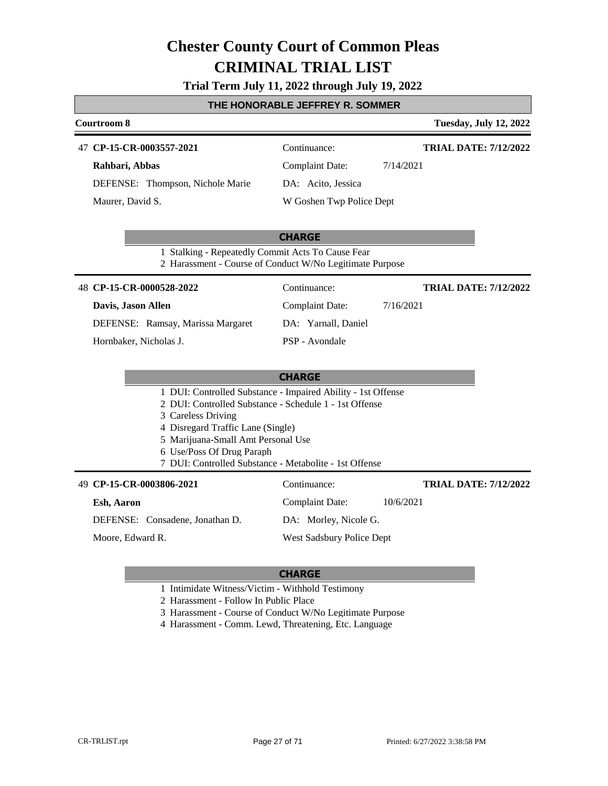|  |  |  |  | Trial Term July 11, 2022 through July 19, 2022 |  |  |  |
|--|--|--|--|------------------------------------------------|--|--|--|
|--|--|--|--|------------------------------------------------|--|--|--|

### **THE HONORABLE JEFFREY R. SOMMER**

| <b>Courtroom 8</b>                                              |                                                                                                               | <b>Tuesday, July 12, 2022</b> |
|-----------------------------------------------------------------|---------------------------------------------------------------------------------------------------------------|-------------------------------|
| 47 CP-15-CR-0003557-2021                                        | Continuance:                                                                                                  | <b>TRIAL DATE: 7/12/2022</b>  |
| Rahbari, Abbas                                                  | <b>Complaint Date:</b>                                                                                        | 7/14/2021                     |
| DEFENSE: Thompson, Nichole Marie                                | DA: Acito, Jessica                                                                                            |                               |
| Maurer, David S.                                                | W Goshen Twp Police Dept                                                                                      |                               |
|                                                                 | <b>CHARGE</b>                                                                                                 |                               |
|                                                                 | 1 Stalking - Repeatedly Commit Acts To Cause Fear<br>2 Harassment - Course of Conduct W/No Legitimate Purpose |                               |
| 48 CP-15-CR-0000528-2022                                        | Continuance:                                                                                                  | <b>TRIAL DATE: 7/12/2022</b>  |
| Davis, Jason Allen                                              | <b>Complaint Date:</b>                                                                                        | 7/16/2021                     |
| DEFENSE: Ramsay, Marissa Margaret                               | DA: Yarnall, Daniel                                                                                           |                               |
| Hornbaker, Nicholas J.                                          | PSP - Avondale                                                                                                |                               |
|                                                                 |                                                                                                               |                               |
|                                                                 | <b>CHARGE</b>                                                                                                 |                               |
|                                                                 | 1 DUI: Controlled Substance - Impaired Ability - 1st Offense                                                  |                               |
| 3 Careless Driving                                              | 2 DUI: Controlled Substance - Schedule 1 - 1st Offense                                                        |                               |
| 4 Disregard Traffic Lane (Single)                               |                                                                                                               |                               |
| 5 Marijuana-Small Amt Personal Use<br>6 Use/Poss Of Drug Paraph |                                                                                                               |                               |
|                                                                 | 7 DUI: Controlled Substance - Metabolite - 1st Offense                                                        |                               |
| 49 CP-15-CR-0003806-2021                                        | Continuance:                                                                                                  | <b>TRIAL DATE: 7/12/2022</b>  |
| Esh, Aaron                                                      | <b>Complaint Date:</b>                                                                                        | 10/6/2021                     |
| DEFENSE: Consadene, Jonathan D.                                 | DA: Morley, Nicole G.                                                                                         |                               |
| Moore, Edward R.                                                | West Sadsbury Police Dept                                                                                     |                               |
|                                                                 |                                                                                                               |                               |
|                                                                 | CHARGE                                                                                                        |                               |

#### **CHARGE**

1 Intimidate Witness/Victim - Withhold Testimony

2 Harassment - Follow In Public Place

3 Harassment - Course of Conduct W/No Legitimate Purpose

4 Harassment - Comm. Lewd, Threatening, Etc. Language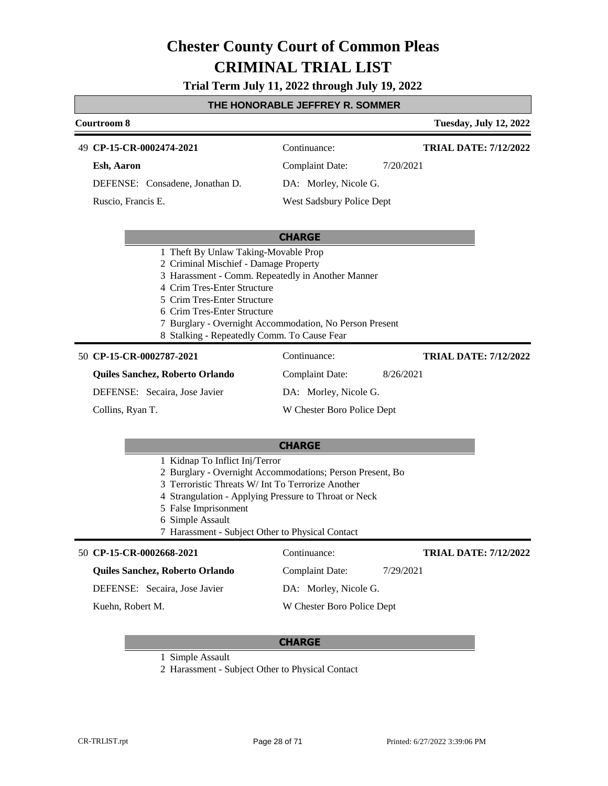**Trial Term July 11, 2022 through July 19, 2022**

### **THE HONORABLE JEFFREY R. SOMMER**

| <b>Courtroom 8</b>                 |                           | <b>Tuesday, July 12, 2022</b> |
|------------------------------------|---------------------------|-------------------------------|
| 49 CP-15-CR-0002474-2021           | Continuance:              | <b>TRIAL DATE: 7/12/2022</b>  |
| Esh, Aaron                         | Complaint Date:           | 7/20/2021                     |
| DEFENSE: Consadene, Jonathan D.    | DA: Morley, Nicole G.     |                               |
| Ruscio, Francis E.                 | West Sadsbury Police Dept |                               |
|                                    | <b>CHARGE</b>             |                               |
| Theft By Unlaw Taking-Movable Prop |                           |                               |

- 2 Criminal Mischief Damage Property
- 3 Harassment Comm. Repeatedly in Another Manner
- 4 Crim Tres-Enter Structure
- 5 Crim Tres-Enter Structure
- 6 Crim Tres-Enter Structure
- 7 Burglary Overnight Accommodation, No Person Present
- 8 Stalking Repeatedly Comm. To Cause Fear

#### **CP-15-CR-0002787-2021** 50 Continuance:

Collins, Ryan T.

**Quiles Sanchez, Roberto Orlando**

DEFENSE: Secaira, Jose Javier

DA: Morley, Nicole G.

Complaint Date: 8/26/2021

Complaint Date: 7/29/2021

DA: Morley, Nicole G. W Chester Boro Police Dept **TRIAL DATE: 7/12/2022**

**TRIAL DATE: 7/12/2022**

W Chester Boro Police Dept

#### **CHARGE**

- 1 Kidnap To Inflict Inj/Terror
- 2 Burglary Overnight Accommodations; Person Present, Bo
- 3 Terroristic Threats W/ Int To Terrorize Another
- 4 Strangulation Applying Pressure to Throat or Neck
- 5 False Imprisonment
- 6 Simple Assault
- 7 Harassment Subject Other to Physical Contact

### **CP-15-CR-0002668-2021** 50 Continuance:

### **Quiles Sanchez, Roberto Orlando**

DEFENSE: Secaira, Jose Javier

Kuehn, Robert M.

- 1 Simple Assault
- 2 Harassment Subject Other to Physical Contact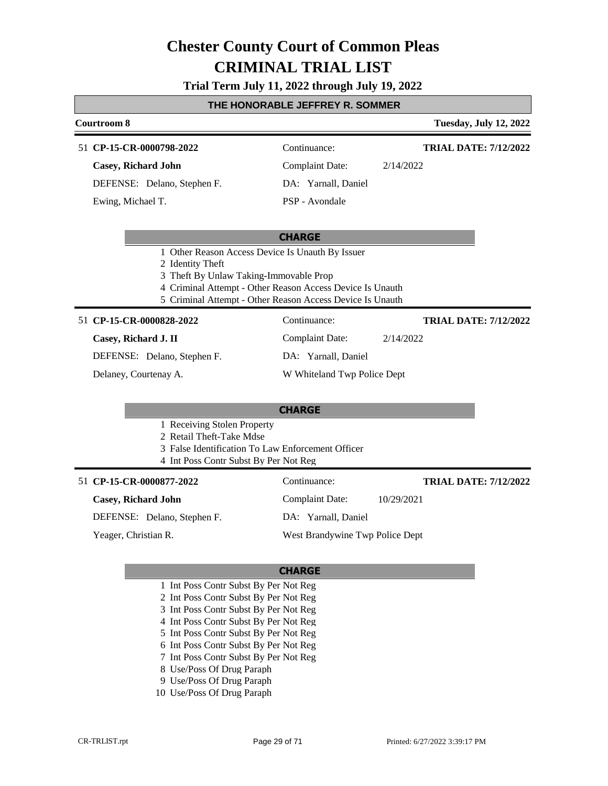### **Trial Term July 11, 2022 through July 19, 2022**

### **THE HONORABLE JEFFREY R. SOMMER**

### **Courtroom 8 Tuesday, July 12, 2022 CHARGE CP-15-CR-0000798-2022** 51 Continuance: **Casey, Richard John** DEFENSE: Delano, Stephen F. Complaint Date: 2/14/2022 DA: Yarnall, Daniel PSP - Avondale **TRIAL DATE: 7/12/2022** Ewing, Michael T. 1 Other Reason Access Device Is Unauth By Issuer 2 Identity Theft 3 Theft By Unlaw Taking-Immovable Prop 4 Criminal Attempt - Other Reason Access Device Is Unauth 5 Criminal Attempt - Other Reason Access Device Is Unauth **CHARGE CP-15-CR-0000828-2022** 51 Continuance: **Casey, Richard J. II** DEFENSE: Delano, Stephen F. Complaint Date: 2/14/2022 DA: Yarnall, Daniel W Whiteland Twp Police Dept Delaney, Courtenay A. 1 Receiving Stolen Property 2 Retail Theft-Take Mdse 3 False Identification To Law Enforcement Officer 4 Int Poss Contr Subst By Per Not Reg **CP-15-CR-0000877-2022** 51 Continuance: **TRIAL DATE: 7/12/2022**

#### **Casey, Richard John**

DEFENSE: Delano, Stephen F.

Yeager, Christian R.

DA: Yarnall, Daniel

West Brandywine Twp Police Dept

Complaint Date: 10/29/2021

### **CHARGE**

- 1 Int Poss Contr Subst By Per Not Reg
- 2 Int Poss Contr Subst By Per Not Reg
- 3 Int Poss Contr Subst By Per Not Reg
- 4 Int Poss Contr Subst By Per Not Reg
- 5 Int Poss Contr Subst By Per Not Reg
- 6 Int Poss Contr Subst By Per Not Reg
- 7 Int Poss Contr Subst By Per Not Reg
- 8 Use/Poss Of Drug Paraph
- 9 Use/Poss Of Drug Paraph
- 10 Use/Poss Of Drug Paraph

**TRIAL DATE: 7/12/2022**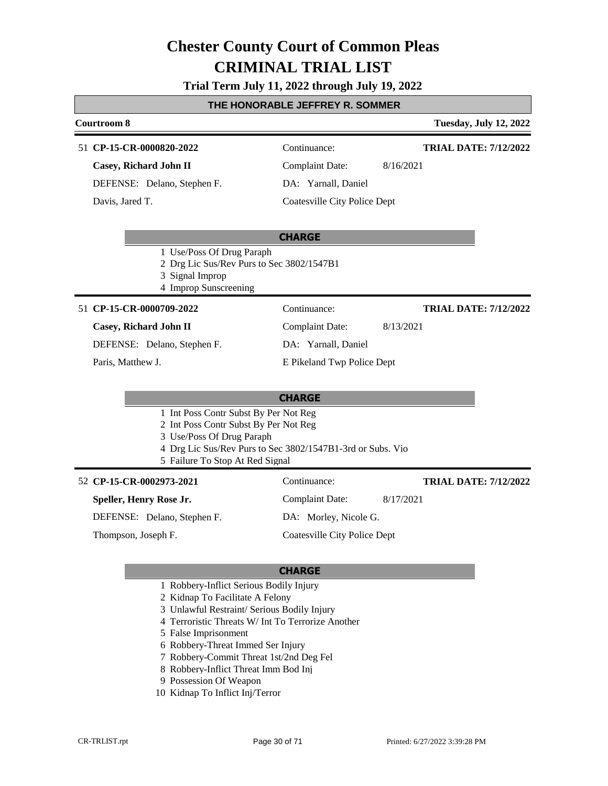### **Trial Term July 11, 2022 through July 19, 2022**

### **THE HONORABLE JEFFREY R. SOMMER**

### **Courtroom 8 Tuesday, July 12, 2022 CHARGE CP-15-CR-0000820-2022** 51 Continuance: **Casey, Richard John II** DEFENSE: Delano, Stephen F. Complaint Date: 8/16/2021 DA: Yarnall, Daniel Coatesville City Police Dept **TRIAL DATE: 7/12/2022** Davis, Jared T.

- 1 Use/Poss Of Drug Paraph
- 2 Drg Lic Sus/Rev Purs to Sec 3802/1547B1
- 3 Signal Improp
- 4 Improp Sunscreening

### **CP-15-CR-0000709-2022** 51 Continuance:

#### **Casey, Richard John II**

DEFENSE: Delano, Stephen F.

Paris, Matthew J.

### DA: Yarnall, Daniel

Complaint Date: 8/13/2021

### E Pikeland Twp Police Dept

### **CHARGE**

- 1 Int Poss Contr Subst By Per Not Reg
- 2 Int Poss Contr Subst By Per Not Reg
- 3 Use/Poss Of Drug Paraph
- 4 Drg Lic Sus/Rev Purs to Sec 3802/1547B1-3rd or Subs. Vio
- 5 Failure To Stop At Red Signal

#### **CP-15-CR-0002973-2021** 52 Continuance:

Thompson, Joseph F.

**Speller, Henry Rose Jr.**

DA: Morley, Nicole G.

Coatesville City Police Dept

### **CHARGE**

- 1 Robbery-Inflict Serious Bodily Injury
- 2 Kidnap To Facilitate A Felony
- 3 Unlawful Restraint/ Serious Bodily Injury
- 4 Terroristic Threats W/ Int To Terrorize Another
- 5 False Imprisonment
- 6 Robbery-Threat Immed Ser Injury
- 7 Robbery-Commit Threat 1st/2nd Deg Fel
- 8 Robbery-Inflict Threat Imm Bod Inj
- 9 Possession Of Weapon
- 10 Kidnap To Inflict Inj/Terror

Complaint Date: 8/17/2021

**TRIAL DATE: 7/12/2022**

**TRIAL DATE: 7/12/2022**

### DEFENSE: Delano, Stephen F.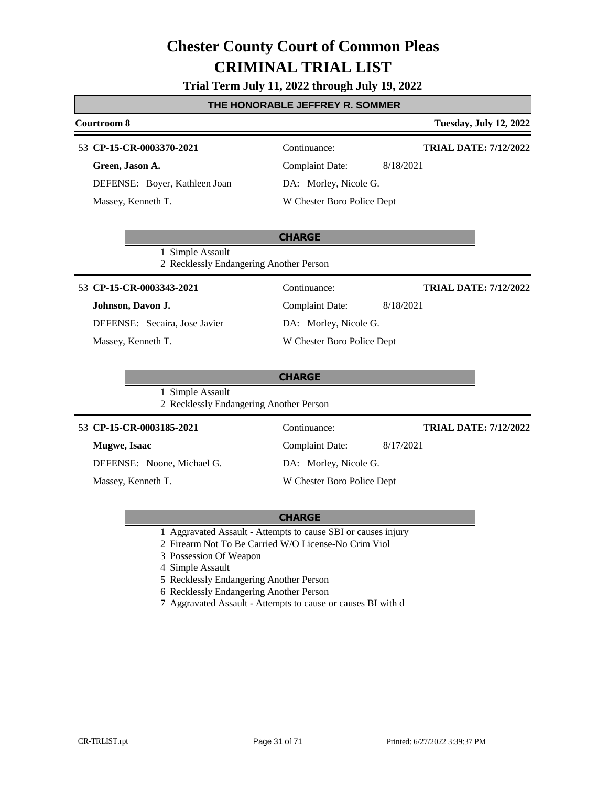# **Trial Term July 11, 2022 through July 19, 2022**

# **THE HONORABLE JEFFREY R. SOMMER**

|                          | Courtroom 8          |                                                             |                              | <b>Tuesday, July 12, 2022</b> |  |
|--------------------------|----------------------|-------------------------------------------------------------|------------------------------|-------------------------------|--|
|                          |                      | 53 CP-15-CR-0003370-2021                                    | Continuance:                 | <b>TRIAL DATE: 7/12/2022</b>  |  |
|                          | Green, Jason A.      |                                                             | <b>Complaint Date:</b>       | 8/18/2021                     |  |
|                          |                      | DEFENSE: Boyer, Kathleen Joan                               | DA: Morley, Nicole G.        |                               |  |
|                          | Massey, Kenneth T.   |                                                             | W Chester Boro Police Dept   |                               |  |
|                          |                      |                                                             |                              |                               |  |
|                          |                      |                                                             | <b>CHARGE</b>                |                               |  |
|                          |                      | 1 Simple Assault<br>2 Recklessly Endangering Another Person |                              |                               |  |
| 53 CP-15-CR-0003343-2021 |                      | Continuance:                                                | <b>TRIAL DATE: 7/12/2022</b> |                               |  |
|                          | Johnson, Davon J.    |                                                             | <b>Complaint Date:</b>       | 8/18/2021                     |  |
|                          |                      | DEFENSE: Secaira, Jose Javier                               | DA: Morley, Nicole G.        |                               |  |
|                          | Massey, Kenneth T.   |                                                             | W Chester Boro Police Dept   |                               |  |
|                          |                      |                                                             |                              |                               |  |
|                          |                      |                                                             | <b>CHARGE</b>                |                               |  |
|                          |                      | 1 Simple Assault<br>2 Recklessly Endangering Another Person |                              |                               |  |
|                          |                      | 53 CP-15-CR-0003185-2021                                    | Continuance:                 | <b>TRIAL DATE: 7/12/2022</b>  |  |
|                          | <b>Mugwe</b> , Isaac |                                                             | <b>Complaint Date:</b>       | 8/17/2021                     |  |
|                          |                      | DEFENSE: Noone, Michael G.                                  | DA: Morley, Nicole G.        |                               |  |
| Massey, Kenneth T.       |                      | W Chester Boro Police Dept                                  |                              |                               |  |

- 1 Aggravated Assault Attempts to cause SBI or causes injury
- 2 Firearm Not To Be Carried W/O License-No Crim Viol
- 3 Possession Of Weapon
- 4 Simple Assault
- 5 Recklessly Endangering Another Person
- 6 Recklessly Endangering Another Person
- 7 Aggravated Assault Attempts to cause or causes BI with d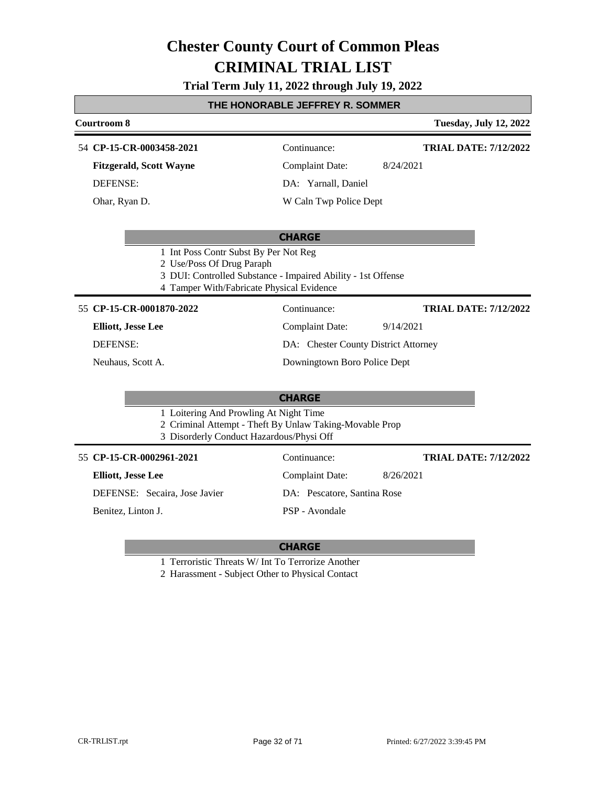# **Trial Term July 11, 2022 through July 19, 2022**

# **THE HONORABLE JEFFREY R. SOMMER**

| UNUNADLL JLI I INL I IN. JUMINI                                                                                                                                                 |                                                                                                              |                                                                                                                |                                           |
|---------------------------------------------------------------------------------------------------------------------------------------------------------------------------------|--------------------------------------------------------------------------------------------------------------|----------------------------------------------------------------------------------------------------------------|-------------------------------------------|
| Courtroom 8                                                                                                                                                                     |                                                                                                              |                                                                                                                | <b>Tuesday, July 12, 2022</b>             |
|                                                                                                                                                                                 | 54 CP-15-CR-0003458-2021<br><b>Fitzgerald, Scott Wayne</b><br>DEFENSE:<br>Ohar, Ryan D.                      | Continuance:<br><b>Complaint Date:</b><br>DA: Yarnall, Daniel<br>W Caln Twp Police Dept                        | <b>TRIAL DATE: 7/12/2022</b><br>8/24/2021 |
| 1 Int Poss Contr Subst By Per Not Reg<br>2 Use/Poss Of Drug Paraph<br>3 DUI: Controlled Substance - Impaired Ability - 1st Offense<br>4 Tamper With/Fabricate Physical Evidence |                                                                                                              | <b>CHARGE</b>                                                                                                  |                                           |
|                                                                                                                                                                                 | 55 CP-15-CR-0001870-2022<br><b>Elliott, Jesse Lee</b><br><b>DEFENSE:</b><br>Neuhaus, Scott A.                | Continuance:<br><b>Complaint Date:</b><br>DA: Chester County District Attorney<br>Downingtown Boro Police Dept | <b>TRIAL DATE: 7/12/2022</b><br>9/14/2021 |
| <b>CHARGE</b><br>1 Loitering And Prowling At Night Time<br>2 Criminal Attempt - Theft By Unlaw Taking-Movable Prop<br>3 Disorderly Conduct Hazardous/Physi Off                  |                                                                                                              |                                                                                                                |                                           |
|                                                                                                                                                                                 | 55 CP-15-CR-0002961-2021<br><b>Elliott, Jesse Lee</b><br>DEFENSE: Secaira, Jose Javier<br>Benitez, Linton J. | Continuance:<br><b>Complaint Date:</b><br>DA: Pescatore, Santina Rose<br>PSP - Avondale                        | <b>TRIAL DATE: 7/12/2022</b><br>8/26/2021 |

- 1 Terroristic Threats W/ Int To Terrorize Another
- 2 Harassment Subject Other to Physical Contact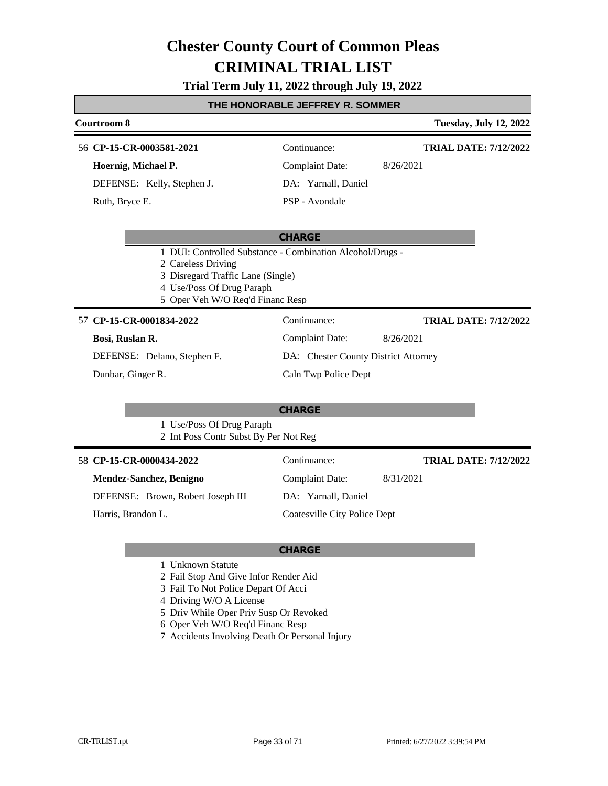# **Trial Term July 11, 2022 through July 19, 2022**

## **THE HONORABLE JEFFREY R. SOMMER**

# **Courtroom 8 Tuesday, July 12, 2022 CHARGE** 56 **CP-15-CR-0003581-2021** Continuance: **Hoernig, Michael P.** DEFENSE: Kelly, Stephen J. Complaint Date: 8/26/2021 DA: Yarnall, Daniel PSP - Avondale **TRIAL DATE: 7/12/2022** Ruth, Bryce E.

- 1 DUI: Controlled Substance Combination Alcohol/Drugs -
- 2 Careless Driving
- 3 Disregard Traffic Lane (Single)
- 4 Use/Poss Of Drug Paraph
- 5 Oper Veh W/O Req'd Financ Resp

### **CP-15-CR-0001834-2022** 57 Continuance:

#### **Bosi, Ruslan R.**

Complaint Date: 8/26/2021 DA: Chester County District Attorney Caln Twp Police Dept

**TRIAL DATE: 7/12/2022**

DEFENSE: Delano, Stephen F.

Dunbar, Ginger R.

## **CHARGE**

- 1 Use/Poss Of Drug Paraph
- 2 Int Poss Contr Subst By Per Not Reg

|                    | 58 CP-15-CR-0000434-2022          | Continuance:                 | <b>TRIAL DATE: 7/12/2022</b> |
|--------------------|-----------------------------------|------------------------------|------------------------------|
|                    | Mendez-Sanchez, Benigno           | Complaint Date:              | 8/31/2021                    |
|                    | DEFENSE: Brown, Robert Joseph III | DA: Yarnall, Daniel          |                              |
| Harris, Brandon L. |                                   | Coatesville City Police Dept |                              |

- 1 Unknown Statute
- 2 Fail Stop And Give Infor Render Aid
- 3 Fail To Not Police Depart Of Acci
- 4 Driving W/O A License
- 5 Driv While Oper Priv Susp Or Revoked
- 6 Oper Veh W/O Req'd Financ Resp
- 7 Accidents Involving Death Or Personal Injury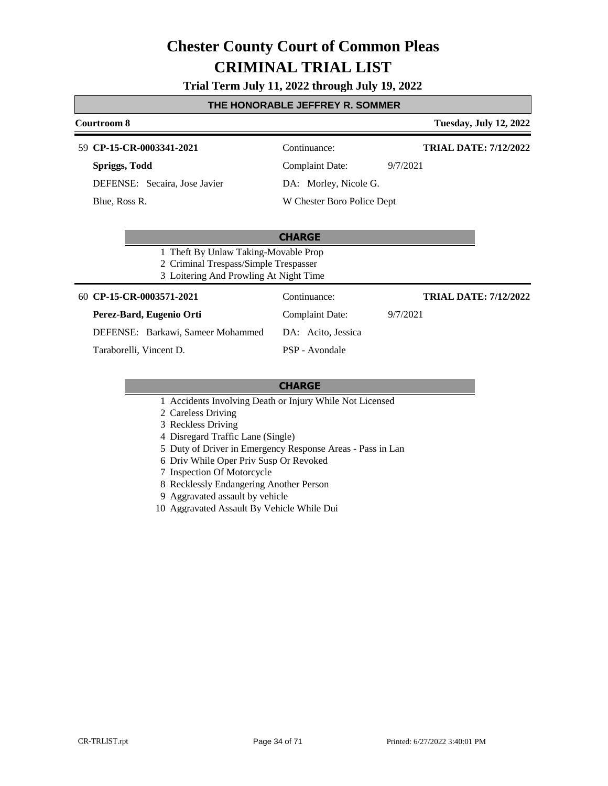# **Trial Term July 11, 2022 through July 19, 2022**

# **THE HONORABLE JEFFREY R. SOMMER**

| Courtroom 8                                                                                                             |                            | <b>Tuesday, July 12, 2022</b> |
|-------------------------------------------------------------------------------------------------------------------------|----------------------------|-------------------------------|
| CP-15-CR-0003341-2021<br>59.                                                                                            | Continuance:               | <b>TRIAL DATE: 7/12/2022</b>  |
| Spriggs, Todd                                                                                                           | Complaint Date:            | 9/7/2021                      |
| DEFENSE: Secaira, Jose Javier                                                                                           | DA: Morley, Nicole G.      |                               |
| Blue, Ross R.                                                                                                           | W Chester Boro Police Dept |                               |
|                                                                                                                         |                            |                               |
|                                                                                                                         | <b>CHARGE</b>              |                               |
| 1 Theft By Unlaw Taking-Movable Prop<br>2 Criminal Trespass/Simple Trespasser<br>3 Loitering And Prowling At Night Time |                            |                               |
| CP-15-CR-0003571-2021<br>60                                                                                             | Continuance:               | <b>TRIAL DATE: 7/12/2022</b>  |
| Perez-Bard, Eugenio Orti                                                                                                | Complaint Date:            | 9/7/2021                      |
| DEFENSE: Barkawi, Sameer Mohammed                                                                                       | DA: Acito, Jessica         |                               |
| Taraborelli, Vincent D.                                                                                                 | PSP - Avondale             |                               |

- 1 Accidents Involving Death or Injury While Not Licensed
- 2 Careless Driving
- 3 Reckless Driving
- 4 Disregard Traffic Lane (Single)
- 5 Duty of Driver in Emergency Response Areas Pass in Lan
- 6 Driv While Oper Priv Susp Or Revoked
- 7 Inspection Of Motorcycle
- 8 Recklessly Endangering Another Person
- 9 Aggravated assault by vehicle
- 10 Aggravated Assault By Vehicle While Dui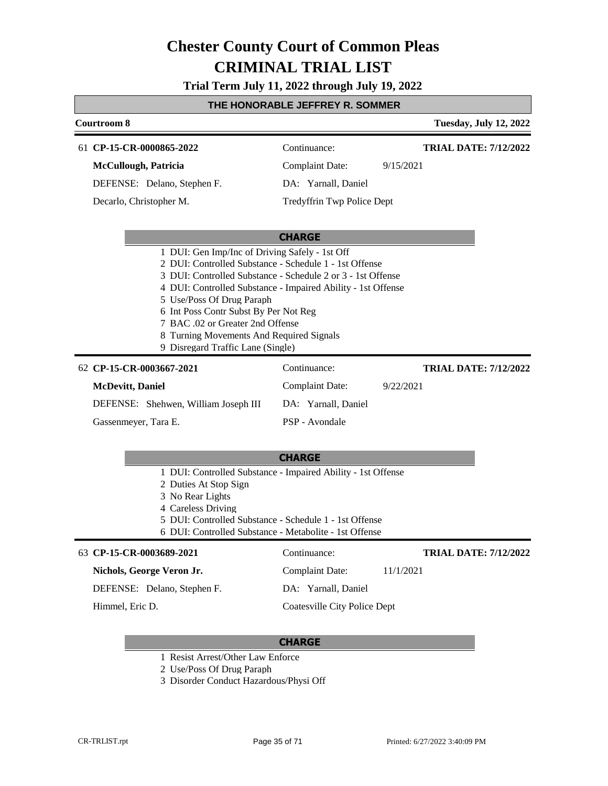**Trial Term July 11, 2022 through July 19, 2022**

# **THE HONORABLE JEFFREY R. SOMMER**

|                                                                                                                                                                                                                                                                                                                                                                                                                                    | L HUNURADLL JLI I RL I R. SUMMI                                                                                                                                                                                                                     |                            |                               |  |  |
|------------------------------------------------------------------------------------------------------------------------------------------------------------------------------------------------------------------------------------------------------------------------------------------------------------------------------------------------------------------------------------------------------------------------------------|-----------------------------------------------------------------------------------------------------------------------------------------------------------------------------------------------------------------------------------------------------|----------------------------|-------------------------------|--|--|
|                                                                                                                                                                                                                                                                                                                                                                                                                                    | Courtroom 8                                                                                                                                                                                                                                         |                            | <b>Tuesday, July 12, 2022</b> |  |  |
|                                                                                                                                                                                                                                                                                                                                                                                                                                    | 61 CP-15-CR-0000865-2022                                                                                                                                                                                                                            | Continuance:               | <b>TRIAL DATE: 7/12/2022</b>  |  |  |
|                                                                                                                                                                                                                                                                                                                                                                                                                                    | <b>McCullough, Patricia</b>                                                                                                                                                                                                                         | <b>Complaint Date:</b>     | 9/15/2021                     |  |  |
|                                                                                                                                                                                                                                                                                                                                                                                                                                    | DEFENSE: Delano, Stephen F.                                                                                                                                                                                                                         | DA: Yarnall, Daniel        |                               |  |  |
|                                                                                                                                                                                                                                                                                                                                                                                                                                    | Decarlo, Christopher M.                                                                                                                                                                                                                             | Tredyffrin Twp Police Dept |                               |  |  |
|                                                                                                                                                                                                                                                                                                                                                                                                                                    |                                                                                                                                                                                                                                                     |                            |                               |  |  |
|                                                                                                                                                                                                                                                                                                                                                                                                                                    |                                                                                                                                                                                                                                                     | <b>CHARGE</b>              |                               |  |  |
| 1 DUI: Gen Imp/Inc of Driving Safely - 1st Off<br>2 DUI: Controlled Substance - Schedule 1 - 1st Offense<br>3 DUI: Controlled Substance - Schedule 2 or 3 - 1st Offense<br>4 DUI: Controlled Substance - Impaired Ability - 1st Offense<br>5 Use/Poss Of Drug Paraph<br>6 Int Poss Contr Subst By Per Not Reg<br>7 BAC .02 or Greater 2nd Offense<br>8 Turning Movements And Required Signals<br>9 Disregard Traffic Lane (Single) |                                                                                                                                                                                                                                                     |                            |                               |  |  |
|                                                                                                                                                                                                                                                                                                                                                                                                                                    |                                                                                                                                                                                                                                                     |                            |                               |  |  |
|                                                                                                                                                                                                                                                                                                                                                                                                                                    | 62 CP-15-CR-0003667-2021                                                                                                                                                                                                                            | Continuance:               | <b>TRIAL DATE: 7/12/2022</b>  |  |  |
|                                                                                                                                                                                                                                                                                                                                                                                                                                    | McDevitt, Daniel                                                                                                                                                                                                                                    | <b>Complaint Date:</b>     | 9/22/2021                     |  |  |
|                                                                                                                                                                                                                                                                                                                                                                                                                                    | DEFENSE: Shehwen, William Joseph III                                                                                                                                                                                                                | DA: Yarnall, Daniel        |                               |  |  |
|                                                                                                                                                                                                                                                                                                                                                                                                                                    | Gassenmeyer, Tara E.                                                                                                                                                                                                                                | PSP - Avondale             |                               |  |  |
|                                                                                                                                                                                                                                                                                                                                                                                                                                    |                                                                                                                                                                                                                                                     |                            |                               |  |  |
|                                                                                                                                                                                                                                                                                                                                                                                                                                    |                                                                                                                                                                                                                                                     | <b>CHARGE</b>              |                               |  |  |
|                                                                                                                                                                                                                                                                                                                                                                                                                                    | 1 DUI: Controlled Substance - Impaired Ability - 1st Offense<br>2 Duties At Stop Sign<br>3 No Rear Lights<br>4 Careless Driving<br>5 DUI: Controlled Substance - Schedule 1 - 1st Offense<br>6 DUI: Controlled Substance - Metabolite - 1st Offense |                            |                               |  |  |
|                                                                                                                                                                                                                                                                                                                                                                                                                                    | 63 CP-15-CR-0003689-2021                                                                                                                                                                                                                            | Continuance:               | <b>TRIAL DATE: 7/12/2022</b>  |  |  |
|                                                                                                                                                                                                                                                                                                                                                                                                                                    | Nichols, George Veron Jr.                                                                                                                                                                                                                           | <b>Complaint Date:</b>     | 11/1/2021                     |  |  |

Himmel, Eric D.

# **CHARGE**

Coatesville City Police Dept

- 1 Resist Arrest/Other Law Enforce
- 2 Use/Poss Of Drug Paraph
- 3 Disorder Conduct Hazardous/Physi Off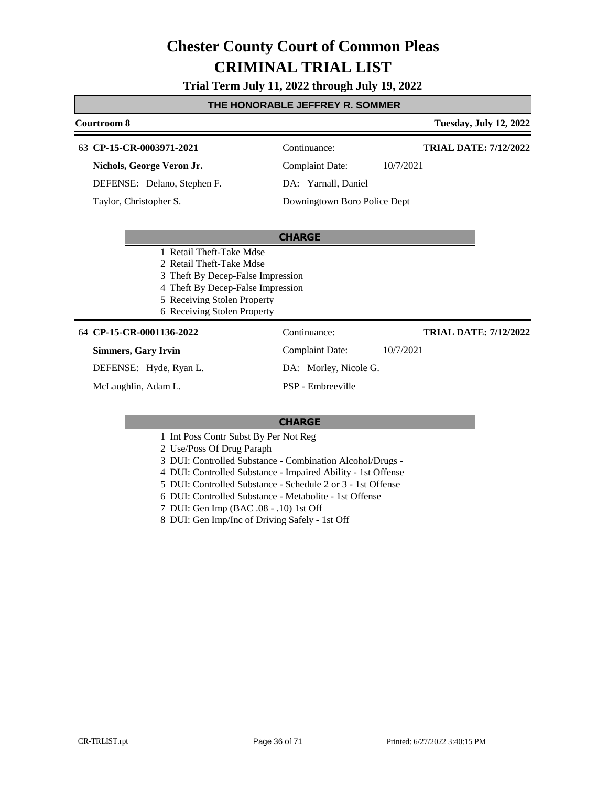# **Trial Term July 11, 2022 through July 19, 2022**

# **THE HONORABLE JEFFREY R. SOMMER**

| Courtroom 8                                                                                                                                                                                  |                              | <b>Tuesday, July 12, 2022</b> |
|----------------------------------------------------------------------------------------------------------------------------------------------------------------------------------------------|------------------------------|-------------------------------|
| 63 CP-15-CR-0003971-2021                                                                                                                                                                     | Continuance:                 | <b>TRIAL DATE: 7/12/2022</b>  |
| Nichols, George Veron Jr.                                                                                                                                                                    | <b>Complaint Date:</b>       | 10/7/2021                     |
| DEFENSE: Delano, Stephen F.                                                                                                                                                                  | DA: Yarnall, Daniel          |                               |
| Taylor, Christopher S.                                                                                                                                                                       | Downingtown Boro Police Dept |                               |
|                                                                                                                                                                                              |                              |                               |
|                                                                                                                                                                                              | <b>CHARGE</b>                |                               |
| 1 Retail Theft-Take Mdse<br>2 Retail Theft-Take Mdse<br>3 Theft By Decep-False Impression<br>4 Theft By Decep-False Impression<br>5 Receiving Stolen Property<br>6 Receiving Stolen Property |                              |                               |
| 64 CP-15-CR-0001136-2022                                                                                                                                                                     | Continuance:                 | <b>TRIAL DATE: 7/12/2022</b>  |
| <b>Simmers, Gary Irvin</b>                                                                                                                                                                   | <b>Complaint Date:</b>       | 10/7/2021                     |
| DEFENSE: Hyde, Ryan L.                                                                                                                                                                       | DA: Morley, Nicole G.        |                               |
| McLaughlin, Adam L.                                                                                                                                                                          | PSP - Embreeville            |                               |
|                                                                                                                                                                                              |                              |                               |
|                                                                                                                                                                                              | <b>CHARGE</b>                |                               |

# 1 Int Poss Contr Subst By Per Not Reg

2 Use/Poss Of Drug Paraph

3 DUI: Controlled Substance - Combination Alcohol/Drugs -

4 DUI: Controlled Substance - Impaired Ability - 1st Offense

5 DUI: Controlled Substance - Schedule 2 or 3 - 1st Offense

6 DUI: Controlled Substance - Metabolite - 1st Offense

7 DUI: Gen Imp (BAC .08 - .10) 1st Off

8 DUI: Gen Imp/Inc of Driving Safely - 1st Off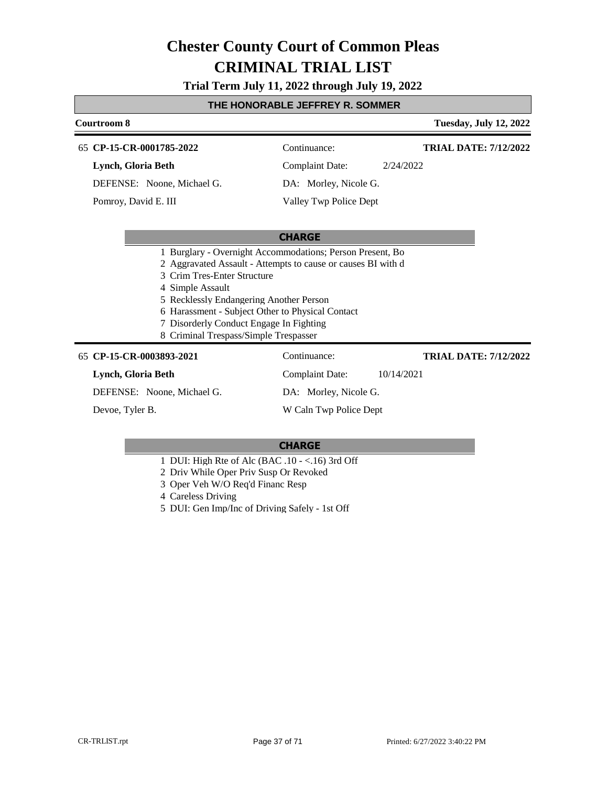**Trial Term July 11, 2022 through July 19, 2022**

## **THE HONORABLE JEFFREY R. SOMMER**

# **Courtroom 8 Tuesday, July 12, 2022 CHARGE CP-15-CR-0001785-2022** 65 Continuance: **Lynch, Gloria Beth** DEFENSE: Noone, Michael G. Complaint Date: 2/24/2022 DA: Morley, Nicole G. Valley Twp Police Dept **TRIAL DATE: 7/12/2022** Pomroy, David E. III 1 Burglary - Overnight Accommodations; Person Present, Bo 2 Aggravated Assault - Attempts to cause or causes BI with d 3 Crim Tres-Enter Structure 4 Simple Assault 5 Recklessly Endangering Another Person 6 Harassment - Subject Other to Physical Contact 7 Disorderly Conduct Engage In Fighting 8 Criminal Trespass/Simple Trespasser 65 **CP-15-CR-0003893-2021** Continuance: **Lynch, Gloria Beth** DEFENSE: Noone, Michael G. Complaint Date: 10/14/2021 DA: Morley, Nicole G. **TRIAL DATE: 7/12/2022**

Devoe, Tyler B.

W Caln Twp Police Dept

- 1 DUI: High Rte of Alc (BAC .10 <.16) 3rd Off
- 2 Driv While Oper Priv Susp Or Revoked
- 3 Oper Veh W/O Req'd Financ Resp
- 4 Careless Driving
- 5 DUI: Gen Imp/Inc of Driving Safely 1st Off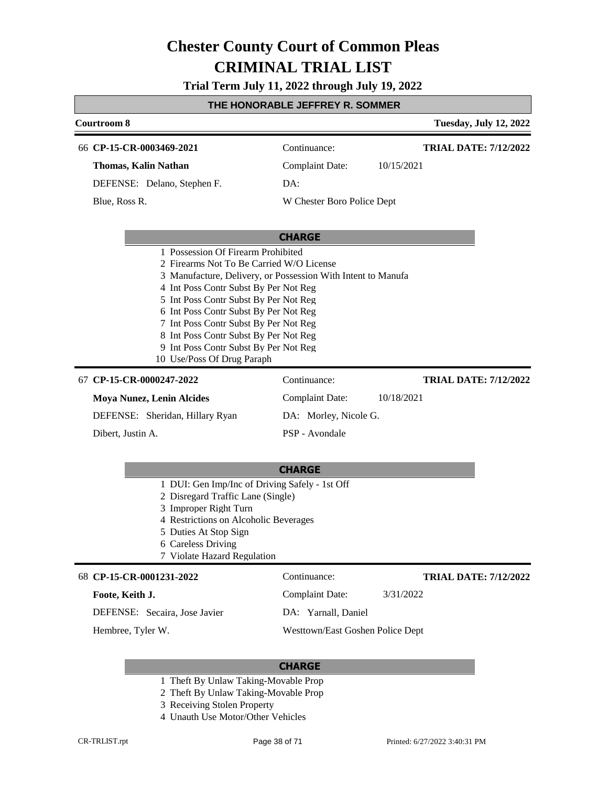# **Trial Term July 11, 2022 through July 19, 2022**

# **THE HONORABLE JEFFREY R. SOMMER**

| Courtroom 8                                                                                                                                                                                                                                                                                                                                                                                  |                            |            | <b>Tuesday, July 12, 2022</b> |  |
|----------------------------------------------------------------------------------------------------------------------------------------------------------------------------------------------------------------------------------------------------------------------------------------------------------------------------------------------------------------------------------------------|----------------------------|------------|-------------------------------|--|
| 66 CP-15-CR-0003469-2021                                                                                                                                                                                                                                                                                                                                                                     | Continuance:               |            | <b>TRIAL DATE: 7/12/2022</b>  |  |
| Thomas, Kalin Nathan                                                                                                                                                                                                                                                                                                                                                                         | <b>Complaint Date:</b>     | 10/15/2021 |                               |  |
| DEFENSE: Delano, Stephen F.                                                                                                                                                                                                                                                                                                                                                                  | DA:                        |            |                               |  |
| Blue, Ross R.                                                                                                                                                                                                                                                                                                                                                                                | W Chester Boro Police Dept |            |                               |  |
|                                                                                                                                                                                                                                                                                                                                                                                              |                            |            |                               |  |
|                                                                                                                                                                                                                                                                                                                                                                                              | <b>CHARGE</b>              |            |                               |  |
| 2 Firearms Not To Be Carried W/O License<br>3 Manufacture, Delivery, or Possession With Intent to Manufa<br>4 Int Poss Contr Subst By Per Not Reg<br>5 Int Poss Contr Subst By Per Not Reg<br>6 Int Poss Contr Subst By Per Not Reg<br>7 Int Poss Contr Subst By Per Not Reg<br>8 Int Poss Contr Subst By Per Not Reg<br>9 Int Poss Contr Subst By Per Not Reg<br>10 Use/Poss Of Drug Paraph |                            |            |                               |  |
| 67 CP-15-CR-0000247-2022                                                                                                                                                                                                                                                                                                                                                                     | Continuance:               |            | <b>TRIAL DATE: 7/12/2022</b>  |  |
| <b>Moya Nunez, Lenin Alcides</b>                                                                                                                                                                                                                                                                                                                                                             | Complaint Date:            | 10/18/2021 |                               |  |
| DEFENSE: Sheridan, Hillary Ryan                                                                                                                                                                                                                                                                                                                                                              | DA: Morley, Nicole G.      |            |                               |  |
| Dibert, Justin A.                                                                                                                                                                                                                                                                                                                                                                            | PSP - Avondale             |            |                               |  |
|                                                                                                                                                                                                                                                                                                                                                                                              |                            |            |                               |  |
|                                                                                                                                                                                                                                                                                                                                                                                              | <b>CHARGE</b>              |            |                               |  |
| 1 DUI: Gen Imp/Inc of Driving Safely - 1st Off<br>2 Disregard Traffic Lane (Single)<br>3 Improper Right Turn<br>4 Restrictions on Alcoholic Beverages                                                                                                                                                                                                                                        |                            |            |                               |  |

- 5 Duties At Stop Sign
- 6 Careless Driving
- 7 Violate Hazard Regulation

#### 68 **CP-15-CR-0001231-2022** Continuance:

# **Foote, Keith J.**

DEFENSE: Secaira, Jose Javier

Hembree, Tyler W.

**TRIAL DATE: 7/12/2022**

Complaint Date: 3/31/2022

DA: Yarnall, Daniel

Westtown/East Goshen Police Dept

- 1 Theft By Unlaw Taking-Movable Prop
- 2 Theft By Unlaw Taking-Movable Prop
- 3 Receiving Stolen Property
- 4 Unauth Use Motor/Other Vehicles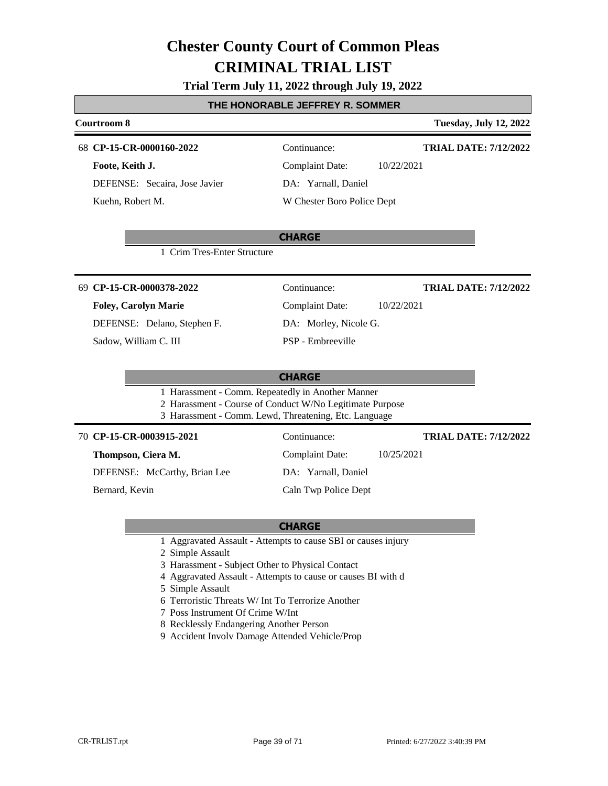# **Trial Term July 11, 2022 through July 19, 2022**

## **THE HONORABLE JEFFREY R. SOMMER**

# **Courtroom 8 Tuesday, July 12, 2022**

**CP-15-CR-0000160-2022** 68 Continuance:

**Foote, Keith J.** DEFENSE: Secaira, Jose Javier Kuehn, Robert M.

**TRIAL DATE: 7/12/2022**

**TRIAL DATE: 7/12/2022**

Complaint Date: 10/22/2021 DA: Yarnall, Daniel

Complaint Date: 10/22/2021

W Chester Boro Police Dept

#### **CHARGE**

1 Crim Tres-Enter Structure

#### **CP-15-CR-0000378-2022** 69 Continuance:

#### **Foley, Carolyn Marie**

DEFENSE: Delano, Stephen F.

Sadow, William C. III

| <b>Complaint Date:</b> |                       |  |  |  |
|------------------------|-----------------------|--|--|--|
|                        | DA: Morley, Nicole G. |  |  |  |

PSP - Embreeville

## **CHARGE**

- 1 Harassment Comm. Repeatedly in Another Manner
- 2 Harassment Course of Conduct W/No Legitimate Purpose
- 3 Harassment Comm. Lewd, Threatening, Etc. Language

# **CP-15-CR-0003915-2021** 70 Continuance:

**Thompson, Ciera M.**

DEFENSE: McCarthy, Brian Lee

Bernard, Kevin

DA: Yarnall, Daniel

Caln Twp Police Dept

## **CHARGE**

1 Aggravated Assault - Attempts to cause SBI or causes injury

2 Simple Assault

- 3 Harassment Subject Other to Physical Contact
- 4 Aggravated Assault Attempts to cause or causes BI with d
- 5 Simple Assault
- 6 Terroristic Threats W/ Int To Terrorize Another
- 7 Poss Instrument Of Crime W/Int
- 8 Recklessly Endangering Another Person
- 9 Accident Involv Damage Attended Vehicle/Prop

Complaint Date: 10/25/2021

**TRIAL DATE: 7/12/2022**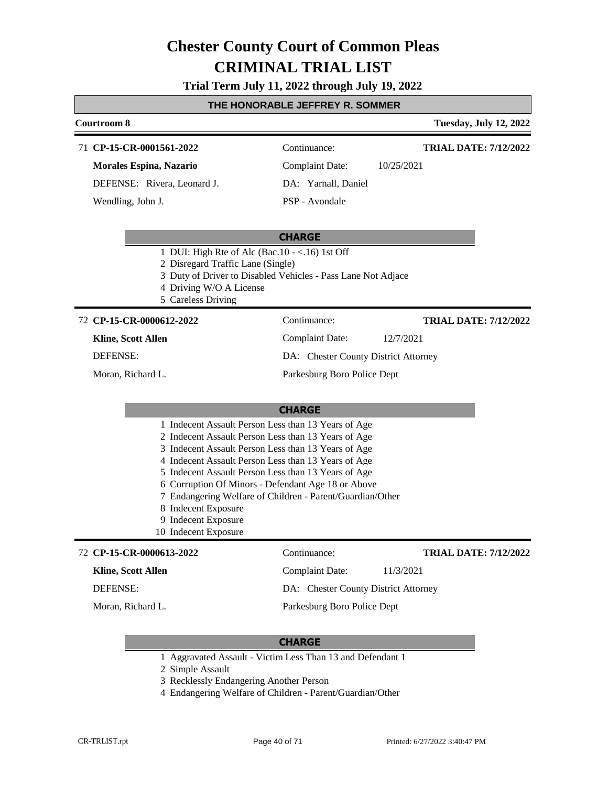# **Trial Term July 11, 2022 through July 19, 2022**

## **THE HONORABLE JEFFREY R. SOMMER**

# **Courtroom 8 Tuesday, July 12, 2022 CHARGE** 71 **CP-15-CR-0001561-2022** Continuance: **Morales Espina, Nazario** DEFENSE: Rivera, Leonard J. Complaint Date: 10/25/2021 DA: Yarnall, Daniel PSP - Avondale **TRIAL DATE: 7/12/2022** Wendling, John J. 1 DUI: High Rte of Alc (Bac.10 - <.16) 1st Off 2 Disregard Traffic Lane (Single) 3 Duty of Driver to Disabled Vehicles - Pass Lane Not Adjace 4 Driving W/O A License 5 Careless Driving **CHARGE CP-15-CR-0000612-2022** 72 Continuance: **Kline, Scott Allen** DEFENSE: Complaint Date: 12/7/2021 DA: Chester County District Attorney Parkesburg Boro Police Dept **TRIAL DATE: 7/12/2022** Moran, Richard L. 1 Indecent Assault Person Less than 13 Years of Age 2 Indecent Assault Person Less than 13 Years of Age 3 Indecent Assault Person Less than 13 Years of Age 4 Indecent Assault Person Less than 13 Years of Age 5 Indecent Assault Person Less than 13 Years of Age

- 6 Corruption Of Minors Defendant Age 18 or Above
- 7 Endangering Welfare of Children Parent/Guardian/Other
- 8 Indecent Exposure
- 9 Indecent Exposure
- 10 Indecent Exposure

#### **CP-15-CR-0000613-2022** 72 Continuance:

## **Kline, Scott Allen**

DEFENSE:

Moran, Richard L.

DA: Chester County District Attorney Parkesburg Boro Police Dept

Complaint Date: 11/3/2021

# **CHARGE**

- 1 Aggravated Assault Victim Less Than 13 and Defendant 1
- 2 Simple Assault
- 3 Recklessly Endangering Another Person
- 4 Endangering Welfare of Children Parent/Guardian/Other

**TRIAL DATE: 7/12/2022**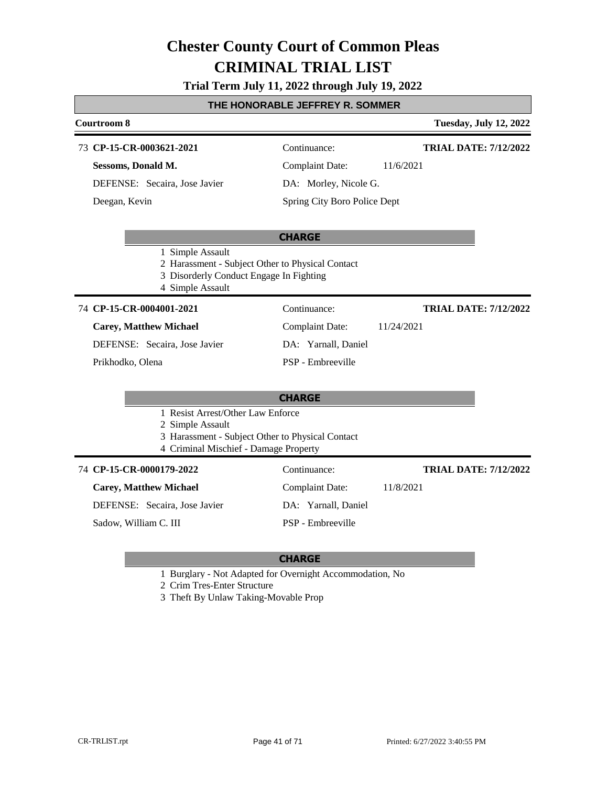# **Trial Term July 11, 2022 through July 19, 2022**

# **THE HONORABLE JEFFREY R. SOMMER Courtroom 8 Tuesday, July 12, 2022**

# **CHARGE CP-15-CR-0003621-2021** 73 Continuance: **Sessoms, Donald M.** DEFENSE: Secaira, Jose Javier Complaint Date: 11/6/2021 DA: Morley, Nicole G. Spring City Boro Police Dept **TRIAL DATE: 7/12/2022** Deegan, Kevin 1 Simple Assault 2 Harassment - Subject Other to Physical Contact 3 Disorderly Conduct Engage In Fighting 4 Simple Assault **CHARGE CP-15-CR-0004001-2021** 74 Continuance: **Carey, Matthew Michael** DEFENSE: Secaira, Jose Javier Complaint Date: 11/24/2021 DA: Yarnall, Daniel PSP - Embreeville **TRIAL DATE: 7/12/2022** Prikhodko, Olena 1 Resist Arrest/Other Law Enforce

2 Simple Assault

- 3 Harassment Subject Other to Physical Contact
- 4 Criminal Mischief Damage Property

#### **CP-15-CR-0000179-2022** 74 Continuance:

## **Carey, Matthew Michael**

DEFENSE: Secaira, Jose Javier

Sadow, William C. III

# Complaint Date: 11/8/2021 DA: Yarnall, Daniel

PSP - Embreeville

# **TRIAL DATE: 7/12/2022**

- 1 Burglary Not Adapted for Overnight Accommodation, No
- 2 Crim Tres-Enter Structure
- 3 Theft By Unlaw Taking-Movable Prop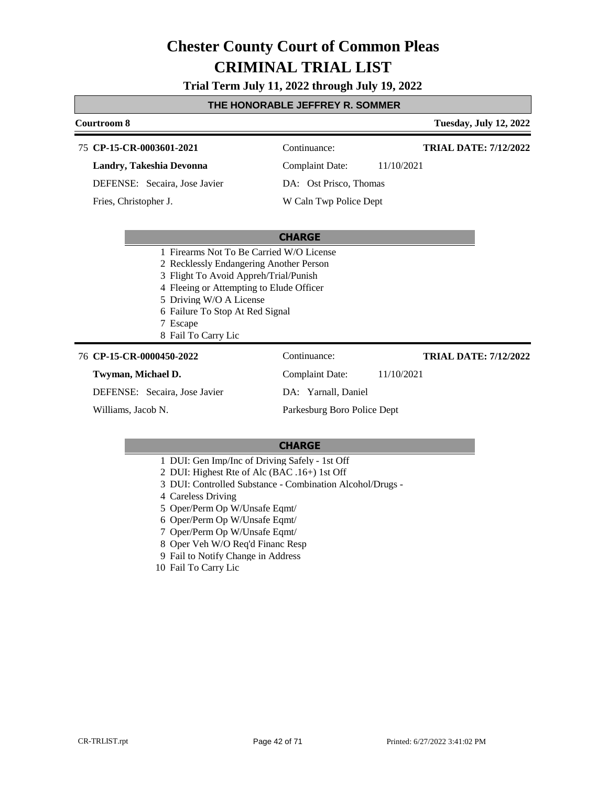**Trial Term July 11, 2022 through July 19, 2022**

## **THE HONORABLE JEFFREY R. SOMMER**

## **Courtroom 8 Tuesday, July 12, 2022 CP-15-CR-0003601-2021** 75 Continuance: **Landry, Takeshia Devonna** DEFENSE: Secaira, Jose Javier Complaint Date: 11/10/2021 DA: Ost Prisco, Thomas W Caln Twp Police Dept **TRIAL DATE: 7/12/2022** Fries, Christopher J.

#### **CHARGE**

- 1 Firearms Not To Be Carried W/O License
- 2 Recklessly Endangering Another Person
- 3 Flight To Avoid Appreh/Trial/Punish
- 4 Fleeing or Attempting to Elude Officer
- 5 Driving W/O A License
- 6 Failure To Stop At Red Signal
- 7 Escape
- 8 Fail To Carry Lic

#### **CP-15-CR-0000450-2022** 76 Continuance:

#### **Twyman, Michael D.**

DEFENSE: Secaira, Jose Javier

Williams, Jacob N.

Complaint Date: 11/10/2021 DA: Yarnall, Daniel

**TRIAL DATE: 7/12/2022**

Parkesburg Boro Police Dept

- 1 DUI: Gen Imp/Inc of Driving Safely 1st Off
- 2 DUI: Highest Rte of Alc (BAC .16+) 1st Off
- 3 DUI: Controlled Substance Combination Alcohol/Drugs -
- 4 Careless Driving
- 5 Oper/Perm Op W/Unsafe Eqmt/
- 6 Oper/Perm Op W/Unsafe Eqmt/
- 7 Oper/Perm Op W/Unsafe Eqmt/
- 8 Oper Veh W/O Req'd Financ Resp
- 9 Fail to Notify Change in Address
- 10 Fail To Carry Lic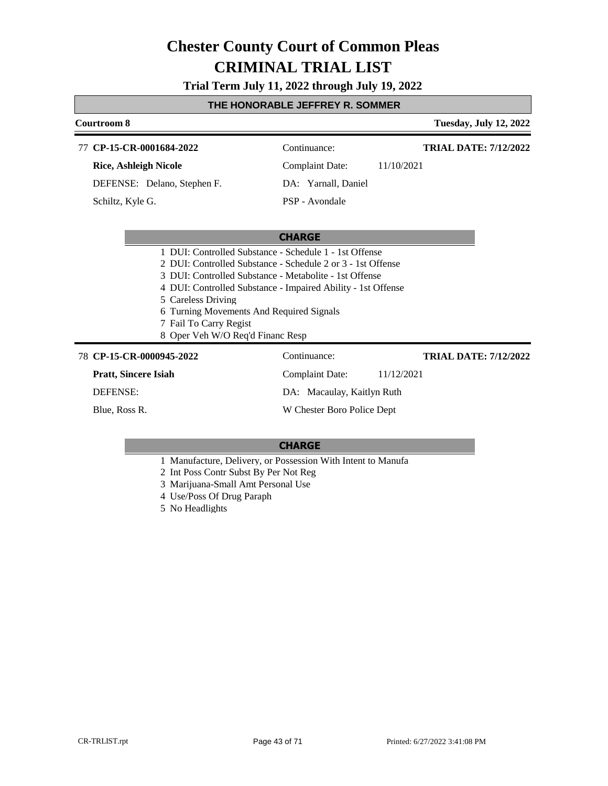# **Trial Term July 11, 2022 through July 19, 2022**

## **THE HONORABLE JEFFREY R. SOMMER**

#### **Courtroom 8 Tuesday, July 12, 2022** 77 **CP-15-CR-0001684-2022** Continuance: **Rice, Ashleigh Nicole** DEFENSE: Delano, Stephen F. Complaint Date: 11/10/2021 DA: Yarnall, Daniel PSP - Avondale **TRIAL DATE: 7/12/2022** Schiltz, Kyle G.

#### **CHARGE**

|  | 1 DUI: Controlled Substance - Schedule 1 - 1st Offense                                                                                                                                                                                                                                                                                |  |  |
|--|---------------------------------------------------------------------------------------------------------------------------------------------------------------------------------------------------------------------------------------------------------------------------------------------------------------------------------------|--|--|
|  | $\alpha$ put $\alpha$ in the time $\alpha$ is the $\alpha$ in $\alpha$ in $\alpha$ in $\alpha$ in $\alpha$ in $\alpha$ in $\alpha$ in $\alpha$ in $\alpha$ in $\alpha$ in $\alpha$ in $\alpha$ in $\alpha$ in $\alpha$ in $\alpha$ in $\alpha$ in $\alpha$ in $\alpha$ in $\alpha$ in $\alpha$ in $\alpha$ in $\alpha$ in $\alpha$ in |  |  |

- 2 DUI: Controlled Substance Schedule 2 or 3 1st Offense
- 3 DUI: Controlled Substance Metabolite 1st Offense
- 4 DUI: Controlled Substance Impaired Ability 1st Offense
- 5 Careless Driving
- 6 Turning Movements And Required Signals
- 7 Fail To Carry Regist
- 8 Oper Veh W/O Req'd Financ Resp

# **CP-15-CR-0000945-2022** 78 Continuance:

**Pratt, Sincere Isiah** DEFENSE:

Blue, Ross R.

# Complaint Date: 11/12/2021 DA: Macaulay, Kaitlyn Ruth W Chester Boro Police Dept

## **CHARGE**

- 1 Manufacture, Delivery, or Possession With Intent to Manufa
- 2 Int Poss Contr Subst By Per Not Reg
- 3 Marijuana-Small Amt Personal Use
- 4 Use/Poss Of Drug Paraph
- 5 No Headlights

**TRIAL DATE: 7/12/2022**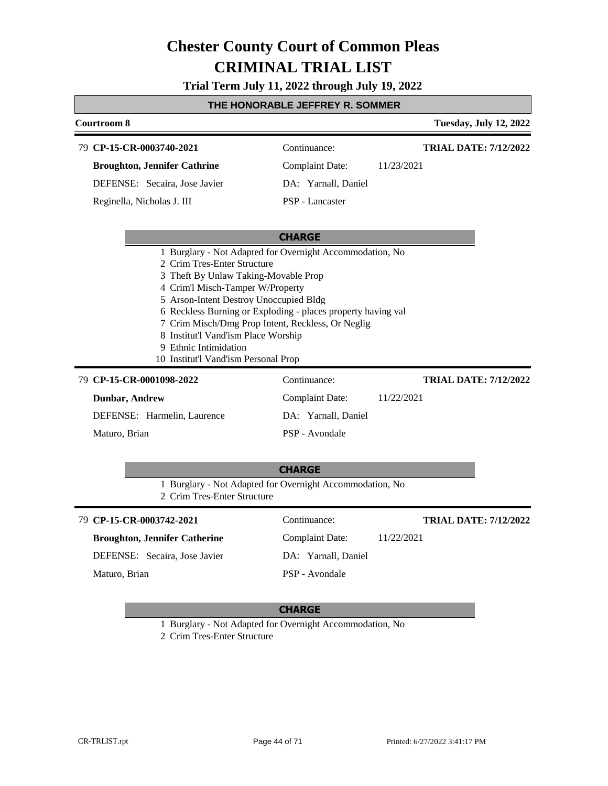# **Trial Term July 11, 2022 through July 19, 2022**

# **THE HONORABLE JEFFREY R. SOMMER**

| Courtroom 8                                                                                                                                                                                                                                                                                                                                                                                                                                                                                                                                     |                                                                                 | <b>Tuesday, July 12, 2022</b>              |
|-------------------------------------------------------------------------------------------------------------------------------------------------------------------------------------------------------------------------------------------------------------------------------------------------------------------------------------------------------------------------------------------------------------------------------------------------------------------------------------------------------------------------------------------------|---------------------------------------------------------------------------------|--------------------------------------------|
| 79 CP-15-CR-0003740-2021                                                                                                                                                                                                                                                                                                                                                                                                                                                                                                                        | Continuance:                                                                    | <b>TRIAL DATE: 7/12/2022</b>               |
| <b>Broughton, Jennifer Cathrine</b>                                                                                                                                                                                                                                                                                                                                                                                                                                                                                                             | <b>Complaint Date:</b>                                                          | 11/23/2021                                 |
| DEFENSE: Secaira, Jose Javier                                                                                                                                                                                                                                                                                                                                                                                                                                                                                                                   | DA: Yarnall, Daniel                                                             |                                            |
| Reginella, Nicholas J. III                                                                                                                                                                                                                                                                                                                                                                                                                                                                                                                      | PSP - Lancaster                                                                 |                                            |
|                                                                                                                                                                                                                                                                                                                                                                                                                                                                                                                                                 | <b>CHARGE</b>                                                                   |                                            |
| 1 Burglary - Not Adapted for Overnight Accommodation, No<br>2 Crim Tres-Enter Structure<br>3 Theft By Unlaw Taking-Movable Prop<br>4 Crim'l Misch-Tamper W/Property<br>5 Arson-Intent Destroy Unoccupied Bldg<br>6 Reckless Burning or Exploding - places property having val<br>7 Crim Misch/Dmg Prop Intent, Reckless, Or Neglig<br>8 Institut'l Vand'ism Place Worship<br>9 Ethnic Intimidation<br>10 Institut'l Vand'ism Personal Prop<br>79 CP-15-CR-0001098-2022<br><b>Dunbar, Andrew</b><br>DEFENSE: Harmelin, Laurence<br>Maturo, Brian | Continuance:<br><b>Complaint Date:</b><br>DA: Yarnall, Daniel<br>PSP - Avondale | <b>TRIAL DATE: 7/12/2022</b><br>11/22/2021 |
|                                                                                                                                                                                                                                                                                                                                                                                                                                                                                                                                                 | <b>CHARGE</b>                                                                   |                                            |
| 1 Burglary - Not Adapted for Overnight Accommodation, No<br>2 Crim Tres-Enter Structure                                                                                                                                                                                                                                                                                                                                                                                                                                                         |                                                                                 |                                            |
| 79 CP-15-CR-0003742-2021                                                                                                                                                                                                                                                                                                                                                                                                                                                                                                                        | Continuance:                                                                    | <b>TRIAL DATE: 7/12/2022</b>               |
| <b>Broughton, Jennifer Catherine</b>                                                                                                                                                                                                                                                                                                                                                                                                                                                                                                            | Complaint Date:                                                                 | 11/22/2021                                 |
| DEFENSE: Secaira, Jose Javier                                                                                                                                                                                                                                                                                                                                                                                                                                                                                                                   | DA: Yarnall, Daniel                                                             |                                            |
| Maturo, Brian                                                                                                                                                                                                                                                                                                                                                                                                                                                                                                                                   | PSP - Avondale                                                                  |                                            |
|                                                                                                                                                                                                                                                                                                                                                                                                                                                                                                                                                 |                                                                                 |                                            |

# **CHARGE**

1 Burglary - Not Adapted for Overnight Accommodation, No

2 Crim Tres-Enter Structure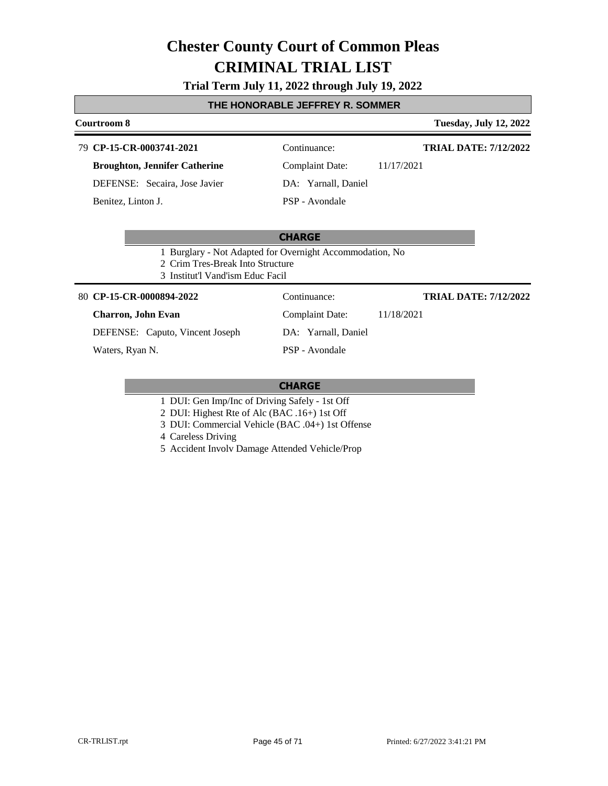# **Trial Term July 11, 2022 through July 19, 2022**

## **THE HONORABLE JEFFREY R. SOMMER**

# **Courtroom 8 Tuesday, July 12, 2022**

| 79 CP-15-CR-0003741-2021 |  |
|--------------------------|--|
|                          |  |

**Broughton, Jennifer Catherine**

DEFENSE: Secaira, Jose Javier

Benitez, Linton J.

Continuance:

**TRIAL DATE: 7/12/2022**

Complaint Date: 11/17/2021 DA: Yarnall, Daniel PSP - Avondale

**CHARGE**

- 1 Burglary Not Adapted for Overnight Accommodation, No
- 2 Crim Tres-Break Into Structure
- 3 Institut'l Vand'ism Educ Facil

## **CP-15-CR-0000894-2022** 80 Continuance:

#### **Charron, John Evan**

DEFENSE: Caputo, Vincent Joseph

Waters, Ryan N.

**TRIAL DATE: 7/12/2022**

Complaint Date: 11/18/2021

DA: Yarnall, Daniel

PSP - Avondale

- 1 DUI: Gen Imp/Inc of Driving Safely 1st Off
- 2 DUI: Highest Rte of Alc (BAC .16+) 1st Off
- 3 DUI: Commercial Vehicle (BAC .04+) 1st Offense
- 4 Careless Driving
- 5 Accident Involv Damage Attended Vehicle/Prop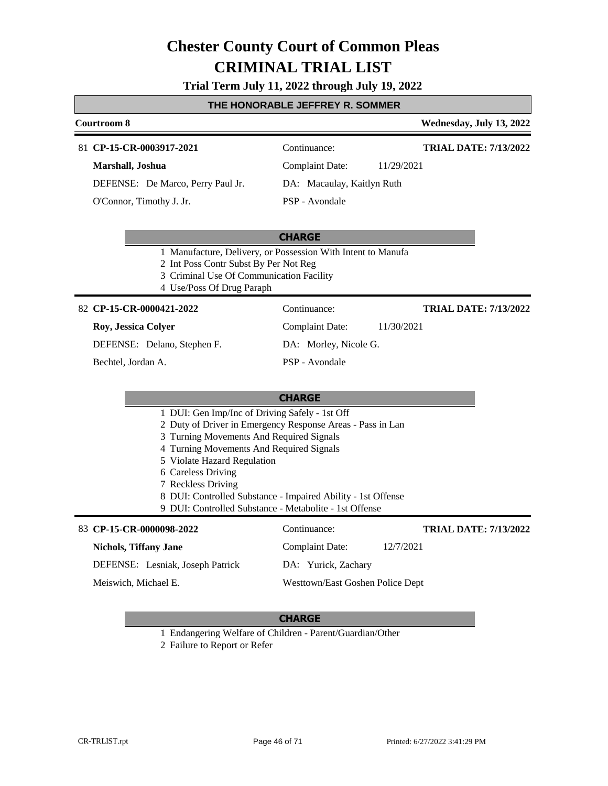# **Trial Term July 11, 2022 through July 19, 2022**

## **THE HONORABLE JEFFREY R. SOMMER**

#### **Courtroom 8 Wednesday, July 13, 2022 CP-15-CR-0003917-2021** 81 Continuance: **Marshall, Joshua** DEFENSE: De Marco, Perry Paul Jr. Complaint Date: 11/29/2021 DA: Macaulay, Kaitlyn Ruth **TRIAL DATE: 7/13/2022**

O'Connor, Timothy J. Jr.

PSP - Avondale

# **CHARGE**

- 1 Manufacture, Delivery, or Possession With Intent to Manufa
- 2 Int Poss Contr Subst By Per Not Reg
- 3 Criminal Use Of Communication Facility
- 4 Use/Poss Of Drug Paraph

## **CP-15-CR-0000421-2022** 82 Continuance:

#### **Roy, Jessica Colyer**

DEFENSE: Delano, Stephen F.

Bechtel, Jordan A.

DA: Morley, Nicole G.

Complaint Date: 11/30/2021

PSP - Avondale

# **CHARGE**

- 1 DUI: Gen Imp/Inc of Driving Safely 1st Off
- 2 Duty of Driver in Emergency Response Areas Pass in Lan
- 3 Turning Movements And Required Signals
- 4 Turning Movements And Required Signals
- 5 Violate Hazard Regulation
- 6 Careless Driving
- 7 Reckless Driving
- 8 DUI: Controlled Substance Impaired Ability 1st Offense
- 9 DUI: Controlled Substance Metabolite 1st Offense

# 83 **CP-15-CR-0000098-2022** Continuance:

DEFENSE: Lesniak, Joseph Patrick

**Nichols, Tiffany Jane**

Meiswich, Michael E.

**TRIAL DATE: 7/13/2022**

**TRIAL DATE: 7/13/2022**

DA: Yurick, Zachary Westtown/East Goshen Police Dept

Complaint Date: 12/7/2021

## **CHARGE**

1 Endangering Welfare of Children - Parent/Guardian/Other

2 Failure to Report or Refer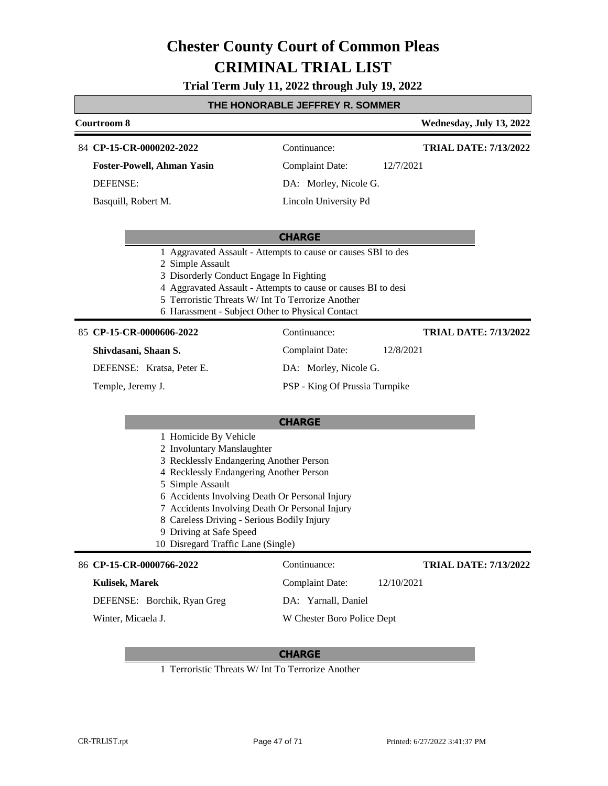**Trial Term July 11, 2022 through July 19, 2022**

# **THE HONORABLE JEFFREY R. SOMMER**

| Courtroom 8                                                                                                                                                                                                                                                                                                                                                                      | <u>- HONORADEE JEHTRET R. SOMMER</u>                                                                                                                                                                 | Wednesday, July 13, 2022     |
|----------------------------------------------------------------------------------------------------------------------------------------------------------------------------------------------------------------------------------------------------------------------------------------------------------------------------------------------------------------------------------|------------------------------------------------------------------------------------------------------------------------------------------------------------------------------------------------------|------------------------------|
| 84 CP-15-CR-0000202-2022                                                                                                                                                                                                                                                                                                                                                         | Continuance:                                                                                                                                                                                         | <b>TRIAL DATE: 7/13/2022</b> |
| <b>Foster-Powell, Ahman Yasin</b>                                                                                                                                                                                                                                                                                                                                                | <b>Complaint Date:</b>                                                                                                                                                                               | 12/7/2021                    |
| <b>DEFENSE:</b>                                                                                                                                                                                                                                                                                                                                                                  | DA: Morley, Nicole G.                                                                                                                                                                                |                              |
| Basquill, Robert M.                                                                                                                                                                                                                                                                                                                                                              | Lincoln University Pd                                                                                                                                                                                |                              |
| 2 Simple Assault<br>3 Disorderly Conduct Engage In Fighting<br>6 Harassment - Subject Other to Physical Contact                                                                                                                                                                                                                                                                  | <b>CHARGE</b><br>1 Aggravated Assault - Attempts to cause or causes SBI to des<br>4 Aggravated Assault - Attempts to cause or causes BI to desi<br>5 Terroristic Threats W/ Int To Terrorize Another |                              |
| 85 CP-15-CR-0000606-2022                                                                                                                                                                                                                                                                                                                                                         | Continuance:                                                                                                                                                                                         | <b>TRIAL DATE: 7/13/2022</b> |
| Shivdasani, Shaan S.                                                                                                                                                                                                                                                                                                                                                             | <b>Complaint Date:</b>                                                                                                                                                                               | 12/8/2021                    |
| DEFENSE: Kratsa, Peter E.                                                                                                                                                                                                                                                                                                                                                        | DA: Morley, Nicole G.                                                                                                                                                                                |                              |
| Temple, Jeremy J.                                                                                                                                                                                                                                                                                                                                                                | PSP - King Of Prussia Turnpike                                                                                                                                                                       |                              |
|                                                                                                                                                                                                                                                                                                                                                                                  | <b>CHARGE</b>                                                                                                                                                                                        |                              |
| 1 Homicide By Vehicle<br>2 Involuntary Manslaughter<br>3 Recklessly Endangering Another Person<br>4 Recklessly Endangering Another Person<br>5 Simple Assault<br>6 Accidents Involving Death Or Personal Injury<br>7 Accidents Involving Death Or Personal Injury<br>8 Careless Driving - Serious Bodily Injury<br>9 Driving at Safe Speed<br>10 Disregard Traffic Lane (Single) |                                                                                                                                                                                                      |                              |
| 86 CP-15-CR-0000766-2022                                                                                                                                                                                                                                                                                                                                                         | Continuance:                                                                                                                                                                                         | <b>TRIAL DATE: 7/13/2022</b> |
| <b>Kulisek, Marek</b>                                                                                                                                                                                                                                                                                                                                                            | <b>Complaint Date:</b>                                                                                                                                                                               | 12/10/2021                   |
| DEFENSE: Borchik, Ryan Greg                                                                                                                                                                                                                                                                                                                                                      | DA: Yarnall, Daniel                                                                                                                                                                                  |                              |
| Winter, Micaela J.                                                                                                                                                                                                                                                                                                                                                               | W Chester Boro Police Dept                                                                                                                                                                           |                              |
|                                                                                                                                                                                                                                                                                                                                                                                  |                                                                                                                                                                                                      |                              |

# **CHARGE**

1 Terroristic Threats W/ Int To Terrorize Another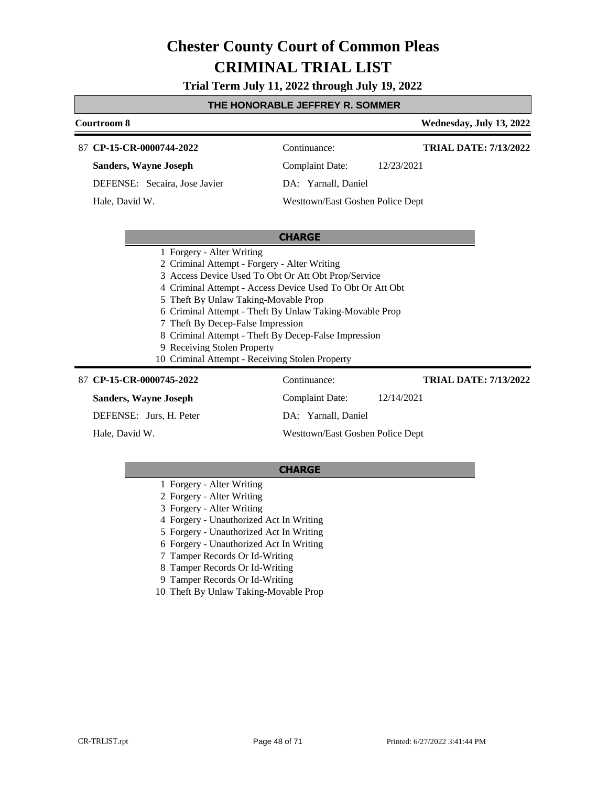# **Trial Term July 11, 2022 through July 19, 2022**

# **THE HONORABLE JEFFREY R. SOMMER**

| <b>Courtroom 8</b>                                                                                                                                                                                                                                                                                                                                                                                                                                                                  |                                      | Wednesday, July 13, 2022     |
|-------------------------------------------------------------------------------------------------------------------------------------------------------------------------------------------------------------------------------------------------------------------------------------------------------------------------------------------------------------------------------------------------------------------------------------------------------------------------------------|--------------------------------------|------------------------------|
| 87 CP-15-CR-0000744-2022                                                                                                                                                                                                                                                                                                                                                                                                                                                            | Continuance:                         | <b>TRIAL DATE: 7/13/2022</b> |
| <b>Sanders, Wayne Joseph</b>                                                                                                                                                                                                                                                                                                                                                                                                                                                        | <b>Complaint Date:</b><br>12/23/2021 |                              |
| DEFENSE: Secaira, Jose Javier                                                                                                                                                                                                                                                                                                                                                                                                                                                       | DA: Yarnall, Daniel                  |                              |
| Hale, David W.                                                                                                                                                                                                                                                                                                                                                                                                                                                                      | Westtown/East Goshen Police Dept     |                              |
|                                                                                                                                                                                                                                                                                                                                                                                                                                                                                     |                                      |                              |
|                                                                                                                                                                                                                                                                                                                                                                                                                                                                                     | <b>CHARGE</b>                        |                              |
| 1 Forgery - Alter Writing<br>2 Criminal Attempt - Forgery - Alter Writing<br>3 Access Device Used To Obt Or Att Obt Prop/Service<br>4 Criminal Attempt - Access Device Used To Obt Or Att Obt<br>Theft By Unlaw Taking-Movable Prop<br>5.<br>6 Criminal Attempt - Theft By Unlaw Taking-Movable Prop<br>7 Theft By Decep-False Impression<br>8 Criminal Attempt - Theft By Decep-False Impression<br>9 Receiving Stolen Property<br>10 Criminal Attempt - Receiving Stolen Property |                                      |                              |
| 87 CP-15-CR-0000745-2022                                                                                                                                                                                                                                                                                                                                                                                                                                                            | Continuance:                         | <b>TRIAL DATE: 7/13/2022</b> |
| <b>Sanders, Wayne Joseph</b>                                                                                                                                                                                                                                                                                                                                                                                                                                                        | Complaint Date:<br>12/14/2021        |                              |
| DEFENSE: Jurs, H. Peter                                                                                                                                                                                                                                                                                                                                                                                                                                                             | DA: Yarnall, Daniel                  |                              |

Hale, David W.

**CHARGE**

Westtown/East Goshen Police Dept

- 1 Forgery Alter Writing
- 2 Forgery Alter Writing
- 3 Forgery Alter Writing
- 4 Forgery Unauthorized Act In Writing
- 5 Forgery Unauthorized Act In Writing
- 6 Forgery Unauthorized Act In Writing
- 7 Tamper Records Or Id-Writing
- 8 Tamper Records Or Id-Writing
- 9 Tamper Records Or Id-Writing
- 10 Theft By Unlaw Taking-Movable Prop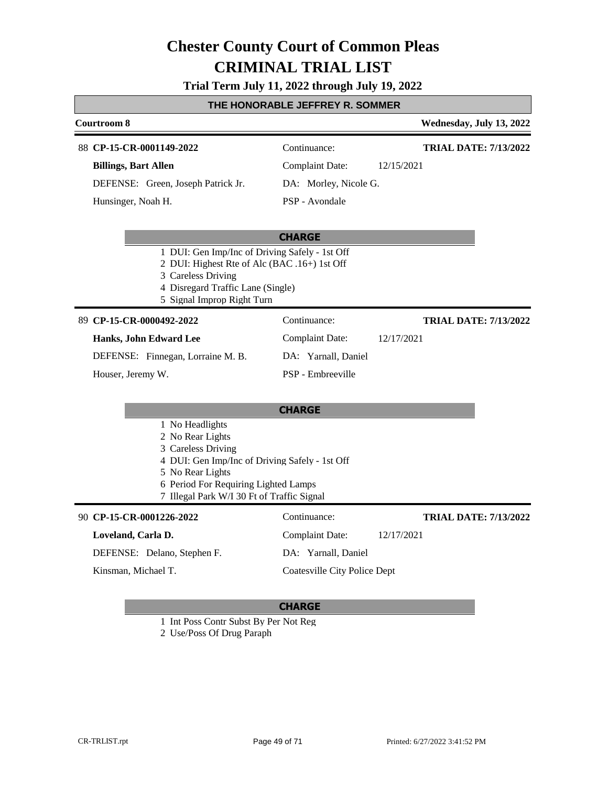# **Trial Term July 11, 2022 through July 19, 2022**

# **THE HONORABLE JEFFREY R. SOMMER**

|                                                                                                                                                                                                                       | <u>INE NUNUNABLE JEFFNET N. SUMIMEN</u> |                              |
|-----------------------------------------------------------------------------------------------------------------------------------------------------------------------------------------------------------------------|-----------------------------------------|------------------------------|
| Courtroom 8                                                                                                                                                                                                           |                                         | Wednesday, July 13, 2022     |
| 88 CP-15-CR-0001149-2022                                                                                                                                                                                              | Continuance:                            | <b>TRIAL DATE: 7/13/2022</b> |
| <b>Billings, Bart Allen</b>                                                                                                                                                                                           | <b>Complaint Date:</b>                  | 12/15/2021                   |
| DEFENSE: Green, Joseph Patrick Jr.                                                                                                                                                                                    | DA: Morley, Nicole G.                   |                              |
| Hunsinger, Noah H.                                                                                                                                                                                                    | PSP - Avondale                          |                              |
|                                                                                                                                                                                                                       | <b>CHARGE</b>                           |                              |
| 1 DUI: Gen Imp/Inc of Driving Safely - 1st Off<br>2 DUI: Highest Rte of Alc (BAC .16+) 1st Off<br>3 Careless Driving<br>4 Disregard Traffic Lane (Single)<br>5 Signal Improp Right Turn                               |                                         |                              |
| 89 CP-15-CR-0000492-2022                                                                                                                                                                                              | Continuance:                            | <b>TRIAL DATE: 7/13/2022</b> |
| Hanks, John Edward Lee                                                                                                                                                                                                | <b>Complaint Date:</b>                  | 12/17/2021                   |
| DEFENSE: Finnegan, Lorraine M. B.                                                                                                                                                                                     | DA: Yarnall, Daniel                     |                              |
| Houser, Jeremy W.                                                                                                                                                                                                     | PSP - Embreeville                       |                              |
|                                                                                                                                                                                                                       | <b>CHARGE</b>                           |                              |
| 1 No Headlights<br>2 No Rear Lights<br>3 Careless Driving<br>4 DUI: Gen Imp/Inc of Driving Safely - 1st Off<br>5 No Rear Lights<br>6 Period For Requiring Lighted Lamps<br>7 Illegal Park W/I 30 Ft of Traffic Signal |                                         |                              |
| 90 CP-15-CR-0001226-2022                                                                                                                                                                                              | Continuance:                            | <b>TRIAL DATE: 7/13/2022</b> |
| Loveland, Carla D.                                                                                                                                                                                                    | <b>Complaint Date:</b>                  | 12/17/2021                   |
| DEFENSE: Delano, Stephen F.                                                                                                                                                                                           | DA: Yarnall, Daniel                     |                              |
| Kinsman, Michael T.                                                                                                                                                                                                   | <b>Coatesville City Police Dept</b>     |                              |
|                                                                                                                                                                                                                       |                                         |                              |

# **CHARGE**

1 Int Poss Contr Subst By Per Not Reg

2 Use/Poss Of Drug Paraph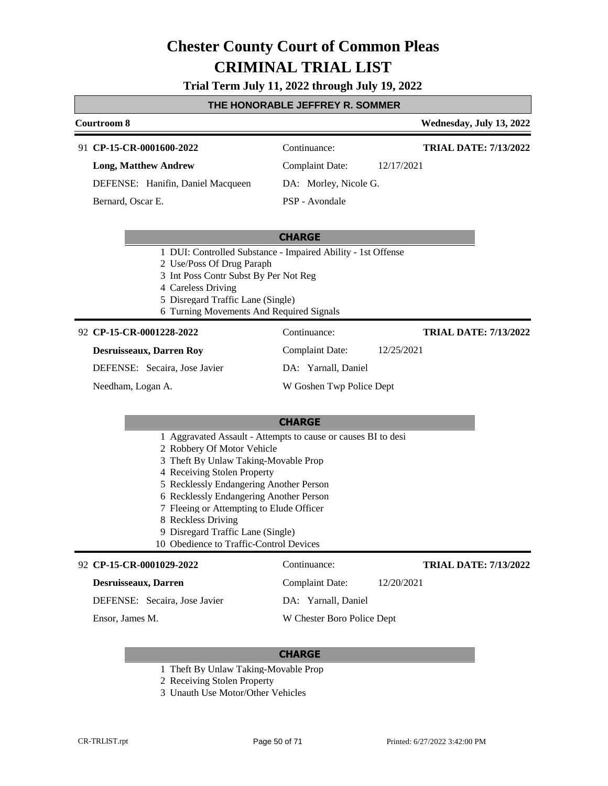# **Trial Term July 11, 2022 through July 19, 2022**

# **THE HONORABLE JEFFREY R. SOMMER**

| I HE HONORABLE JEFFREY R. SOMMER                                                                                                                                                                                                                                                                                                                                                                           |                            |                              |
|------------------------------------------------------------------------------------------------------------------------------------------------------------------------------------------------------------------------------------------------------------------------------------------------------------------------------------------------------------------------------------------------------------|----------------------------|------------------------------|
| <b>Courtroom 8</b>                                                                                                                                                                                                                                                                                                                                                                                         |                            | Wednesday, July 13, 2022     |
| 91 CP-15-CR-0001600-2022                                                                                                                                                                                                                                                                                                                                                                                   | Continuance:               | <b>TRIAL DATE: 7/13/2022</b> |
| <b>Long, Matthew Andrew</b>                                                                                                                                                                                                                                                                                                                                                                                | <b>Complaint Date:</b>     | 12/17/2021                   |
| DEFENSE: Hanifin, Daniel Macqueen                                                                                                                                                                                                                                                                                                                                                                          | DA: Morley, Nicole G.      |                              |
| Bernard, Oscar E.                                                                                                                                                                                                                                                                                                                                                                                          | PSP - Avondale             |                              |
|                                                                                                                                                                                                                                                                                                                                                                                                            | <b>CHARGE</b>              |                              |
| 1 DUI: Controlled Substance - Impaired Ability - 1st Offense<br>2 Use/Poss Of Drug Paraph<br>3 Int Poss Contr Subst By Per Not Reg<br>4 Careless Driving<br>5 Disregard Traffic Lane (Single)<br>6 Turning Movements And Required Signals                                                                                                                                                                  |                            |                              |
| 92 CP-15-CR-0001228-2022                                                                                                                                                                                                                                                                                                                                                                                   | Continuance:               | <b>TRIAL DATE: 7/13/2022</b> |
| <b>Desruisseaux, Darren Roy</b>                                                                                                                                                                                                                                                                                                                                                                            | <b>Complaint Date:</b>     | 12/25/2021                   |
| DEFENSE: Secaira, Jose Javier                                                                                                                                                                                                                                                                                                                                                                              | DA: Yarnall, Daniel        |                              |
| Needham, Logan A.                                                                                                                                                                                                                                                                                                                                                                                          | W Goshen Twp Police Dept   |                              |
| <b>CHARGE</b>                                                                                                                                                                                                                                                                                                                                                                                              |                            |                              |
| 1 Aggravated Assault - Attempts to cause or causes BI to desi<br>2 Robbery Of Motor Vehicle<br>3 Theft By Unlaw Taking-Movable Prop<br>4 Receiving Stolen Property<br>5 Recklessly Endangering Another Person<br>6 Recklessly Endangering Another Person<br>7 Fleeing or Attempting to Elude Officer<br>8 Reckless Driving<br>9 Disregard Traffic Lane (Single)<br>10 Obedience to Traffic-Control Devices |                            |                              |
| 92 CP-15-CR-0001029-2022                                                                                                                                                                                                                                                                                                                                                                                   | Continuance:               | <b>TRIAL DATE: 7/13/2022</b> |
| Desruisseaux, Darren                                                                                                                                                                                                                                                                                                                                                                                       | <b>Complaint Date:</b>     | 12/20/2021                   |
| DEFENSE: Secaira, Jose Javier                                                                                                                                                                                                                                                                                                                                                                              | DA: Yarnall, Daniel        |                              |
| Ensor, James M.                                                                                                                                                                                                                                                                                                                                                                                            | W Chester Boro Police Dept |                              |

# **CHARGE**

- 1 Theft By Unlaw Taking-Movable Prop
- 2 Receiving Stolen Property
- 3 Unauth Use Motor/Other Vehicles

Г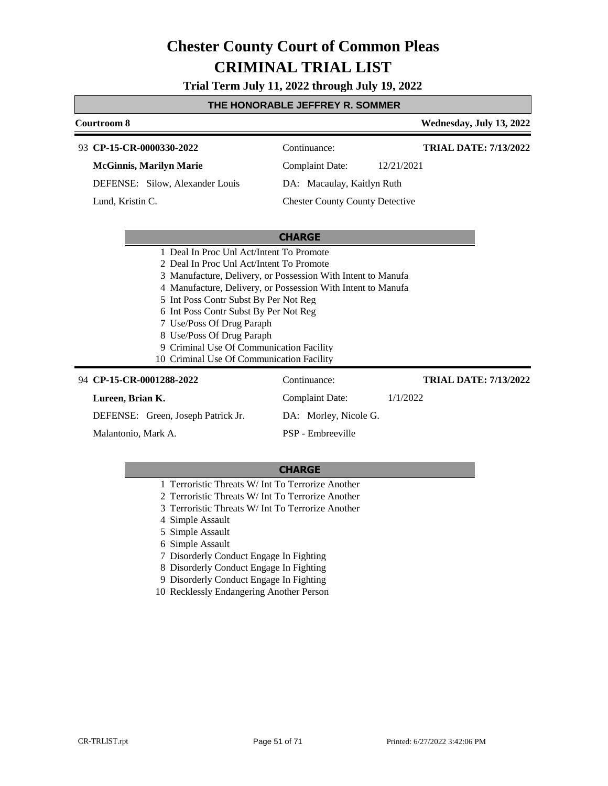**Trial Term July 11, 2022 through July 19, 2022**

## **THE HONORABLE JEFFREY R. SOMMER**

|                                          | Courtroom 8                                                  |                                                              |                                        |            | Wednesday, July 13, 2022     |
|------------------------------------------|--------------------------------------------------------------|--------------------------------------------------------------|----------------------------------------|------------|------------------------------|
|                                          |                                                              | 93 CP-15-CR-0000330-2022                                     | Continuance:                           |            | <b>TRIAL DATE: 7/13/2022</b> |
|                                          |                                                              | <b>McGinnis, Marilyn Marie</b>                               | Complaint Date:                        | 12/21/2021 |                              |
|                                          |                                                              | DEFENSE: Silow, Alexander Louis                              | DA: Macaulay, Kaitlyn Ruth             |            |                              |
|                                          | Lund, Kristin C.                                             |                                                              | <b>Chester County County Detective</b> |            |                              |
|                                          |                                                              |                                                              |                                        |            |                              |
|                                          |                                                              |                                                              | <b>CHARGE</b>                          |            |                              |
| 1 Deal In Proc Unl Act/Intent To Promote |                                                              |                                                              |                                        |            |                              |
| 2 Deal In Proc Unl Act/Intent To Promote |                                                              |                                                              |                                        |            |                              |
|                                          | 3 Manufacture, Delivery, or Possession With Intent to Manufa |                                                              |                                        |            |                              |
|                                          |                                                              | 4 Manufacture, Delivery, or Possession With Intent to Manufa |                                        |            |                              |
|                                          | 5 Int Poss Contr Subst By Per Not Reg                        |                                                              |                                        |            |                              |
|                                          |                                                              | 6 Int Poss Contr Subst By Per Not Reg                        |                                        |            |                              |
|                                          |                                                              | 7 Use/Poss Of Drug Paraph                                    |                                        |            |                              |
|                                          |                                                              | 8 Use/Poss Of Drug Paraph                                    |                                        |            |                              |

- 9 Criminal Use Of Communication Facility
- 10 Criminal Use Of Communication Facility

| 94 CP-15-CR-0001288-2022           | Continuance:          | <b>TRIAL DATE: 7/13/2022</b> |
|------------------------------------|-----------------------|------------------------------|
| Lureen, Brian K.                   | Complaint Date:       | 1/1/2022                     |
| DEFENSE: Green, Joseph Patrick Jr. | DA: Morley, Nicole G. |                              |
| Malantonio, Mark A.                | PSP - Embreeville     |                              |

- 1 Terroristic Threats W/ Int To Terrorize Another
- 2 Terroristic Threats W/ Int To Terrorize Another
- 3 Terroristic Threats W/ Int To Terrorize Another
- 4 Simple Assault
- 5 Simple Assault
- 6 Simple Assault
- 7 Disorderly Conduct Engage In Fighting
- 8 Disorderly Conduct Engage In Fighting
- 9 Disorderly Conduct Engage In Fighting
- 10 Recklessly Endangering Another Person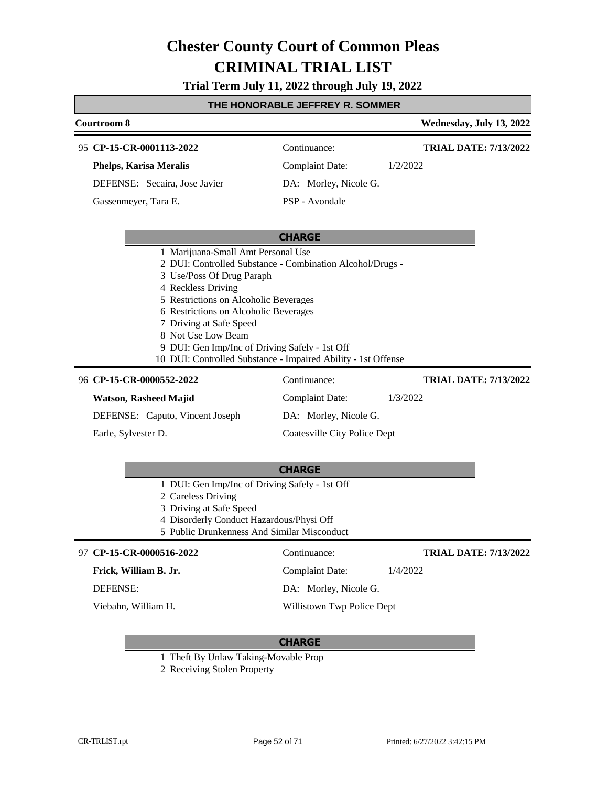**Trial Term July 11, 2022 through July 19, 2022**

# **THE HONORABLE JEFFREY R. SOMMER**

| <u>I HE HUNURABLE JEFFRET R. SUMMER</u> |                                                                                                                                                                                                                                                                                                                                                                                                          |                                     |                              |
|-----------------------------------------|----------------------------------------------------------------------------------------------------------------------------------------------------------------------------------------------------------------------------------------------------------------------------------------------------------------------------------------------------------------------------------------------------------|-------------------------------------|------------------------------|
|                                         | Courtroom 8                                                                                                                                                                                                                                                                                                                                                                                              |                                     | Wednesday, July 13, 2022     |
|                                         | 95 CP-15-CR-0001113-2022                                                                                                                                                                                                                                                                                                                                                                                 | Continuance:                        | <b>TRIAL DATE: 7/13/2022</b> |
|                                         | <b>Phelps, Karisa Meralis</b>                                                                                                                                                                                                                                                                                                                                                                            | <b>Complaint Date:</b>              | 1/2/2022                     |
|                                         | DEFENSE: Secaira, Jose Javier                                                                                                                                                                                                                                                                                                                                                                            | DA: Morley, Nicole G.               |                              |
|                                         | Gassenmeyer, Tara E.                                                                                                                                                                                                                                                                                                                                                                                     | PSP - Avondale                      |                              |
|                                         |                                                                                                                                                                                                                                                                                                                                                                                                          | <b>CHARGE</b>                       |                              |
|                                         | 1 Marijuana-Small Amt Personal Use<br>2 DUI: Controlled Substance - Combination Alcohol/Drugs -<br>3 Use/Poss Of Drug Paraph<br>4 Reckless Driving<br>5 Restrictions on Alcoholic Beverages<br>6 Restrictions on Alcoholic Beverages<br>7 Driving at Safe Speed<br>8 Not Use Low Beam<br>9 DUI: Gen Imp/Inc of Driving Safely - 1st Off<br>10 DUI: Controlled Substance - Impaired Ability - 1st Offense |                                     |                              |
|                                         | 96 CP-15-CR-0000552-2022                                                                                                                                                                                                                                                                                                                                                                                 | Continuance:                        | <b>TRIAL DATE: 7/13/2022</b> |
|                                         | <b>Watson, Rasheed Majid</b>                                                                                                                                                                                                                                                                                                                                                                             | <b>Complaint Date:</b>              | 1/3/2022                     |
|                                         | DEFENSE: Caputo, Vincent Joseph                                                                                                                                                                                                                                                                                                                                                                          | DA: Morley, Nicole G.               |                              |
|                                         | Earle, Sylvester D.                                                                                                                                                                                                                                                                                                                                                                                      | <b>Coatesville City Police Dept</b> |                              |
|                                         |                                                                                                                                                                                                                                                                                                                                                                                                          | <b>CHARGE</b>                       |                              |
|                                         | 1 DUI: Gen Imp/Inc of Driving Safely - 1st Off<br>2 Careless Driving<br>3 Driving at Safe Speed<br>4 Disorderly Conduct Hazardous/Physi Off<br>5 Public Drunkenness And Similar Misconduct                                                                                                                                                                                                               |                                     |                              |
|                                         | 97 CP-15-CR-0000516-2022                                                                                                                                                                                                                                                                                                                                                                                 | Continuance:                        | <b>TRIAL DATE: 7/13/2022</b> |
|                                         | Frick, William B. Jr.                                                                                                                                                                                                                                                                                                                                                                                    | <b>Complaint Date:</b>              | 1/4/2022                     |

DEFENSE:

Г

Viebahn, William H.

## **CHARGE**

DA: Morley, Nicole G.

Willistown Twp Police Dept

- 1 Theft By Unlaw Taking-Movable Prop
- 2 Receiving Stolen Property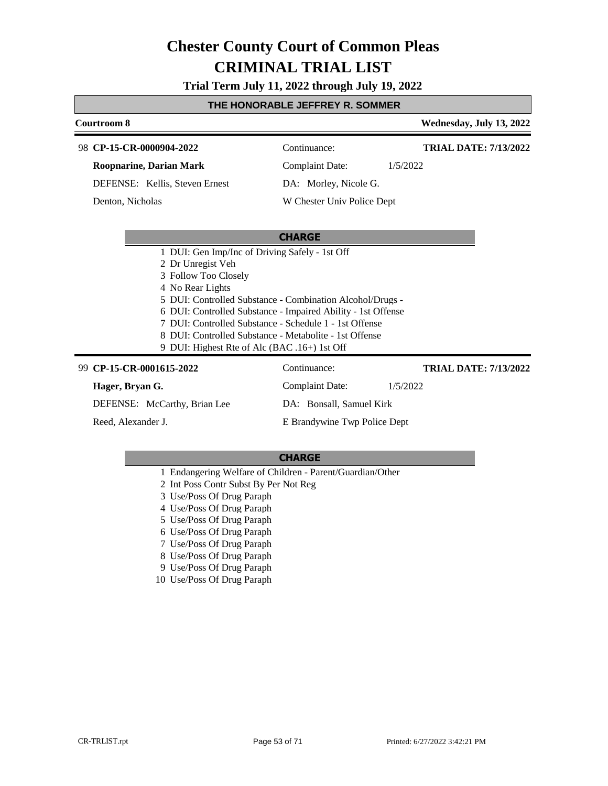# **Trial Term July 11, 2022 through July 19, 2022**

## **THE HONORABLE JEFFREY R. SOMMER**

| Courtroom 8                    |                                                | Wednesday, July 13, 2022 |
|--------------------------------|------------------------------------------------|--------------------------|
| 98 CP-15-CR-0000904-2022       | Continuance:                                   | TRIAL DATE: 7/13/2022    |
| <b>Roopnarine, Darian Mark</b> | Complaint Date:                                | 1/5/2022                 |
| DEFENSE: Kellis, Steven Ernest | DA: Morley, Nicole G.                          |                          |
| Denton, Nicholas               | W Chester Univ Police Dept                     |                          |
|                                |                                                |                          |
|                                | <b>CHARGE</b>                                  |                          |
|                                | 1 DUI: Gen Imp/Inc of Driving Safely - 1st Off |                          |

 Dr Unregist Veh Follow Too Closely No Rear Lights DUI: Controlled Substance - Combination Alcohol/Drugs - DUI: Controlled Substance - Impaired Ability - 1st Offense DUI: Controlled Substance - Schedule 1 - 1st Offense

- 8 DUI: Controlled Substance Metabolite 1st Offense
- 9 DUI: Highest Rte of Alc (BAC .16+) 1st Off

| 99 CP-15-CR-0001615-2022     | Continuance:                 | <b>TRIAL DATE: 7/13/2022</b> |
|------------------------------|------------------------------|------------------------------|
| Hager, Bryan G.              | Complaint Date:              | 1/5/2022                     |
| DEFENSE: McCarthy, Brian Lee | DA: Bonsall, Samuel Kirk     |                              |
| Reed, Alexander J.           | E Brandywine Twp Police Dept |                              |

- 1 Endangering Welfare of Children Parent/Guardian/Other
- 2 Int Poss Contr Subst By Per Not Reg
- 3 Use/Poss Of Drug Paraph
- 4 Use/Poss Of Drug Paraph
- 5 Use/Poss Of Drug Paraph
- 6 Use/Poss Of Drug Paraph
- 7 Use/Poss Of Drug Paraph
- 8 Use/Poss Of Drug Paraph
- 9 Use/Poss Of Drug Paraph
- 10 Use/Poss Of Drug Paraph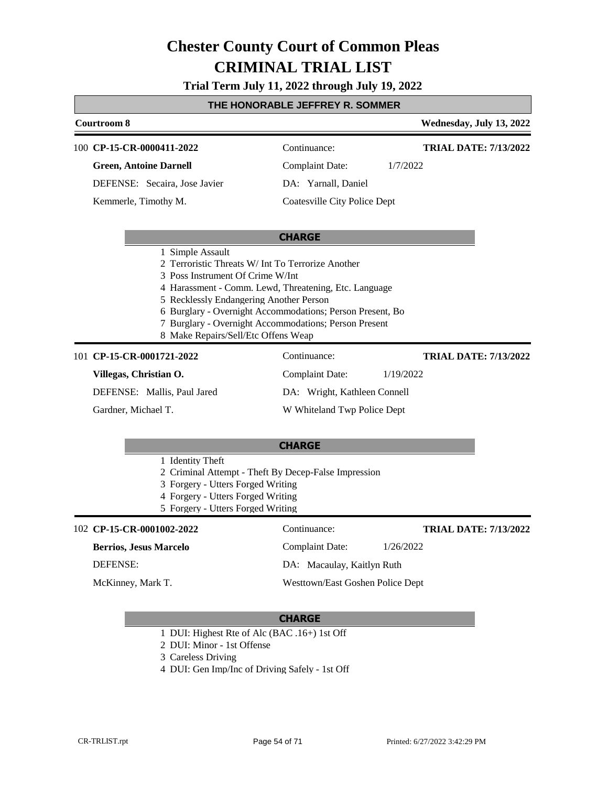# **Trial Term July 11, 2022 through July 19, 2022**

### **THE HONORABLE JEFFREY R. SOMMER**

| Courtroom 8                                                                                                                            |                                                                                                                                                                                                                                  | Wednesday, July 13, 2022     |
|----------------------------------------------------------------------------------------------------------------------------------------|----------------------------------------------------------------------------------------------------------------------------------------------------------------------------------------------------------------------------------|------------------------------|
| 100 CP-15-CR-0000411-2022                                                                                                              | Continuance:                                                                                                                                                                                                                     | <b>TRIAL DATE: 7/13/2022</b> |
| <b>Green, Antoine Darnell</b>                                                                                                          | Complaint Date:                                                                                                                                                                                                                  | 1/7/2022                     |
| DEFENSE: Secaira, Jose Javier                                                                                                          | DA: Yarnall, Daniel                                                                                                                                                                                                              |                              |
| Kemmerle, Timothy M.                                                                                                                   | Coatesville City Police Dept                                                                                                                                                                                                     |                              |
|                                                                                                                                        | <b>CHARGE</b>                                                                                                                                                                                                                    |                              |
| 1 Simple Assault<br>3 Poss Instrument Of Crime W/Int<br>5 Recklessly Endangering Another Person<br>8 Make Repairs/Sell/Etc Offens Weap | 2 Terroristic Threats W/ Int To Terrorize Another<br>4 Harassment - Comm. Lewd, Threatening, Etc. Language<br>6 Burglary - Overnight Accommodations; Person Present, Bo<br>7 Burglary - Overnight Accommodations; Person Present |                              |
| 101 CP-15-CR-0001721-2022                                                                                                              | Continuance:                                                                                                                                                                                                                     | <b>TRIAL DATE: 7/13/2022</b> |
| Villegas, Christian O.                                                                                                                 | Complaint Date:                                                                                                                                                                                                                  | 1/19/2022                    |

**Villegas, Christian O.**

DEFENSE: Mallis, Paul Jared

Gardner, Michael T.

DA: Wright, Kathleen Connell

W Whiteland Twp Police Dept

#### **CHARGE**

- 1 Identity Theft 2 Criminal Attempt - Theft By Decep-False Impression 3 Forgery - Utters Forged Writing
- 4 Forgery Utters Forged Writing
- 5 Forgery Utters Forged Writing

## **CP-15-CR-0001002-2022** 102 Continuance:

#### **Berrios, Jesus Marcelo**

DEFENSE:

McKinney, Mark T.

**TRIAL DATE: 7/13/2022**

DA: Macaulay, Kaitlyn Ruth

Westtown/East Goshen Police Dept

Complaint Date: 1/26/2022

- 1 DUI: Highest Rte of Alc (BAC .16+) 1st Off
- 2 DUI: Minor 1st Offense
- 3 Careless Driving
- 4 DUI: Gen Imp/Inc of Driving Safely 1st Off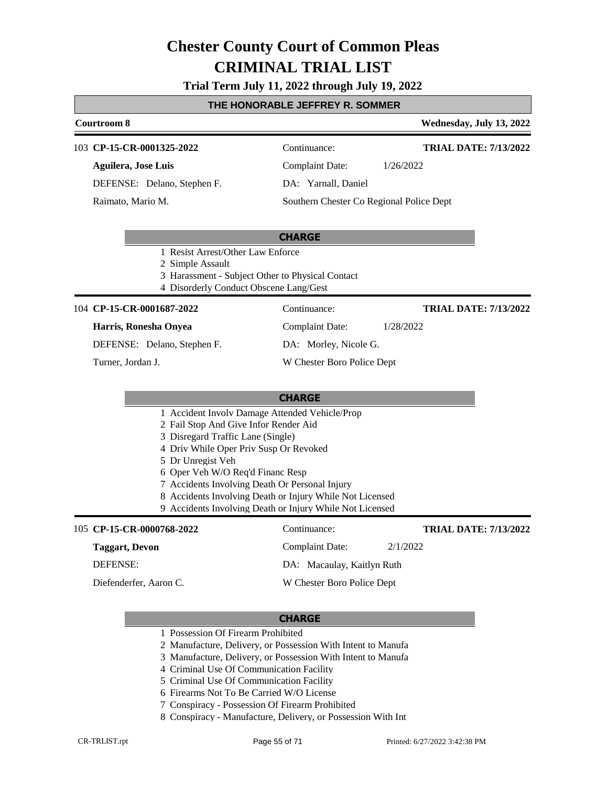# **Trial Term July 11, 2022 through July 19, 2022**

## **THE HONORABLE JEFFREY R. SOMMER**

# **Courtroom 8 Wednesday, July 13, 2022 CP-15-CR-0001325-2022** 103 Continuance: **Aguilera, Jose Luis TRIAL DATE: 7/13/2022**

DEFENSE: Delano, Stephen F.

Raimato, Mario M.

Complaint Date: 1/26/2022

DA: Yarnall, Daniel

Southern Chester Co Regional Police Dept

## **CHARGE**

1 Resist Arrest/Other Law Enforce

2 Simple Assault

- 3 Harassment Subject Other to Physical Contact
- 4 Disorderly Conduct Obscene Lang/Gest

## 104 **CP-15-CR-0001687-2022** Continuance:

#### **Harris, Ronesha Onyea**

DEFENSE: Delano, Stephen F.

Turner, Jordan J.

DA: Morley, Nicole G.

W Chester Boro Police Dept

Complaint Date: 1/28/2022

# **CHARGE**

- 1 Accident Involv Damage Attended Vehicle/Prop
- 2 Fail Stop And Give Infor Render Aid
- 3 Disregard Traffic Lane (Single)
- 4 Driv While Oper Priv Susp Or Revoked
- 5 Dr Unregist Veh
- 6 Oper Veh W/O Req'd Financ Resp
- 7 Accidents Involving Death Or Personal Injury
- 8 Accidents Involving Death or Injury While Not Licensed
- 9 Accidents Involving Death or Injury While Not Licensed

## **CP-15-CR-0000768-2022** 105 Continuance:

Diefenderfer, Aaron C.

**Taggart, Devon** DEFENSE:

**TRIAL DATE: 7/13/2022**

**TRIAL DATE: 7/13/2022**

Complaint Date: 2/1/2022

DA: Macaulay, Kaitlyn Ruth

W Chester Boro Police Dept

- 1 Possession Of Firearm Prohibited
- 2 Manufacture, Delivery, or Possession With Intent to Manufa
- 3 Manufacture, Delivery, or Possession With Intent to Manufa
- 4 Criminal Use Of Communication Facility
- 5 Criminal Use Of Communication Facility
- 6 Firearms Not To Be Carried W/O License
- 7 Conspiracy Possession Of Firearm Prohibited
- 8 Conspiracy Manufacture, Delivery, or Possession With Int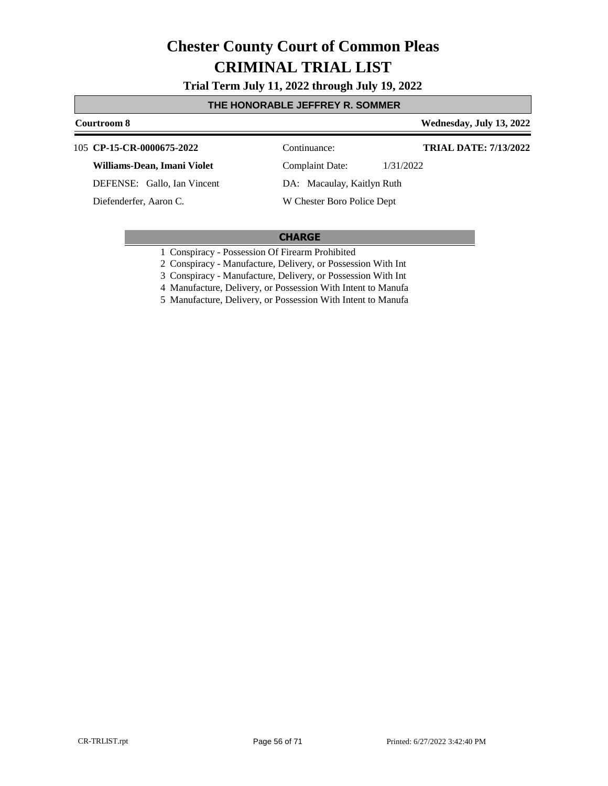**Trial Term July 11, 2022 through July 19, 2022**

## **THE HONORABLE JEFFREY R. SOMMER**

# **Courtroom 8 Wednesday, July 13, 2022**

#### **CP-15-CR-0000675-2022** 105 Continuance:

#### **Williams-Dean, Imani Violet**

DEFENSE: Gallo, Ian Vincent

Diefenderfer, Aaron C.

**TRIAL DATE: 7/13/2022**

Complaint Date: 1/31/2022 DA: Macaulay, Kaitlyn Ruth

W Chester Boro Police Dept

# **CHARGE**

1 Conspiracy - Possession Of Firearm Prohibited

2 Conspiracy - Manufacture, Delivery, or Possession With Int

3 Conspiracy - Manufacture, Delivery, or Possession With Int

4 Manufacture, Delivery, or Possession With Intent to Manufa

5 Manufacture, Delivery, or Possession With Intent to Manufa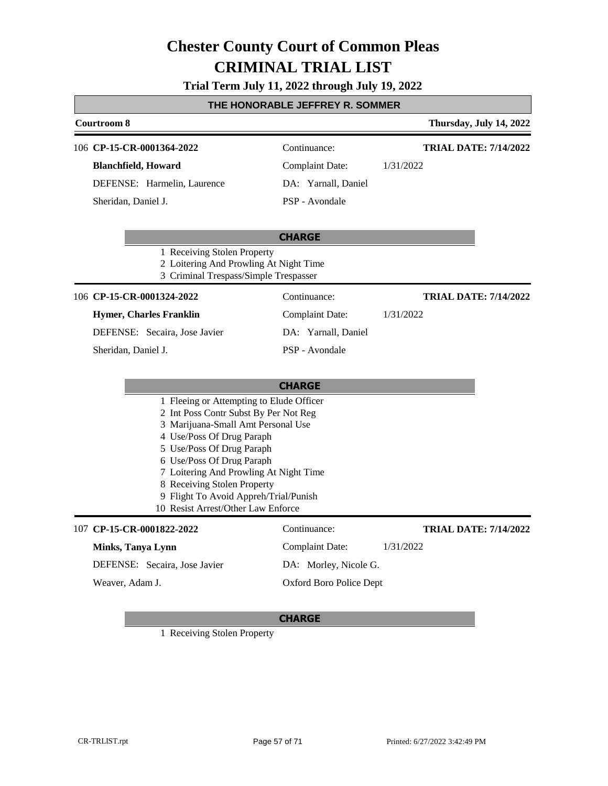# **Trial Term July 11, 2022 through July 19, 2022**

# **THE HONORABLE JEFFREY R. SOMMER**

| <b>Courtroom 8</b>                                                                                                                                                                                                                                                                                                                                                     |                         | Thursday, July 14, 2022      |
|------------------------------------------------------------------------------------------------------------------------------------------------------------------------------------------------------------------------------------------------------------------------------------------------------------------------------------------------------------------------|-------------------------|------------------------------|
| 106 CP-15-CR-0001364-2022                                                                                                                                                                                                                                                                                                                                              | Continuance:            | <b>TRIAL DATE: 7/14/2022</b> |
| <b>Blanchfield</b> , Howard                                                                                                                                                                                                                                                                                                                                            | <b>Complaint Date:</b>  | 1/31/2022                    |
| DEFENSE: Harmelin, Laurence                                                                                                                                                                                                                                                                                                                                            | DA: Yarnall, Daniel     |                              |
| Sheridan, Daniel J.                                                                                                                                                                                                                                                                                                                                                    | PSP - Avondale          |                              |
| 1 Receiving Stolen Property                                                                                                                                                                                                                                                                                                                                            | <b>CHARGE</b>           |                              |
| 2 Loitering And Prowling At Night Time<br>3 Criminal Trespass/Simple Trespasser                                                                                                                                                                                                                                                                                        |                         |                              |
| 106 CP-15-CR-0001324-2022                                                                                                                                                                                                                                                                                                                                              | Continuance:            | <b>TRIAL DATE: 7/14/2022</b> |
| <b>Hymer, Charles Franklin</b>                                                                                                                                                                                                                                                                                                                                         | Complaint Date:         | 1/31/2022                    |
| DEFENSE: Secaira, Jose Javier                                                                                                                                                                                                                                                                                                                                          | DA: Yarnall, Daniel     |                              |
| Sheridan, Daniel J.                                                                                                                                                                                                                                                                                                                                                    | PSP - Avondale          |                              |
|                                                                                                                                                                                                                                                                                                                                                                        | <b>CHARGE</b>           |                              |
| 1 Fleeing or Attempting to Elude Officer<br>2 Int Poss Contr Subst By Per Not Reg<br>3 Marijuana-Small Amt Personal Use<br>4 Use/Poss Of Drug Paraph<br>5 Use/Poss Of Drug Paraph<br>6 Use/Poss Of Drug Paraph<br>7 Loitering And Prowling At Night Time<br>8 Receiving Stolen Property<br>9 Flight To Avoid Appreh/Trial/Punish<br>10 Resist Arrest/Other Law Enforce |                         |                              |
| 107 CP-15-CR-0001822-2022                                                                                                                                                                                                                                                                                                                                              | Continuance:            | <b>TRIAL DATE: 7/14/2022</b> |
| Minks, Tanya Lynn                                                                                                                                                                                                                                                                                                                                                      | <b>Complaint Date:</b>  | 1/31/2022                    |
| DEFENSE: Secaira, Jose Javier                                                                                                                                                                                                                                                                                                                                          | DA: Morley, Nicole G.   |                              |
| Weaver, Adam J.                                                                                                                                                                                                                                                                                                                                                        | Oxford Boro Police Dept |                              |

# **CHARGE**

1 Receiving Stolen Property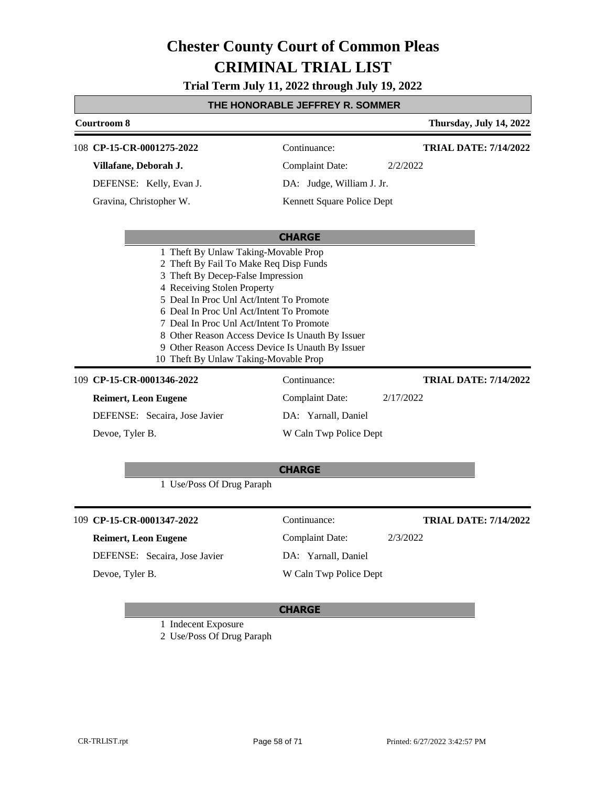**Trial Term July 11, 2022 through July 19, 2022**

| THE HONORABLE JEFFREY R. SOMMER |  |
|---------------------------------|--|
|---------------------------------|--|

| <b>Courtroom 8</b>                                                                                                                                                                                                                                                                      |                                                                                                      | Thursday, July 14, 2022      |
|-----------------------------------------------------------------------------------------------------------------------------------------------------------------------------------------------------------------------------------------------------------------------------------------|------------------------------------------------------------------------------------------------------|------------------------------|
|                                                                                                                                                                                                                                                                                         |                                                                                                      |                              |
| 108 CP-15-CR-0001275-2022                                                                                                                                                                                                                                                               | Continuance:                                                                                         | <b>TRIAL DATE: 7/14/2022</b> |
| Villafane, Deborah J.                                                                                                                                                                                                                                                                   | <b>Complaint Date:</b>                                                                               | 2/2/2022                     |
| DEFENSE: Kelly, Evan J.                                                                                                                                                                                                                                                                 | DA: Judge, William J. Jr.                                                                            |                              |
| Gravina, Christopher W.                                                                                                                                                                                                                                                                 | Kennett Square Police Dept                                                                           |                              |
|                                                                                                                                                                                                                                                                                         | <b>CHARGE</b>                                                                                        |                              |
| 2 Theft By Fail To Make Req Disp Funds<br>3 Theft By Decep-False Impression<br>4 Receiving Stolen Property<br>5 Deal In Proc Unl Act/Intent To Promote<br>6 Deal In Proc Unl Act/Intent To Promote<br>7 Deal In Proc Unl Act/Intent To Promote<br>10 Theft By Unlaw Taking-Movable Prop | 8 Other Reason Access Device Is Unauth By Issuer<br>9 Other Reason Access Device Is Unauth By Issuer |                              |
| 109 CP-15-CR-0001346-2022                                                                                                                                                                                                                                                               | Continuance:                                                                                         | <b>TRIAL DATE: 7/14/2022</b> |
| <b>Reimert, Leon Eugene</b>                                                                                                                                                                                                                                                             | <b>Complaint Date:</b>                                                                               | 2/17/2022                    |
| DEFENSE: Secaira, Jose Javier                                                                                                                                                                                                                                                           | DA: Yarnall, Daniel                                                                                  |                              |
| Devoe, Tyler B.                                                                                                                                                                                                                                                                         | W Caln Twp Police Dept                                                                               |                              |
| 1 Use/Poss Of Drug Paraph                                                                                                                                                                                                                                                               | <b>CHARGE</b>                                                                                        |                              |
| 109 CP-15-CR-0001347-2022                                                                                                                                                                                                                                                               | Continuance:                                                                                         | <b>TRIAL DATE: 7/14/2022</b> |
| <b>Reimert, Leon Eugene</b>                                                                                                                                                                                                                                                             | <b>Complaint Date:</b>                                                                               | 2/3/2022                     |
| DEFENSE: Secaira, Jose Javier                                                                                                                                                                                                                                                           | DA: Yarnall, Daniel                                                                                  |                              |
| Devoe, Tyler B.                                                                                                                                                                                                                                                                         | W Caln Twp Police Dept                                                                               |                              |

# **CHARGE**

1 Indecent Exposure

2 Use/Poss Of Drug Paraph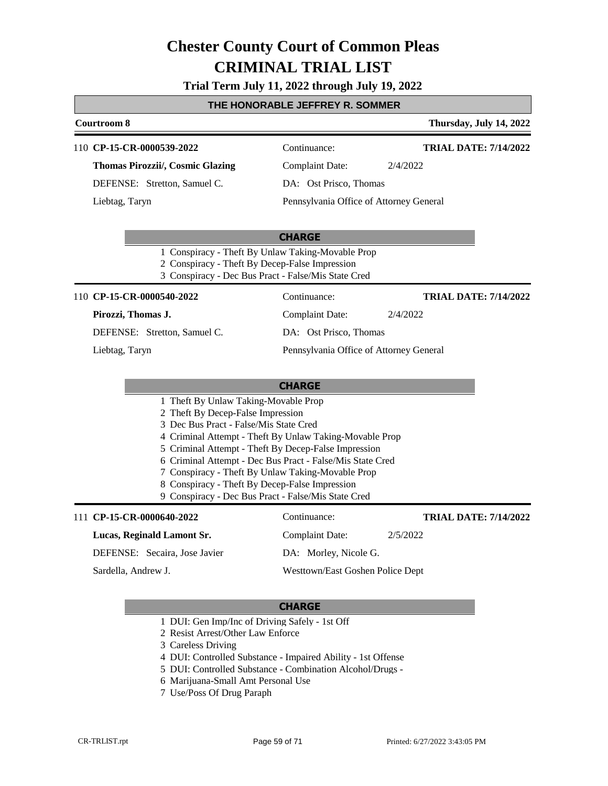# **Trial Term July 11, 2022 through July 19, 2022**

# **THE HONORABLE JEFFREY R. SOMMER**

| <b>Courtroom 8</b>                                                                                                                                                                                                                                                                |                                                                                                                                                                              | Thursday, July 14, 2022      |
|-----------------------------------------------------------------------------------------------------------------------------------------------------------------------------------------------------------------------------------------------------------------------------------|------------------------------------------------------------------------------------------------------------------------------------------------------------------------------|------------------------------|
| 110 CP-15-CR-0000539-2022                                                                                                                                                                                                                                                         | Continuance:                                                                                                                                                                 | <b>TRIAL DATE: 7/14/2022</b> |
| <b>Thomas Pirozzii/, Cosmic Glazing</b>                                                                                                                                                                                                                                           | <b>Complaint Date:</b>                                                                                                                                                       | 2/4/2022                     |
| DEFENSE: Stretton, Samuel C.                                                                                                                                                                                                                                                      | DA: Ost Prisco, Thomas                                                                                                                                                       |                              |
| Liebtag, Taryn                                                                                                                                                                                                                                                                    | Pennsylvania Office of Attorney General                                                                                                                                      |                              |
|                                                                                                                                                                                                                                                                                   | <b>CHARGE</b>                                                                                                                                                                |                              |
| 1 Conspiracy - Theft By Unlaw Taking-Movable Prop<br>2 Conspiracy - Theft By Decep-False Impression<br>3 Conspiracy - Dec Bus Pract - False/Mis State Cred                                                                                                                        |                                                                                                                                                                              |                              |
| 110 CP-15-CR-0000540-2022                                                                                                                                                                                                                                                         | Continuance:                                                                                                                                                                 | <b>TRIAL DATE: 7/14/2022</b> |
| Pirozzi, Thomas J.                                                                                                                                                                                                                                                                | <b>Complaint Date:</b>                                                                                                                                                       | 2/4/2022                     |
| DEFENSE: Stretton, Samuel C.                                                                                                                                                                                                                                                      | DA: Ost Prisco, Thomas                                                                                                                                                       |                              |
| Liebtag, Taryn                                                                                                                                                                                                                                                                    | Pennsylvania Office of Attorney General                                                                                                                                      |                              |
|                                                                                                                                                                                                                                                                                   | <b>CHARGE</b>                                                                                                                                                                |                              |
| 1 Theft By Unlaw Taking-Movable Prop<br>2 Theft By Decep-False Impression<br>3 Dec Bus Pract - False/Mis State Cred<br>7 Conspiracy - Theft By Unlaw Taking-Movable Prop<br>8 Conspiracy - Theft By Decep-False Impression<br>9 Conspiracy - Dec Bus Pract - False/Mis State Cred | 4 Criminal Attempt - Theft By Unlaw Taking-Movable Prop<br>5 Criminal Attempt - Theft By Decep-False Impression<br>6 Criminal Attempt - Dec Bus Pract - False/Mis State Cred |                              |
| 111 CP-15-CR-0000640-2022                                                                                                                                                                                                                                                         | Continuance:                                                                                                                                                                 | <b>TRIAL DATE: 7/14/2022</b> |
| Lucas, Reginald Lamont Sr.                                                                                                                                                                                                                                                        | <b>Complaint Date:</b>                                                                                                                                                       | 2/5/2022                     |
| DEFENSE: Secaira, Jose Javier                                                                                                                                                                                                                                                     | DA: Morley, Nicole G.                                                                                                                                                        |                              |
| Sardella, Andrew J.                                                                                                                                                                                                                                                               | Westtown/East Goshen Police Dept                                                                                                                                             |                              |

- 1 DUI: Gen Imp/Inc of Driving Safely 1st Off
- 2 Resist Arrest/Other Law Enforce
- 3 Careless Driving
- 4 DUI: Controlled Substance Impaired Ability 1st Offense
- 5 DUI: Controlled Substance Combination Alcohol/Drugs -
- 6 Marijuana-Small Amt Personal Use
- 7 Use/Poss Of Drug Paraph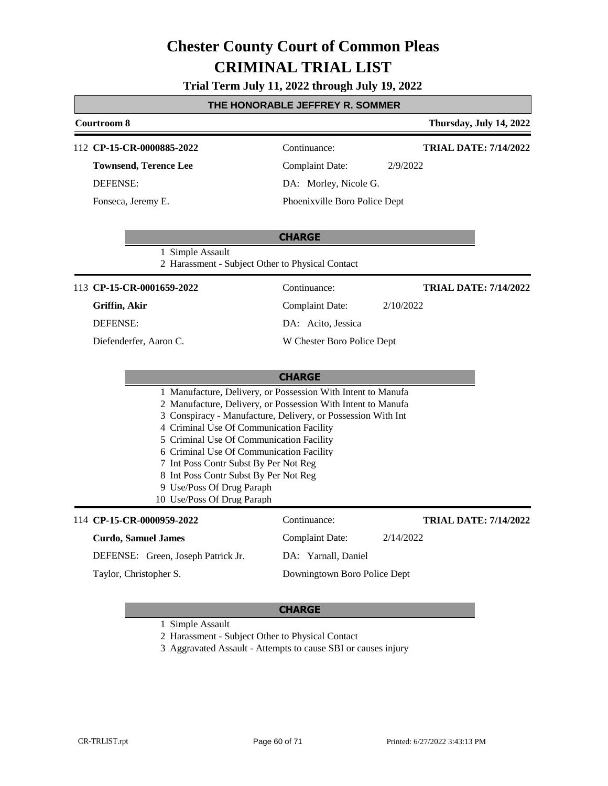**Trial Term July 11, 2022 through July 19, 2022**

# **THE HONORABLE JEFFREY R. SOMMER**

| Courtroom 8                                                                                                                                                                                                                                                                                                                                                                                                                                                                   |                                                                      |                               | Thursday, July 14, 2022      |  |
|-------------------------------------------------------------------------------------------------------------------------------------------------------------------------------------------------------------------------------------------------------------------------------------------------------------------------------------------------------------------------------------------------------------------------------------------------------------------------------|----------------------------------------------------------------------|-------------------------------|------------------------------|--|
| 112 CP-15-CR-0000885-2022                                                                                                                                                                                                                                                                                                                                                                                                                                                     |                                                                      | Continuance:                  | <b>TRIAL DATE: 7/14/2022</b> |  |
| <b>Townsend, Terence Lee</b>                                                                                                                                                                                                                                                                                                                                                                                                                                                  |                                                                      | <b>Complaint Date:</b>        | 2/9/2022                     |  |
| <b>DEFENSE:</b>                                                                                                                                                                                                                                                                                                                                                                                                                                                               |                                                                      | DA: Morley, Nicole G.         |                              |  |
| Fonseca, Jeremy E.                                                                                                                                                                                                                                                                                                                                                                                                                                                            |                                                                      | Phoenixville Boro Police Dept |                              |  |
|                                                                                                                                                                                                                                                                                                                                                                                                                                                                               |                                                                      | <b>CHARGE</b>                 |                              |  |
|                                                                                                                                                                                                                                                                                                                                                                                                                                                                               | 1 Simple Assault<br>2 Harassment - Subject Other to Physical Contact |                               |                              |  |
| 113 CP-15-CR-0001659-2022                                                                                                                                                                                                                                                                                                                                                                                                                                                     |                                                                      | Continuance:                  | <b>TRIAL DATE: 7/14/2022</b> |  |
| Griffin, Akir                                                                                                                                                                                                                                                                                                                                                                                                                                                                 |                                                                      | <b>Complaint Date:</b>        | 2/10/2022                    |  |
| <b>DEFENSE:</b>                                                                                                                                                                                                                                                                                                                                                                                                                                                               |                                                                      | DA: Acito, Jessica            |                              |  |
| Diefenderfer, Aaron C.                                                                                                                                                                                                                                                                                                                                                                                                                                                        |                                                                      | W Chester Boro Police Dept    |                              |  |
| <b>CHARGE</b>                                                                                                                                                                                                                                                                                                                                                                                                                                                                 |                                                                      |                               |                              |  |
| 1 Manufacture, Delivery, or Possession With Intent to Manufa<br>2 Manufacture, Delivery, or Possession With Intent to Manufa<br>3 Conspiracy - Manufacture, Delivery, or Possession With Int<br>4 Criminal Use Of Communication Facility<br>5 Criminal Use Of Communication Facility<br>6 Criminal Use Of Communication Facility<br>7 Int Poss Contr Subst By Per Not Reg<br>8 Int Poss Contr Subst By Per Not Reg<br>9 Use/Poss Of Drug Paraph<br>10 Use/Poss Of Drug Paraph |                                                                      |                               |                              |  |
| 114 CP-15-CR-0000959-2022                                                                                                                                                                                                                                                                                                                                                                                                                                                     |                                                                      | Continuance:                  | <b>TRIAL DATE: 7/14/2022</b> |  |
| <b>Curdo, Samuel James</b>                                                                                                                                                                                                                                                                                                                                                                                                                                                    |                                                                      | <b>Complaint Date:</b>        | 2/14/2022                    |  |
| DEFENSE: Green, Joseph Patrick Jr.                                                                                                                                                                                                                                                                                                                                                                                                                                            |                                                                      | DA: Yarnall, Daniel           |                              |  |
| Taylor, Christopher S.                                                                                                                                                                                                                                                                                                                                                                                                                                                        |                                                                      | Downingtown Boro Police Dept  |                              |  |

#### **CHARGE**

1 Simple Assault

- 2 Harassment Subject Other to Physical Contact
- 3 Aggravated Assault Attempts to cause SBI or causes injury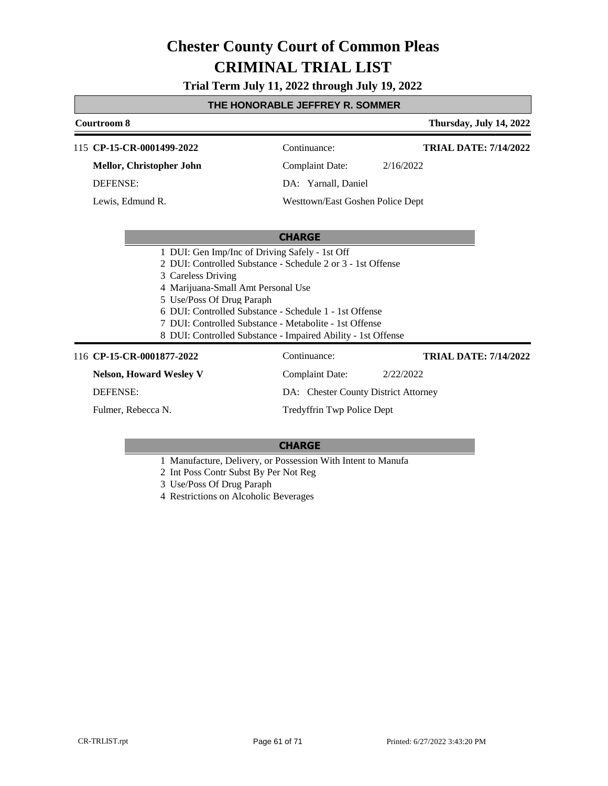**Trial Term July 11, 2022 through July 19, 2022**

## **THE HONORABLE JEFFREY R. SOMMER**

# **Courtroom 8 Thursday, July 14, 2022 CHARGE** 115 **CP-15-CR-0001499-2022** Continuance: **Mellor, Christopher John** DEFENSE: Complaint Date: 2/16/2022 DA: Yarnall, Daniel Westtown/East Goshen Police Dept **TRIAL DATE: 7/14/2022** Lewis, Edmund R. 1 DUI: Gen Imp/Inc of Driving Safely - 1st Off 2 DUI: Controlled Substance - Schedule 2 or 3 - 1st Offense 3 Careless Driving 4 Marijuana-Small Amt Personal Use 5 Use/Poss Of Drug Paraph 6 DUI: Controlled Substance - Schedule 1 - 1st Offense 7 DUI: Controlled Substance - Metabolite - 1st Offense 8 DUI: Controlled Substance - Impaired Ability - 1st Offense 116 **CP-15-CR-0001877-2022** Continuance: **Nelson, Howard Wesley V** DEFENSE: Complaint Date: 2/22/2022 DA: Chester County District Attorney Tredyffrin Twp Police Dept **TRIAL DATE: 7/14/2022** Fulmer, Rebecca N.

- 1 Manufacture, Delivery, or Possession With Intent to Manufa
- 2 Int Poss Contr Subst By Per Not Reg
- 3 Use/Poss Of Drug Paraph
- 4 Restrictions on Alcoholic Beverages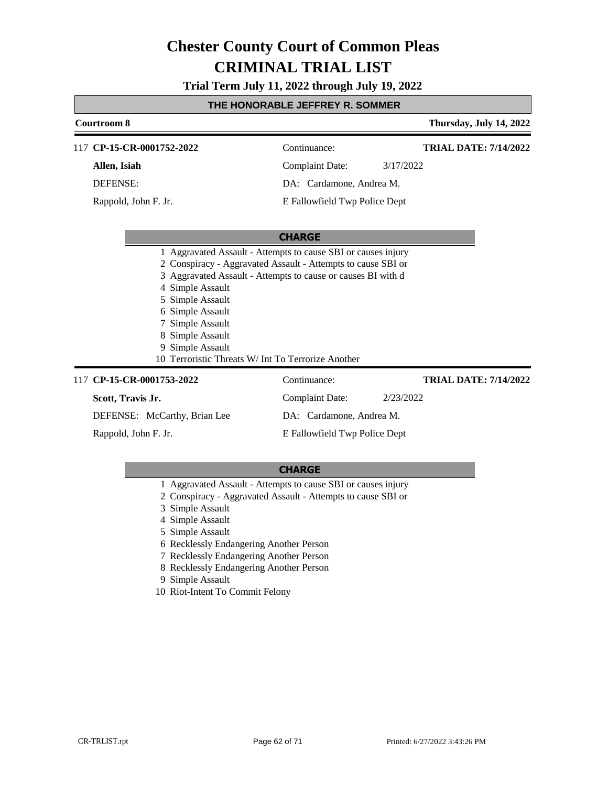# **Trial Term July 11, 2022 through July 19, 2022**

# **THE HONORABLE JEFFREY R. SOMMER**

| Courtroom 8                                                                                                                                                                 |                                                                                                                                                                                               | Thursday, July 14, 2022      |  |
|-----------------------------------------------------------------------------------------------------------------------------------------------------------------------------|-----------------------------------------------------------------------------------------------------------------------------------------------------------------------------------------------|------------------------------|--|
| 117 CP-15-CR-0001752-2022                                                                                                                                                   | Continuance:                                                                                                                                                                                  | <b>TRIAL DATE: 7/14/2022</b> |  |
| Allen, Isiah                                                                                                                                                                | <b>Complaint Date:</b><br>3/17/2022                                                                                                                                                           |                              |  |
| <b>DEFENSE:</b>                                                                                                                                                             | DA: Cardamone, Andrea M.                                                                                                                                                                      |                              |  |
| Rappold, John F. Jr.                                                                                                                                                        | E Fallowfield Twp Police Dept                                                                                                                                                                 |                              |  |
|                                                                                                                                                                             |                                                                                                                                                                                               |                              |  |
| <b>CHARGE</b>                                                                                                                                                               |                                                                                                                                                                                               |                              |  |
| 4 Simple Assault<br>5 Simple Assault<br>6 Simple Assault<br>Simple Assault<br>8 Simple Assault<br>Simple Assault<br>9<br>10 Terroristic Threats W/ Int To Terrorize Another | 1 Aggravated Assault - Attempts to cause SBI or causes injury<br>2 Conspiracy - Aggravated Assault - Attempts to cause SBI or<br>3 Aggravated Assault - Attempts to cause or causes BI with d |                              |  |
| 117 CP-15-CR-0001753-2022                                                                                                                                                   | Continuance:                                                                                                                                                                                  | <b>TRIAL DATE: 7/14/2022</b> |  |
| Scott, Travis Jr.                                                                                                                                                           | <b>Complaint Date:</b><br>2/23/2022                                                                                                                                                           |                              |  |
| DEFENSE: McCarthy, Brian Lee                                                                                                                                                | DA: Cardamone, Andrea M.                                                                                                                                                                      |                              |  |
| Rappold, John F. Jr.                                                                                                                                                        | E Fallowfield Twp Police Dept                                                                                                                                                                 |                              |  |

- 1 Aggravated Assault Attempts to cause SBI or causes injury
- 2 Conspiracy Aggravated Assault Attempts to cause SBI or
- 3 Simple Assault
- 4 Simple Assault
- 5 Simple Assault
- 6 Recklessly Endangering Another Person
- 7 Recklessly Endangering Another Person
- 8 Recklessly Endangering Another Person
- 9 Simple Assault
- 10 Riot-Intent To Commit Felony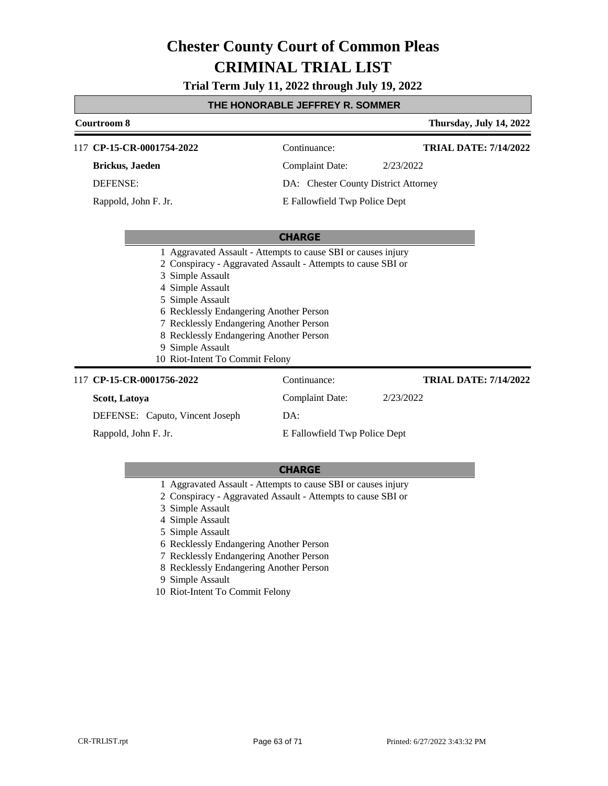# **Trial Term July 11, 2022 through July 19, 2022**

# **THE HONORABLE JEFFREY R. SOMMER**

| Courtroom 8                                                                                                                                                                                                                                      |                                                                                                                               | Thursday, July 14, 2022      |
|--------------------------------------------------------------------------------------------------------------------------------------------------------------------------------------------------------------------------------------------------|-------------------------------------------------------------------------------------------------------------------------------|------------------------------|
| CP-15-CR-0001754-2022<br>117                                                                                                                                                                                                                     | Continuance:                                                                                                                  | <b>TRIAL DATE: 7/14/2022</b> |
| <b>Brickus</b> , Jaeden                                                                                                                                                                                                                          | <b>Complaint Date:</b>                                                                                                        | 2/23/2022                    |
| <b>DEFENSE:</b>                                                                                                                                                                                                                                  | DA: Chester County District Attorney                                                                                          |                              |
| Rappold, John F. Jr.                                                                                                                                                                                                                             | E Fallowfield Twp Police Dept                                                                                                 |                              |
|                                                                                                                                                                                                                                                  | <b>CHARGE</b>                                                                                                                 |                              |
| 3 Simple Assault<br>4 Simple Assault<br>5 Simple Assault<br>6 Recklessly Endangering Another Person<br>7 Recklessly Endangering Another Person<br>8 Recklessly Endangering Another Person<br>9 Simple Assault<br>10 Riot-Intent To Commit Felony | 1 Aggravated Assault - Attempts to cause SBI or causes injury<br>2 Conspiracy - Aggravated Assault - Attempts to cause SBI or |                              |
| 117 CP-15-CR-0001756-2022                                                                                                                                                                                                                        | Continuance:                                                                                                                  | <b>TRIAL DATE: 7/14/2022</b> |
| Scott, Latoya                                                                                                                                                                                                                                    | Complaint Date:                                                                                                               | 2/23/2022                    |
| DEFENSE: Caputo, Vincent Joseph                                                                                                                                                                                                                  | DA:                                                                                                                           |                              |
| Rappold, John F. Jr.<br>E Fallowfield Twp Police Dept                                                                                                                                                                                            |                                                                                                                               |                              |

- 1 Aggravated Assault Attempts to cause SBI or causes injury
- 2 Conspiracy Aggravated Assault Attempts to cause SBI or
- 3 Simple Assault
- 4 Simple Assault
- 5 Simple Assault
- 6 Recklessly Endangering Another Person
- 7 Recklessly Endangering Another Person
- 8 Recklessly Endangering Another Person
- 9 Simple Assault
- 10 Riot-Intent To Commit Felony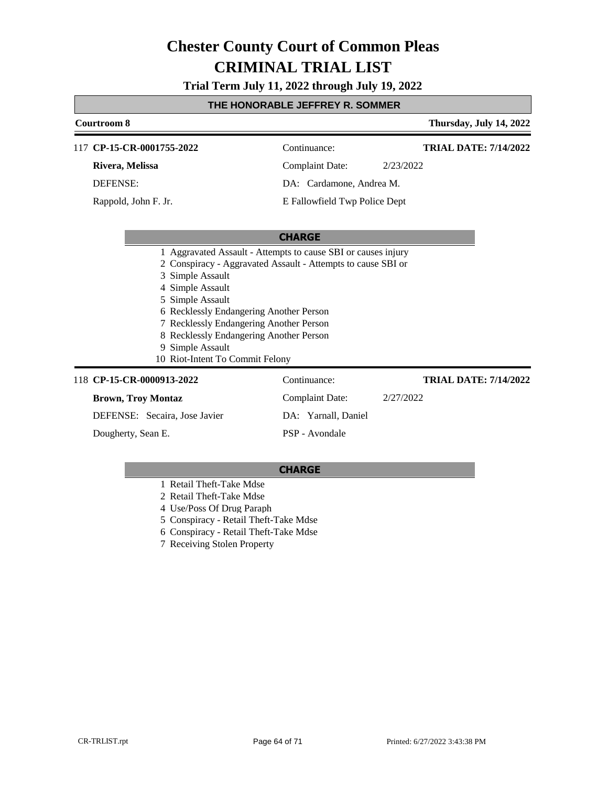# **Trial Term July 11, 2022 through July 19, 2022**

# **THE HONORABLE JEFFREY R. SOMMER**

| <b>Courtroom 8</b>                                                                                                                                                                                                                                                                                                                                                              |                               | Thursday, July 14, 2022      |  |
|---------------------------------------------------------------------------------------------------------------------------------------------------------------------------------------------------------------------------------------------------------------------------------------------------------------------------------------------------------------------------------|-------------------------------|------------------------------|--|
| CP-15-CR-0001755-2022<br>117                                                                                                                                                                                                                                                                                                                                                    | Continuance:                  | <b>TRIAL DATE: 7/14/2022</b> |  |
| Rivera, Melissa                                                                                                                                                                                                                                                                                                                                                                 | Complaint Date:               | 2/23/2022                    |  |
| <b>DEFENSE:</b>                                                                                                                                                                                                                                                                                                                                                                 | DA: Cardamone, Andrea M.      |                              |  |
| Rappold, John F. Jr.                                                                                                                                                                                                                                                                                                                                                            | E Fallowfield Twp Police Dept |                              |  |
|                                                                                                                                                                                                                                                                                                                                                                                 |                               |                              |  |
|                                                                                                                                                                                                                                                                                                                                                                                 | <b>CHARGE</b>                 |                              |  |
| 1 Aggravated Assault - Attempts to cause SBI or causes injury<br>2 Conspiracy - Aggravated Assault - Attempts to cause SBI or<br>Simple Assault<br>4 Simple Assault<br>5 Simple Assault<br>6 Recklessly Endangering Another Person<br>7 Recklessly Endangering Another Person<br>8 Recklessly Endangering Another Person<br>9 Simple Assault<br>10 Riot-Intent To Commit Felony |                               |                              |  |
| 118 CP-15-CR-0000913-2022                                                                                                                                                                                                                                                                                                                                                       | Continuance:                  | <b>TRIAL DATE: 7/14/2022</b> |  |
| <b>Brown, Troy Montaz</b>                                                                                                                                                                                                                                                                                                                                                       | Complaint Date:               | 2/27/2022                    |  |
| DEFENSE: Secaira, Jose Javier                                                                                                                                                                                                                                                                                                                                                   | DA: Yarnall, Daniel           |                              |  |
| Dougherty, Sean E.                                                                                                                                                                                                                                                                                                                                                              | PSP - Avondale                |                              |  |

- 1 Retail Theft-Take Mdse
- 2 Retail Theft-Take Mdse
- 4 Use/Poss Of Drug Paraph
- 5 Conspiracy Retail Theft-Take Mdse
- 6 Conspiracy Retail Theft-Take Mdse
- 7 Receiving Stolen Property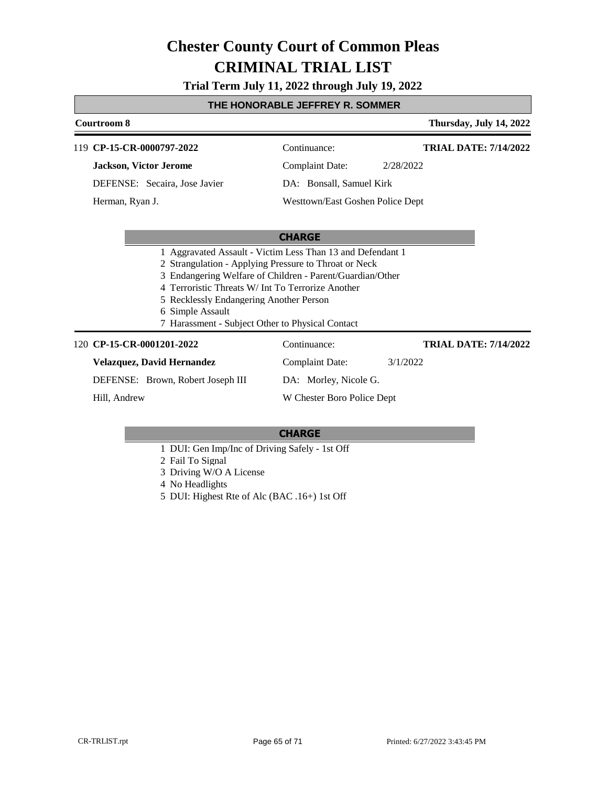**Trial Term July 11, 2022 through July 19, 2022**

## **THE HONORABLE JEFFREY R. SOMMER**

# **Courtroom 8 Thursday, July 14, 2022 CHARGE CP-15-CR-0000797-2022** 119 Continuance: **Jackson, Victor Jerome** DEFENSE: Secaira, Jose Javier Complaint Date: 2/28/2022 DA: Bonsall, Samuel Kirk Westtown/East Goshen Police Dept **TRIAL DATE: 7/14/2022** Herman, Ryan J. 1 Aggravated Assault - Victim Less Than 13 and Defendant 1 2 Strangulation - Applying Pressure to Throat or Neck 3 Endangering Welfare of Children - Parent/Guardian/Other 4 Terroristic Threats W/ Int To Terrorize Another 5 Recklessly Endangering Another Person 6 Simple Assault 7 Harassment - Subject Other to Physical Contact **CP-15-CR-0001201-2022** 120 Continuance: **Velazquez, David Hernandez** DEFENSE: Brown, Robert Joseph III Complaint Date: 3/1/2022 DA: Morley, Nicole G. W Chester Boro Police Dept **TRIAL DATE: 7/14/2022** Hill, Andrew

- 1 DUI: Gen Imp/Inc of Driving Safely 1st Off
- 2 Fail To Signal
- 3 Driving W/O A License
- 4 No Headlights
- 5 DUI: Highest Rte of Alc (BAC .16+) 1st Off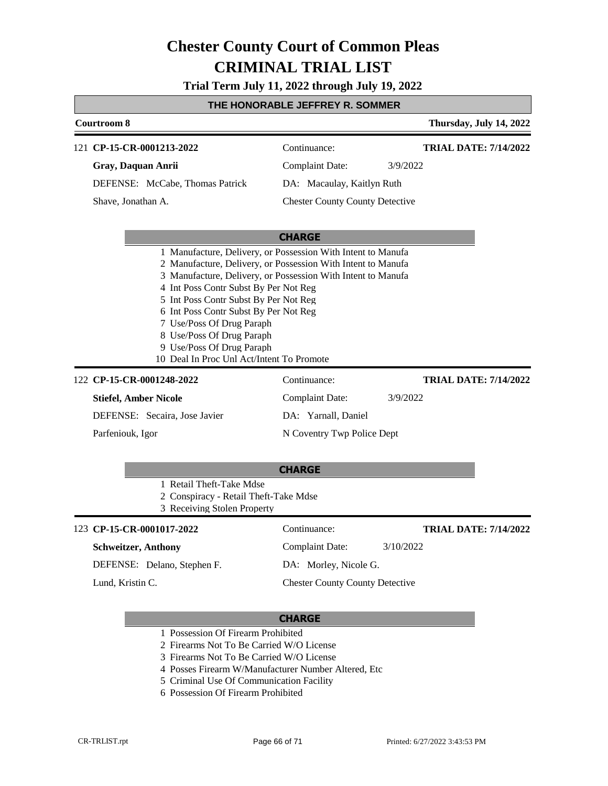**Trial Term July 11, 2022 through July 19, 2022**

# **THE HONORABLE JEFFREY R. SOMMER**

| Courtroom 8                                                                                                    |                                                                                                                                                                                                                                                                                                                                                                                                                                                                              | Thursday, July 14, 2022      |
|----------------------------------------------------------------------------------------------------------------|------------------------------------------------------------------------------------------------------------------------------------------------------------------------------------------------------------------------------------------------------------------------------------------------------------------------------------------------------------------------------------------------------------------------------------------------------------------------------|------------------------------|
| 121 CP-15-CR-0001213-2022<br>Gray, Daquan Anrii<br>DEFENSE: McCabe, Thomas Patrick<br>Shave, Jonathan A.       | Continuance:<br><b>Complaint Date:</b><br>3/9/2022<br>DA: Macaulay, Kaitlyn Ruth<br><b>Chester County County Detective</b>                                                                                                                                                                                                                                                                                                                                                   | <b>TRIAL DATE: 7/14/2022</b> |
|                                                                                                                | <b>CHARGE</b><br>1 Manufacture, Delivery, or Possession With Intent to Manufa<br>2 Manufacture, Delivery, or Possession With Intent to Manufa<br>3 Manufacture, Delivery, or Possession With Intent to Manufa<br>4 Int Poss Contr Subst By Per Not Reg<br>5 Int Poss Contr Subst By Per Not Reg<br>6 Int Poss Contr Subst By Per Not Reg<br>7 Use/Poss Of Drug Paraph<br>8 Use/Poss Of Drug Paraph<br>9 Use/Poss Of Drug Paraph<br>10 Deal In Proc Unl Act/Intent To Promote |                              |
| 122 CP-15-CR-0001248-2022<br><b>Stiefel, Amber Nicole</b><br>DEFENSE: Secaira, Jose Javier<br>Parfeniouk, Igor | Continuance:<br><b>Complaint Date:</b><br>3/9/2022<br>DA: Yarnall, Daniel<br>N Coventry Twp Police Dept<br><b>CHARGE</b>                                                                                                                                                                                                                                                                                                                                                     | <b>TRIAL DATE: 7/14/2022</b> |
| 1 Retail Theft-Take Mdse                                                                                       | 2 Conspiracy - Retail Theft-Take Mdse<br>3 Receiving Stolen Property                                                                                                                                                                                                                                                                                                                                                                                                         |                              |

#### **CP-15-CR-0001017-2022** 123 Continuance:

### **Schweitzer, Anthony**

DEFENSE: Delano, Stephen F.

Lund, Kristin C.

**TRIAL DATE: 7/14/2022**

Complaint Date: 3/10/2022 DA: Morley, Nicole G.

Chester County County Detective

- 1 Possession Of Firearm Prohibited
- 2 Firearms Not To Be Carried W/O License
- 3 Firearms Not To Be Carried W/O License
- 4 Posses Firearm W/Manufacturer Number Altered, Etc
- 5 Criminal Use Of Communication Facility
- 6 Possession Of Firearm Prohibited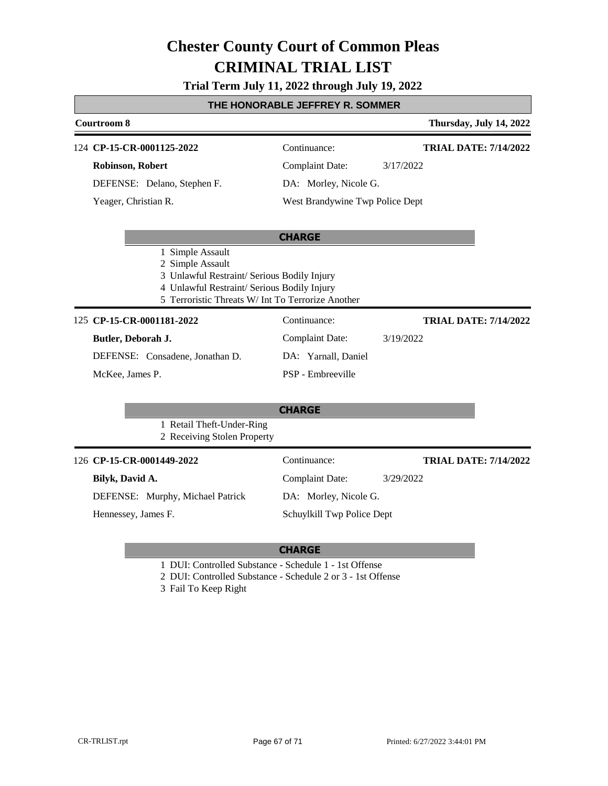### **Trial Term July 11, 2022 through July 19, 2022**

## **THE HONORABLE JEFFREY R. SOMMER**

| <u><b>THE HONORABLE JEFFREY R. SOMMER</b></u> |                                                                                                                                                                                         |                                 |                              |  |  |
|-----------------------------------------------|-----------------------------------------------------------------------------------------------------------------------------------------------------------------------------------------|---------------------------------|------------------------------|--|--|
| Courtroom 8<br>Thursday, July 14, 2022        |                                                                                                                                                                                         |                                 |                              |  |  |
|                                               | 124 CP-15-CR-0001125-2022                                                                                                                                                               | Continuance:                    | <b>TRIAL DATE: 7/14/2022</b> |  |  |
|                                               | Robinson, Robert                                                                                                                                                                        | <b>Complaint Date:</b>          | 3/17/2022                    |  |  |
|                                               | DEFENSE: Delano, Stephen F.                                                                                                                                                             | DA: Morley, Nicole G.           |                              |  |  |
|                                               | Yeager, Christian R.                                                                                                                                                                    | West Brandywine Twp Police Dept |                              |  |  |
|                                               |                                                                                                                                                                                         | <b>CHARGE</b>                   |                              |  |  |
|                                               | 1 Simple Assault<br>2 Simple Assault<br>3 Unlawful Restraint/ Serious Bodily Injury<br>4 Unlawful Restraint/ Serious Bodily Injury<br>5 Terroristic Threats W/ Int To Terrorize Another |                                 |                              |  |  |
|                                               | 125 CP-15-CR-0001181-2022                                                                                                                                                               | Continuance:                    | <b>TRIAL DATE: 7/14/2022</b> |  |  |
|                                               | Butler, Deborah J.                                                                                                                                                                      | <b>Complaint Date:</b>          | 3/19/2022                    |  |  |
|                                               | DEFENSE: Consadene, Jonathan D.                                                                                                                                                         | DA: Yarnall, Daniel             |                              |  |  |
|                                               | McKee, James P.                                                                                                                                                                         | PSP - Embreeville               |                              |  |  |
|                                               |                                                                                                                                                                                         | <b>CHARGE</b>                   |                              |  |  |
|                                               | 1 Retail Theft-Under-Ring<br>2 Receiving Stolen Property                                                                                                                                |                                 |                              |  |  |
|                                               | 126 CP-15-CR-0001449-2022                                                                                                                                                               | Continuance:                    | <b>TRIAL DATE: 7/14/2022</b> |  |  |
|                                               | Bilyk, David A.                                                                                                                                                                         | <b>Complaint Date:</b>          | 3/29/2022                    |  |  |
|                                               | DEFENSE: Murphy, Michael Patrick                                                                                                                                                        | DA: Morley, Nicole G.           |                              |  |  |

Hennessey, James F.

Г

### **CHARGE**

Schuylkill Twp Police Dept

- 1 DUI: Controlled Substance Schedule 1 1st Offense
- 2 DUI: Controlled Substance Schedule 2 or 3 1st Offense
- 3 Fail To Keep Right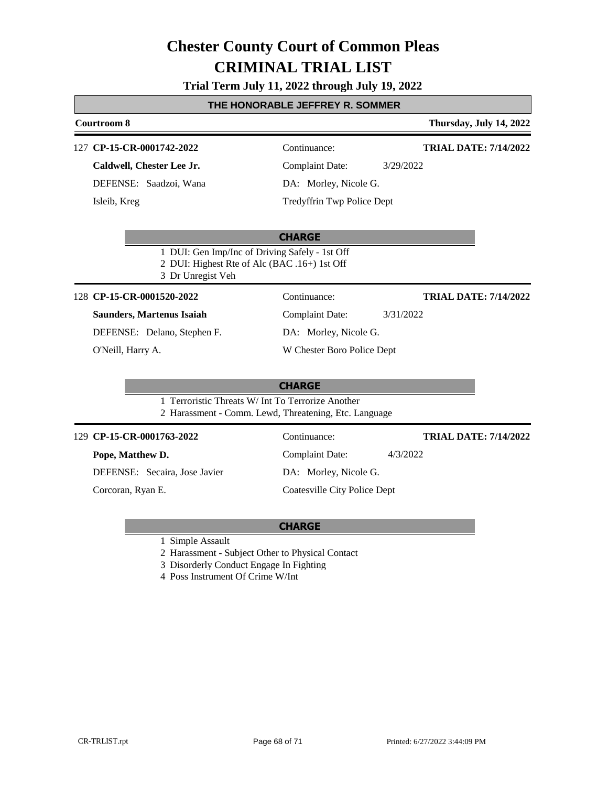### **Trial Term July 11, 2022 through July 19, 2022**

### **THE HONORABLE JEFFREY R. SOMMER**

| Courtroom 8<br>Thursday, July 14, 2022 |                                                                                                                     |                                     |                              |  |  |  |
|----------------------------------------|---------------------------------------------------------------------------------------------------------------------|-------------------------------------|------------------------------|--|--|--|
|                                        | 127 CP-15-CR-0001742-2022                                                                                           | Continuance:                        | <b>TRIAL DATE: 7/14/2022</b> |  |  |  |
|                                        | Caldwell, Chester Lee Jr.                                                                                           | <b>Complaint Date:</b><br>3/29/2022 |                              |  |  |  |
|                                        | DEFENSE: Saadzoi, Wana                                                                                              | DA: Morley, Nicole G.               |                              |  |  |  |
|                                        | Isleib, Kreg                                                                                                        | Tredyffrin Twp Police Dept          |                              |  |  |  |
|                                        |                                                                                                                     |                                     |                              |  |  |  |
|                                        |                                                                                                                     | <b>CHARGE</b>                       |                              |  |  |  |
|                                        | 1 DUI: Gen Imp/Inc of Driving Safely - 1st Off<br>2 DUI: Highest Rte of Alc (BAC .16+) 1st Off<br>3 Dr Unregist Veh |                                     |                              |  |  |  |
|                                        | 128 CP-15-CR-0001520-2022                                                                                           | Continuance:                        | <b>TRIAL DATE: 7/14/2022</b> |  |  |  |
|                                        | <b>Saunders, Martenus Isaiah</b>                                                                                    | <b>Complaint Date:</b><br>3/31/2022 |                              |  |  |  |
|                                        | DEFENSE: Delano, Stephen F.                                                                                         | DA: Morley, Nicole G.               |                              |  |  |  |
|                                        | O'Neill, Harry A.                                                                                                   | W Chester Boro Police Dept          |                              |  |  |  |
|                                        |                                                                                                                     |                                     |                              |  |  |  |
|                                        |                                                                                                                     | <b>CHARGE</b>                       |                              |  |  |  |
|                                        | 1 Terroristic Threats W/ Int To Terrorize Another<br>2 Harassment - Comm. Lewd, Threatening, Etc. Language          |                                     |                              |  |  |  |
|                                        | 129 CP-15-CR-0001763-2022                                                                                           | Continuance:                        | <b>TRIAL DATE: 7/14/2022</b> |  |  |  |
|                                        | Pope, Matthew D.                                                                                                    | <b>Complaint Date:</b><br>4/3/2022  |                              |  |  |  |
|                                        | DEFENSE: Secaira, Jose Javier                                                                                       | DA: Morley, Nicole G.               |                              |  |  |  |
|                                        | Corcoran, Ryan E.                                                                                                   | Coatesville City Police Dept        |                              |  |  |  |
|                                        |                                                                                                                     |                                     |                              |  |  |  |

#### **CHARGE**

- 1 Simple Assault
- 2 Harassment Subject Other to Physical Contact
- 3 Disorderly Conduct Engage In Fighting
- 4 Poss Instrument Of Crime W/Int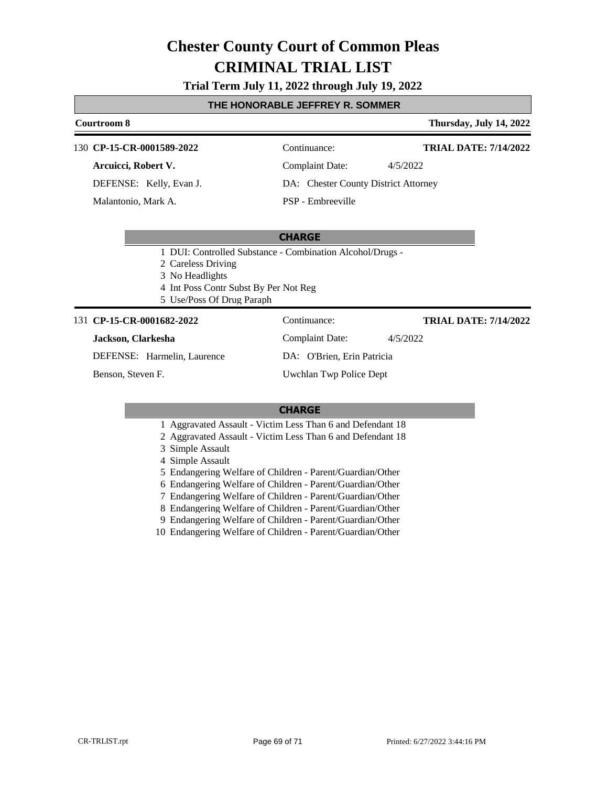#### **Trial Term July 11, 2022 through July 19, 2022**

#### **THE HONORABLE JEFFREY R. SOMMER**

#### **Courtroom 8 Thursday, July 14, 2022 CP-15-CR-0001589-2022** 130 Continuance: **Arcuicci, Robert V.** Complaint Date: 4/5/2022 **TRIAL DATE: 7/14/2022**

DEFENSE: Kelly, Evan J.

Malantonio, Mark A.

DA: Chester County District Attorney

PSP - Embreeville

#### **CHARGE**

- 1 DUI: Controlled Substance Combination Alcohol/Drugs -
- 2 Careless Driving

3 No Headlights

- 4 Int Poss Contr Subst By Per Not Reg
- 5 Use/Poss Of Drug Paraph

#### 131 **CP-15-CR-0001682-2022** Continuance:

#### **Jackson, Clarkesha**

DEFENSE: Harmelin, Laurence

Benson, Steven F.

Complaint Date: 4/5/2022

**TRIAL DATE: 7/14/2022**

DA: O'Brien, Erin Patricia Uwchlan Twp Police Dept

#### **CHARGE**

- 1 Aggravated Assault Victim Less Than 6 and Defendant 18
- 2 Aggravated Assault Victim Less Than 6 and Defendant 18
- 3 Simple Assault
- 4 Simple Assault
- 5 Endangering Welfare of Children Parent/Guardian/Other
- 6 Endangering Welfare of Children Parent/Guardian/Other
- 7 Endangering Welfare of Children Parent/Guardian/Other
- 8 Endangering Welfare of Children Parent/Guardian/Other
- 9 Endangering Welfare of Children Parent/Guardian/Other
- 10 Endangering Welfare of Children Parent/Guardian/Other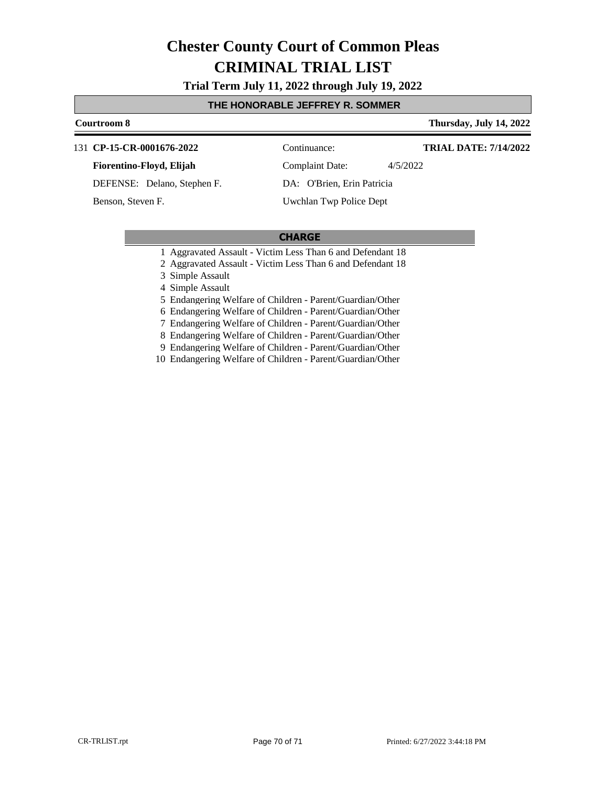**Trial Term July 11, 2022 through July 19, 2022**

#### **THE HONORABLE JEFFREY R. SOMMER**

### **Courtroom 8 Thursday, July 14, 2022** 131 **CP-15-CR-0001676-2022** Continuance: **TRIAL DATE: 7/14/2022**

**Fiorentino-Floyd, Elijah**

DEFENSE: Delano, Stephen F.

Benson, Steven F.

Complaint Date: 4/5/2022

Uwchlan Twp Police Dept

DA: O'Brien, Erin Patricia

#### **CHARGE**

- 1 Aggravated Assault Victim Less Than 6 and Defendant 18
- 2 Aggravated Assault Victim Less Than 6 and Defendant 18
- 3 Simple Assault

4 Simple Assault

5 Endangering Welfare of Children - Parent/Guardian/Other

6 Endangering Welfare of Children - Parent/Guardian/Other

7 Endangering Welfare of Children - Parent/Guardian/Other

8 Endangering Welfare of Children - Parent/Guardian/Other

9 Endangering Welfare of Children - Parent/Guardian/Other

10 Endangering Welfare of Children - Parent/Guardian/Other